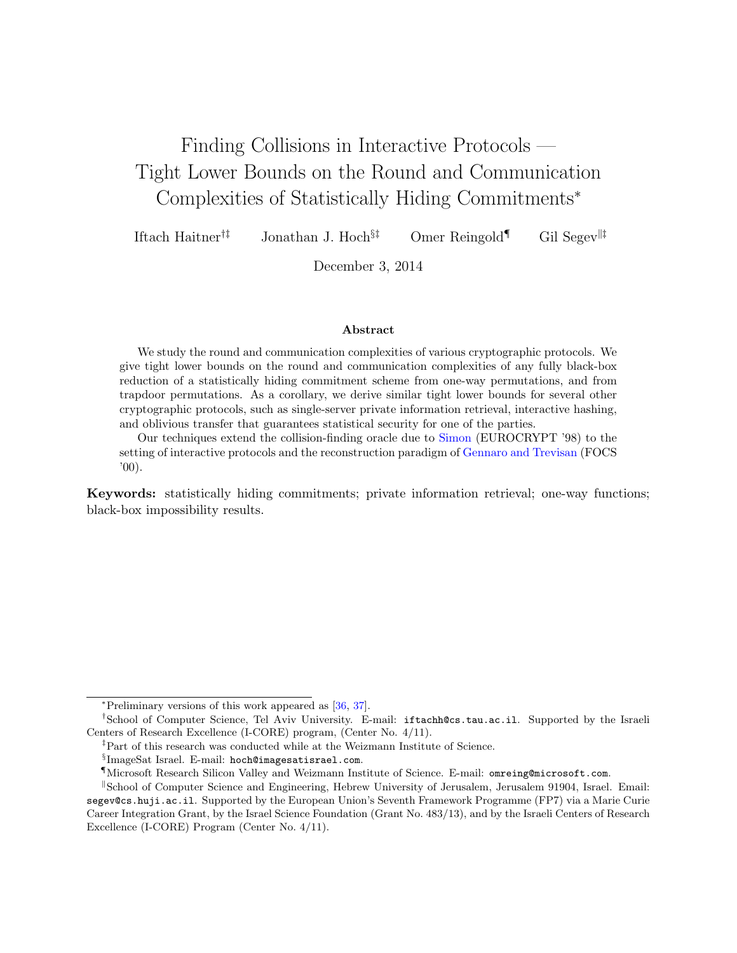# Finding Collisions in Interactive Protocols — Tight Lower Bounds on the Round and Communication Complexities of Statistically Hiding Commitments<sup>∗</sup>

Iftach Haitner<sup>†‡</sup> Jonathan J. Hoch<sup>§‡</sup> Omer Reingold<sup>¶</sup> Gil Segev<sup>||‡</sup>

December 3, 2014

#### Abstract

We study the round and communication complexities of various cryptographic protocols. We give tight lower bounds on the round and communication complexities of any fully black-box reduction of a statistically hiding commitment scheme from one-way permutations, and from trapdoor permutations. As a corollary, we derive similar tight lower bounds for several other cryptographic protocols, such as single-server private information retrieval, interactive hashing, and oblivious transfer that guarantees statistical security for one of the parties.

Our techniques extend the collision-finding oracle due to [Simon](#page-49-0) (EUROCRYPT '98) to the setting of interactive protocols and the reconstruction paradigm of [Gennaro and Trevisan](#page-46-0) (FOCS  $'00$ ).

Keywords: statistically hiding commitments; private information retrieval; one-way functions; black-box impossibility results.

<sup>∗</sup>Preliminary versions of this work appeared as [\[36,](#page-47-0) [37\]](#page-47-1).

<sup>†</sup>School of Computer Science, Tel Aviv University. E-mail: iftachh@cs.tau.ac.il. Supported by the Israeli Centers of Research Excellence (I-CORE) program, (Center No. 4/11).

<sup>‡</sup>Part of this research was conducted while at the Weizmann Institute of Science.

<sup>§</sup> ImageSat Israel. E-mail: hoch@imagesatisrael.com.

<sup>¶</sup>Microsoft Research Silicon Valley and Weizmann Institute of Science. E-mail: omreing@microsoft.com.

School of Computer Science and Engineering, Hebrew University of Jerusalem, Jerusalem 91904, Israel. Email: segev@cs.huji.ac.il. Supported by the European Union's Seventh Framework Programme (FP7) via a Marie Curie Career Integration Grant, by the Israel Science Foundation (Grant No. 483/13), and by the Israeli Centers of Research Excellence (I-CORE) Program (Center No. 4/11).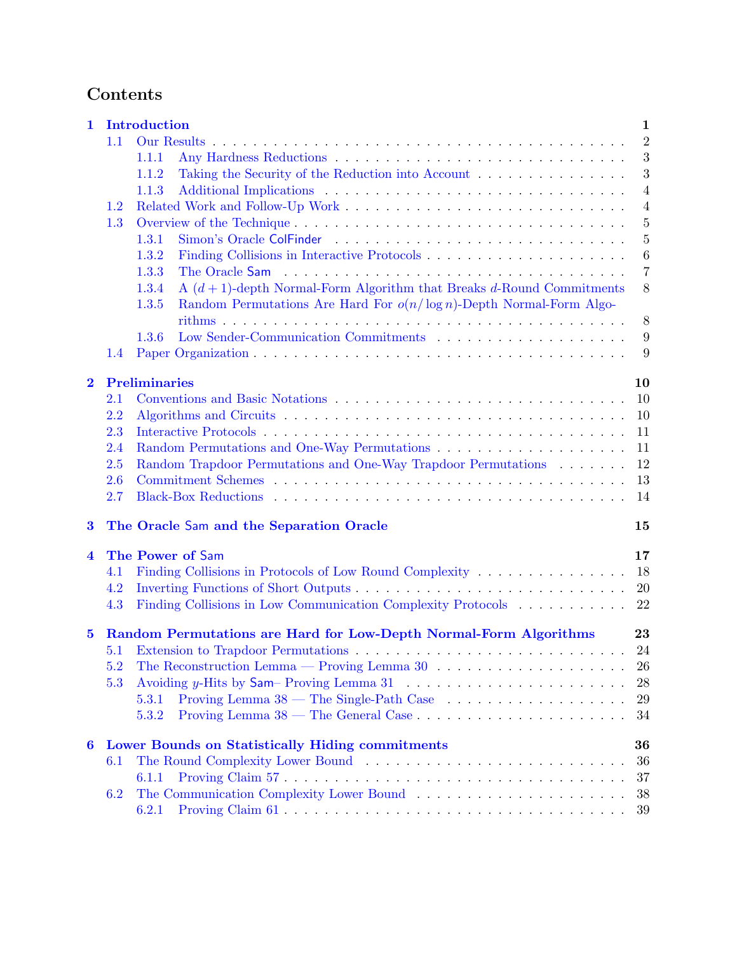# Contents

| 1        |                                                                   | Introduction                                                                                           | $\mathbf{1}$   |  |  |  |  |  |
|----------|-------------------------------------------------------------------|--------------------------------------------------------------------------------------------------------|----------------|--|--|--|--|--|
|          | 1.1                                                               |                                                                                                        | $\overline{2}$ |  |  |  |  |  |
|          |                                                                   | 1.1.1                                                                                                  | 3              |  |  |  |  |  |
|          |                                                                   | Taking the Security of the Reduction into Account $\dots \dots \dots \dots \dots$<br>1.1.2             | 3              |  |  |  |  |  |
|          |                                                                   | 1.1.3                                                                                                  | $\overline{4}$ |  |  |  |  |  |
|          | 1.2                                                               |                                                                                                        | $\overline{4}$ |  |  |  |  |  |
|          | 1.3                                                               |                                                                                                        | $\overline{5}$ |  |  |  |  |  |
|          |                                                                   | 1.3.1                                                                                                  | $\overline{5}$ |  |  |  |  |  |
|          |                                                                   | 1.3.2                                                                                                  | $\,6\,$        |  |  |  |  |  |
|          |                                                                   |                                                                                                        | $\overline{7}$ |  |  |  |  |  |
|          |                                                                   | 1.3.3                                                                                                  |                |  |  |  |  |  |
|          |                                                                   | A $(d+1)$ -depth Normal-Form Algorithm that Breaks d-Round Commitments<br>1.3.4                        | $8\,$          |  |  |  |  |  |
|          |                                                                   | Random Permutations Are Hard For $o(n/\log n)$ -Depth Normal-Form Algo-<br>1.3.5                       |                |  |  |  |  |  |
|          |                                                                   |                                                                                                        | $8\phantom{1}$ |  |  |  |  |  |
|          |                                                                   | 1.3.6                                                                                                  | 9              |  |  |  |  |  |
|          | 1.4                                                               |                                                                                                        | 9              |  |  |  |  |  |
| $\bf{2}$ |                                                                   | <b>Preliminaries</b>                                                                                   | 10             |  |  |  |  |  |
|          | 2.1                                                               |                                                                                                        | 10             |  |  |  |  |  |
|          | 2.2                                                               |                                                                                                        | 10             |  |  |  |  |  |
|          | 2.3                                                               |                                                                                                        | 11             |  |  |  |  |  |
|          | 2.4                                                               |                                                                                                        | 11             |  |  |  |  |  |
|          | 2.5                                                               | Random Trapdoor Permutations and One-Way Trapdoor Permutations                                         | 12             |  |  |  |  |  |
|          | 2.6                                                               |                                                                                                        | 13             |  |  |  |  |  |
|          | 2.7                                                               |                                                                                                        | 14             |  |  |  |  |  |
| $\bf{3}$ |                                                                   | The Oracle Sam and the Separation Oracle                                                               | 15             |  |  |  |  |  |
| 4        |                                                                   | The Power of Sam                                                                                       | 17             |  |  |  |  |  |
|          | 4.1                                                               | Finding Collisions in Protocols of Low Round Complexity                                                | 18             |  |  |  |  |  |
|          | 4.2                                                               |                                                                                                        | 20             |  |  |  |  |  |
|          | 4.3                                                               |                                                                                                        | 22             |  |  |  |  |  |
|          | Random Permutations are Hard for Low-Depth Normal-Form Algorithms |                                                                                                        |                |  |  |  |  |  |
| $\bf{5}$ |                                                                   |                                                                                                        | 23             |  |  |  |  |  |
|          | 5.1                                                               | Extension to Trapdoor Permutations $\dots \dots \dots \dots \dots \dots \dots \dots \dots \dots \dots$ | 24             |  |  |  |  |  |
|          | 5.2                                                               | The Reconstruction Lemma — Proving Lemma 30 $\dots \dots \dots \dots \dots \dots \dots$                | 26             |  |  |  |  |  |
|          | 5.3                                                               | Avoiding y-Hits by Sam- Proving Lemma 31 $\ldots$ , , , , ,                                            | 28             |  |  |  |  |  |
|          |                                                                   | Proving Lemma $38$ — The Single-Path Case $\ldots \ldots \ldots \ldots \ldots \ldots$<br>5.3.1         | 29             |  |  |  |  |  |
|          |                                                                   | 5.3.2                                                                                                  | 34             |  |  |  |  |  |
| 6        |                                                                   | <b>Lower Bounds on Statistically Hiding commitments</b>                                                | 36             |  |  |  |  |  |
|          | 6.1                                                               |                                                                                                        | 36             |  |  |  |  |  |
|          |                                                                   | 6.1.1                                                                                                  | 37             |  |  |  |  |  |
|          | 6.2                                                               |                                                                                                        | 38             |  |  |  |  |  |
|          |                                                                   | 6.2.1                                                                                                  | 39             |  |  |  |  |  |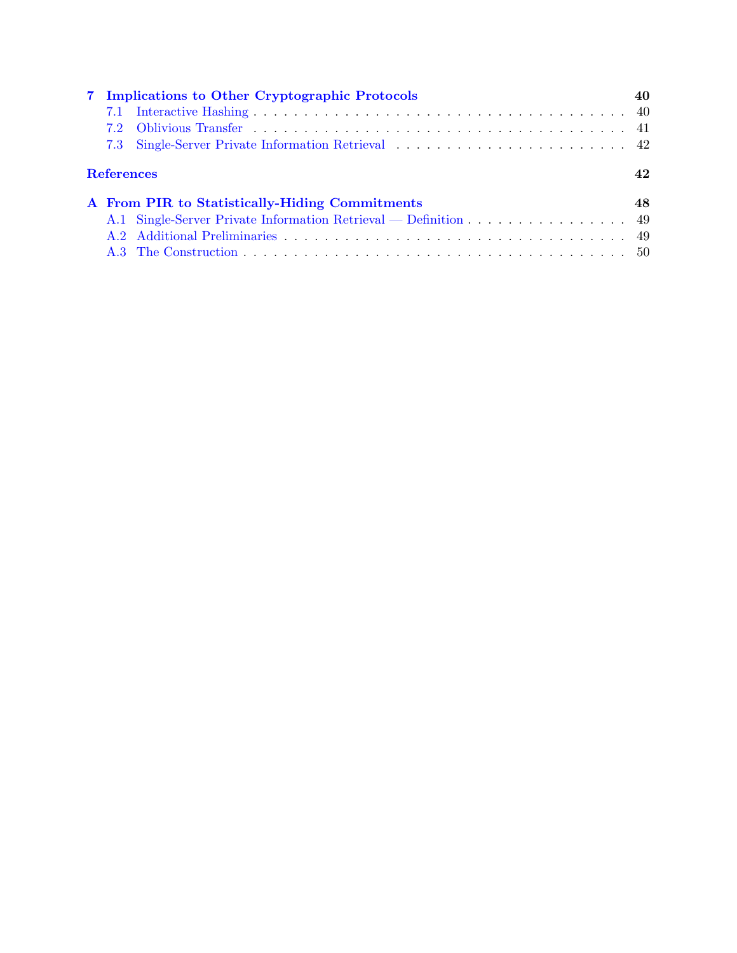|                   | 7 Implications to Other Cryptographic Protocols                                                                                                                                                                               |    |
|-------------------|-------------------------------------------------------------------------------------------------------------------------------------------------------------------------------------------------------------------------------|----|
| 7.1               |                                                                                                                                                                                                                               |    |
|                   |                                                                                                                                                                                                                               |    |
|                   |                                                                                                                                                                                                                               |    |
| <b>References</b> |                                                                                                                                                                                                                               | 42 |
|                   | A From PIR to Statistically-Hiding Commitments                                                                                                                                                                                | 48 |
|                   | A.1 Single-Server Private Information Retrieval — Definition 49                                                                                                                                                               |    |
|                   | A.2 Additional Preliminaries and the contract of the contract of the contract of the contract of the contract of the contract of the contract of the contract of the contract of the contract of the contract of the contract |    |
|                   |                                                                                                                                                                                                                               |    |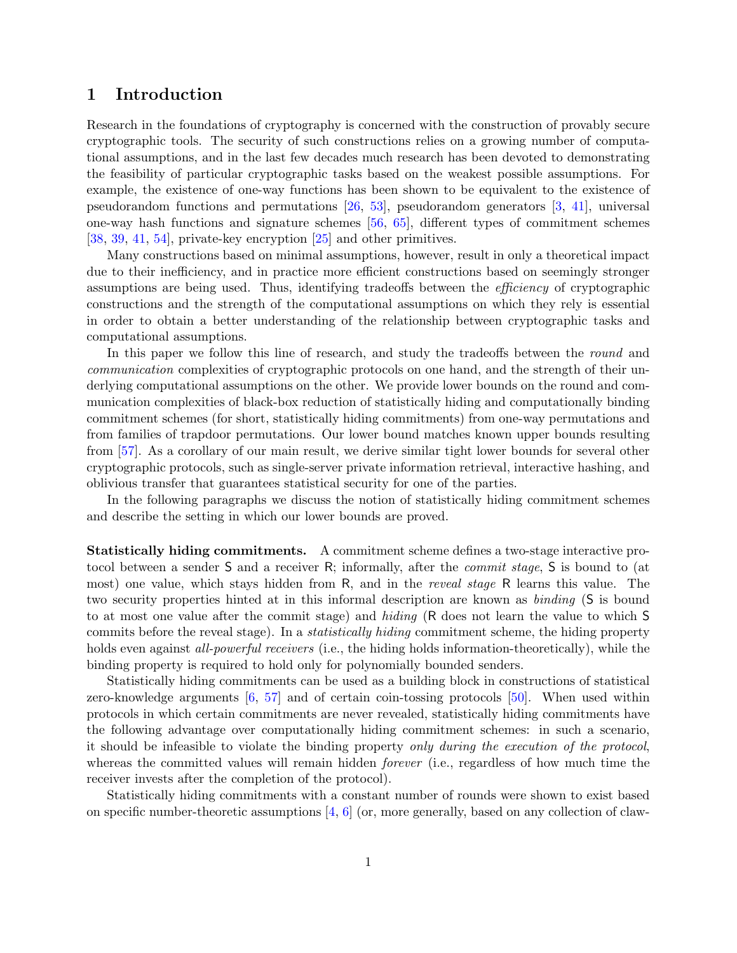# <span id="page-3-0"></span>1 Introduction

Research in the foundations of cryptography is concerned with the construction of provably secure cryptographic tools. The security of such constructions relies on a growing number of computational assumptions, and in the last few decades much research has been devoted to demonstrating the feasibility of particular cryptographic tasks based on the weakest possible assumptions. For example, the existence of one-way functions has been shown to be equivalent to the existence of pseudorandom functions and permutations [\[26,](#page-46-1) [53\]](#page-48-0), pseudorandom generators [\[3,](#page-45-0) [41\]](#page-47-2), universal one-way hash functions and signature schemes [\[56,](#page-48-1) [65\]](#page-49-1), different types of commitment schemes [\[38,](#page-47-3) [39,](#page-47-4) [41,](#page-47-2) [54\]](#page-48-2), private-key encryption [\[25\]](#page-46-2) and other primitives.

Many constructions based on minimal assumptions, however, result in only a theoretical impact due to their inefficiency, and in practice more efficient constructions based on seemingly stronger assumptions are being used. Thus, identifying tradeoffs between the efficiency of cryptographic constructions and the strength of the computational assumptions on which they rely is essential in order to obtain a better understanding of the relationship between cryptographic tasks and computational assumptions.

In this paper we follow this line of research, and study the tradeoffs between the *round* and communication complexities of cryptographic protocols on one hand, and the strength of their underlying computational assumptions on the other. We provide lower bounds on the round and communication complexities of black-box reduction of statistically hiding and computationally binding commitment schemes (for short, statistically hiding commitments) from one-way permutations and from families of trapdoor permutations. Our lower bound matches known upper bounds resulting from [\[57\]](#page-48-3). As a corollary of our main result, we derive similar tight lower bounds for several other cryptographic protocols, such as single-server private information retrieval, interactive hashing, and oblivious transfer that guarantees statistical security for one of the parties.

In the following paragraphs we discuss the notion of statistically hiding commitment schemes and describe the setting in which our lower bounds are proved.

Statistically hiding commitments. A commitment scheme defines a two-stage interactive protocol between a sender S and a receiver R; informally, after the commit stage, S is bound to (at most) one value, which stays hidden from R, and in the reveal stage R learns this value. The two security properties hinted at in this informal description are known as binding (S is bound to at most one value after the commit stage) and hiding (R does not learn the value to which S commits before the reveal stage). In a statistically hiding commitment scheme, the hiding property holds even against *all-powerful receivers* (i.e., the hiding holds information-theoretically), while the binding property is required to hold only for polynomially bounded senders.

Statistically hiding commitments can be used as a building block in constructions of statistical zero-knowledge arguments [\[6,](#page-45-1) [57\]](#page-48-3) and of certain coin-tossing protocols [\[50\]](#page-48-4). When used within protocols in which certain commitments are never revealed, statistically hiding commitments have the following advantage over computationally hiding commitment schemes: in such a scenario, it should be infeasible to violate the binding property only during the execution of the protocol, whereas the committed values will remain hidden *forever* (i.e., regardless of how much time the receiver invests after the completion of the protocol).

Statistically hiding commitments with a constant number of rounds were shown to exist based on specific number-theoretic assumptions  $[4, 6]$  $[4, 6]$  $[4, 6]$  (or, more generally, based on any collection of claw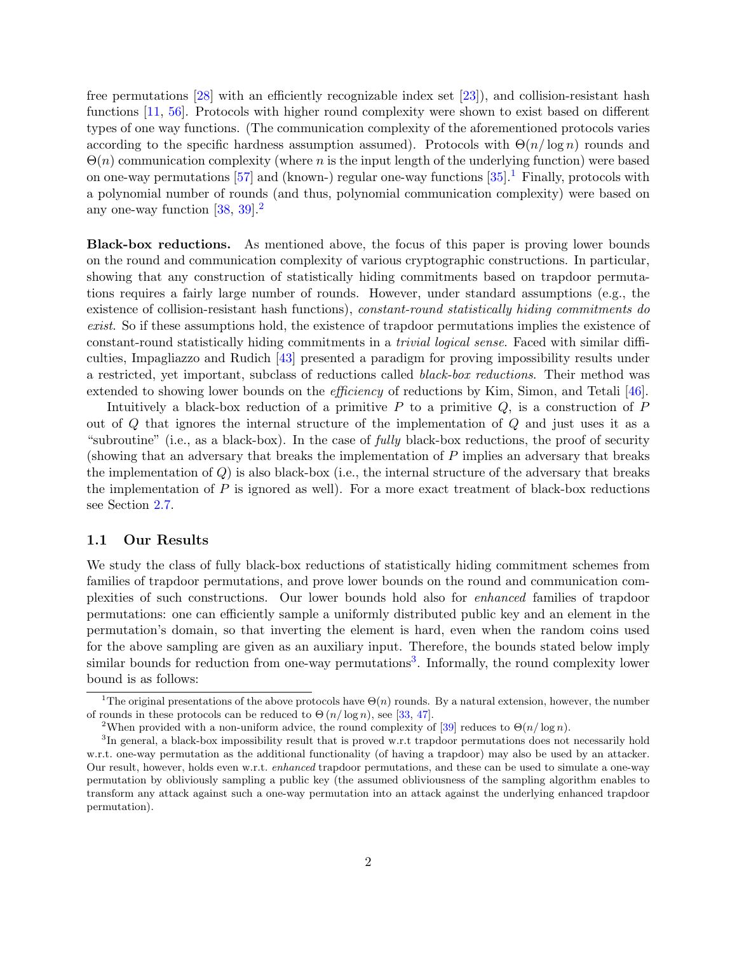free permutations [\[28\]](#page-46-3) with an efficiently recognizable index set [\[23\]](#page-46-4)), and collision-resistant hash functions [\[11,](#page-45-3) [56\]](#page-48-1). Protocols with higher round complexity were shown to exist based on different types of one way functions. (The communication complexity of the aforementioned protocols varies according to the specific hardness assumption assumed). Protocols with  $\Theta(n/\log n)$  rounds and  $\Theta(n)$  communication complexity (where n is the input length of the underlying function) were based on one-way permutations [\[57\]](#page-48-3) and (known-) regular one-way functions  $[35]$ .<sup>[1](#page-4-1)</sup> Finally, protocols with a polynomial number of rounds (and thus, polynomial communication complexity) were based on any one-way function  $[38, 39]$  $[38, 39]$  $[38, 39]$ <sup>[2](#page-4-2)</sup>

Black-box reductions. As mentioned above, the focus of this paper is proving lower bounds on the round and communication complexity of various cryptographic constructions. In particular, showing that any construction of statistically hiding commitments based on trapdoor permutations requires a fairly large number of rounds. However, under standard assumptions (e.g., the existence of collision-resistant hash functions), constant-round statistically hiding commitments do exist. So if these assumptions hold, the existence of trapdoor permutations implies the existence of constant-round statistically hiding commitments in a trivial logical sense. Faced with similar difficulties, Impagliazzo and Rudich [\[43\]](#page-47-6) presented a paradigm for proving impossibility results under a restricted, yet important, subclass of reductions called black-box reductions. Their method was extended to showing lower bounds on the *efficiency* of reductions by Kim, Simon, and Tetali [\[46\]](#page-48-5).

Intuitively a black-box reduction of a primitive  $P$  to a primitive  $Q$ , is a construction of  $P$ out of Q that ignores the internal structure of the implementation of Q and just uses it as a "subroutine" (i.e., as a black-box). In the case of *fully* black-box reductions, the proof of security (showing that an adversary that breaks the implementation of P implies an adversary that breaks the implementation of  $Q$ ) is also black-box (i.e., the internal structure of the adversary that breaks the implementation of  $P$  is ignored as well). For a more exact treatment of black-box reductions see Section [2.7.](#page-16-0)

#### <span id="page-4-0"></span>1.1 Our Results

We study the class of fully black-box reductions of statistically hiding commitment schemes from families of trapdoor permutations, and prove lower bounds on the round and communication complexities of such constructions. Our lower bounds hold also for enhanced families of trapdoor permutations: one can efficiently sample a uniformly distributed public key and an element in the permutation's domain, so that inverting the element is hard, even when the random coins used for the above sampling are given as an auxiliary input. Therefore, the bounds stated below imply similar bounds for reduction from one-way permutations<sup>[3](#page-4-3)</sup>. Informally, the round complexity lower bound is as follows:

<span id="page-4-1"></span><sup>&</sup>lt;sup>1</sup>The original presentations of the above protocols have  $\Theta(n)$  rounds. By a natural extension, however, the number of rounds in these protocols can be reduced to  $\Theta(n/\log n)$ , see [\[33,](#page-47-7) [47\]](#page-48-6).

<span id="page-4-3"></span><span id="page-4-2"></span><sup>&</sup>lt;sup>2</sup>When provided with a non-uniform advice, the round complexity of [\[39\]](#page-47-4) reduces to  $\Theta(n/\log n)$ .

<sup>&</sup>lt;sup>3</sup>In general, a black-box impossibility result that is proved w.r.t trapdoor permutations does not necessarily hold w.r.t. one-way permutation as the additional functionality (of having a trapdoor) may also be used by an attacker. Our result, however, holds even w.r.t. enhanced trapdoor permutations, and these can be used to simulate a one-way permutation by obliviously sampling a public key (the assumed obliviousness of the sampling algorithm enables to transform any attack against such a one-way permutation into an attack against the underlying enhanced trapdoor permutation).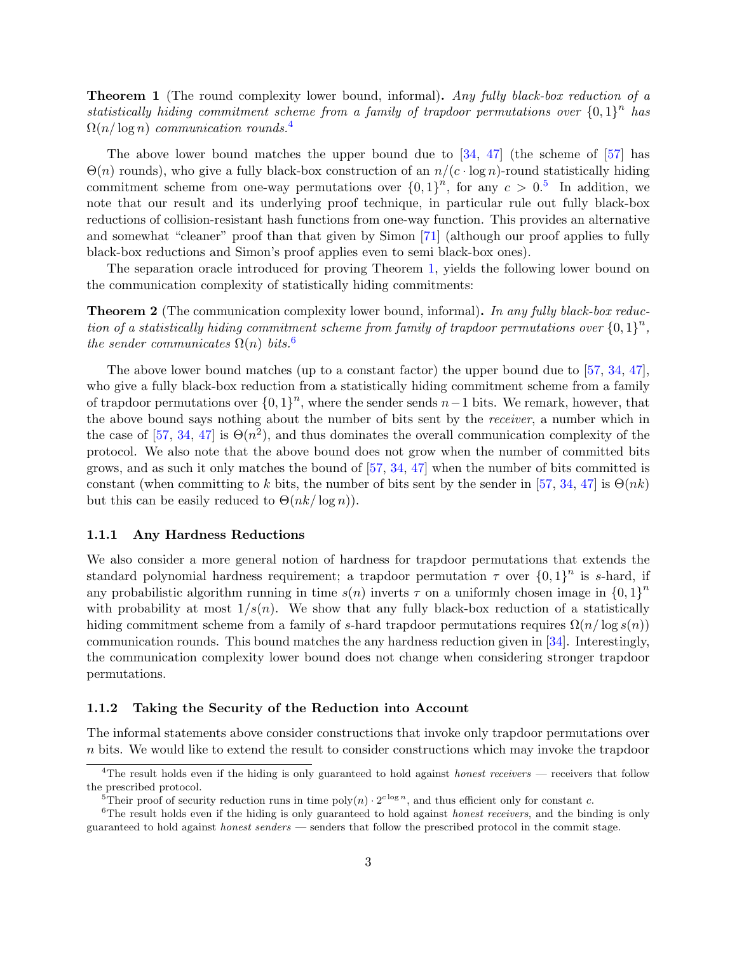<span id="page-5-4"></span>Theorem 1 (The round complexity lower bound, informal). Any fully black-box reduction of a statistically hiding commitment scheme from a family of trapdoor permutations over  ${0,1}^n$  has  $\Omega(n/\log n)$  communication rounds.<sup>[4](#page-5-2)</sup>

The above lower bound matches the upper bound due to [\[34,](#page-47-8) [47\]](#page-48-6) (the scheme of [\[57\]](#page-48-3) has  $\Theta(n)$  rounds), who give a fully black-box construction of an  $n/(c \cdot \log n)$ -round statistically hiding commitment scheme from one-way permutations over  $\{0,1\}^n$ , for any  $c > 0.5$  $c > 0.5$  In addition, we note that our result and its underlying proof technique, in particular rule out fully black-box reductions of collision-resistant hash functions from one-way function. This provides an alternative and somewhat "cleaner" proof than that given by Simon [\[71\]](#page-49-0) (although our proof applies to fully black-box reductions and Simon's proof applies even to semi black-box ones).

The separation oracle introduced for proving Theorem [1,](#page-5-4) yields the following lower bound on the communication complexity of statistically hiding commitments:

<span id="page-5-6"></span>**Theorem 2** (The communication complexity lower bound, informal). In any fully black-box reduction of a statistically hiding commitment scheme from family of trapdoor permutations over  $\{0,1\}^n$ , the sender communicates  $\Omega(n)$  bits.<sup>[6](#page-5-5)</sup>

The above lower bound matches (up to a constant factor) the upper bound due to [\[57,](#page-48-3) [34,](#page-47-8) [47\]](#page-48-6), who give a fully black-box reduction from a statistically hiding commitment scheme from a family of trapdoor permutations over  $\{0,1\}^n$ , where the sender sends n−1 bits. We remark, however, that the above bound says nothing about the number of bits sent by the receiver, a number which in the case of [\[57,](#page-48-3) [34,](#page-47-8) [47\]](#page-48-6) is  $\Theta(n^2)$ , and thus dominates the overall communication complexity of the protocol. We also note that the above bound does not grow when the number of committed bits grows, and as such it only matches the bound of  $[57, 34, 47]$  $[57, 34, 47]$  $[57, 34, 47]$  $[57, 34, 47]$  $[57, 34, 47]$  when the number of bits committed is constant (when committing to k bits, the number of bits sent by the sender in [\[57,](#page-48-3) [34,](#page-47-8) [47\]](#page-48-6) is  $\Theta(nk)$ but this can be easily reduced to  $\Theta(nk/\log n)$ .

#### <span id="page-5-0"></span>1.1.1 Any Hardness Reductions

We also consider a more general notion of hardness for trapdoor permutations that extends the standard polynomial hardness requirement; a trapdoor permutation  $\tau$  over  $\{0,1\}^n$  is s-hard, if any probabilistic algorithm running in time  $s(n)$  inverts  $\tau$  on a uniformly chosen image in  $\{0,1\}^n$ with probability at most  $1/s(n)$ . We show that any fully black-box reduction of a statistically hiding commitment scheme from a family of s-hard trapdoor permutations requires  $\Omega(n/\log s(n))$ communication rounds. This bound matches the any hardness reduction given in [\[34\]](#page-47-8). Interestingly, the communication complexity lower bound does not change when considering stronger trapdoor permutations.

#### <span id="page-5-1"></span>1.1.2 Taking the Security of the Reduction into Account

The informal statements above consider constructions that invoke only trapdoor permutations over n bits. We would like to extend the result to consider constructions which may invoke the trapdoor

<span id="page-5-2"></span><sup>&</sup>lt;sup>4</sup>The result holds even if the hiding is only guaranteed to hold against *honest receivers* — receivers that follow the prescribed protocol.

<span id="page-5-5"></span><span id="page-5-3"></span><sup>&</sup>lt;sup>5</sup>Their proof of security reduction runs in time  $poly(n) \cdot 2^{c \log n}$ , and thus efficient only for constant c.

 $6$ The result holds even if the hiding is only guaranteed to hold against *honest receivers*, and the binding is only guaranteed to hold against honest senders — senders that follow the prescribed protocol in the commit stage.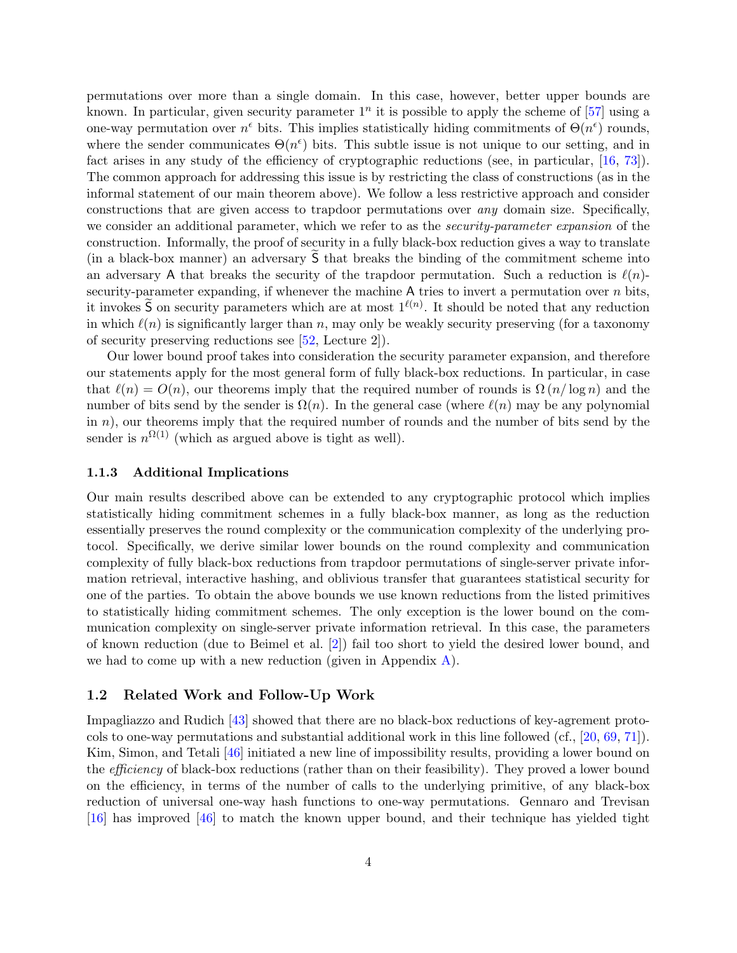permutations over more than a single domain. In this case, however, better upper bounds are known. In particular, given security parameter  $1^n$  it is possible to apply the scheme of [\[57\]](#page-48-3) using a one-way permutation over  $n^{\epsilon}$  bits. This implies statistically hiding commitments of  $\Theta(n^{\epsilon})$  rounds, where the sender communicates  $\Theta(n^{\epsilon})$  bits. This subtle issue is not unique to our setting, and in fact arises in any study of the efficiency of cryptographic reductions (see, in particular, [\[16,](#page-46-0) [73\]](#page-49-2)). The common approach for addressing this issue is by restricting the class of constructions (as in the informal statement of our main theorem above). We follow a less restrictive approach and consider constructions that are given access to trapdoor permutations over any domain size. Specifically, we consider an additional parameter, which we refer to as the *security-parameter expansion* of the construction. Informally, the proof of security in a fully black-box reduction gives a way to translate (in a black-box manner) an adversary S that breaks the binding of the commitment scheme into an adversary A that breaks the security of the trapdoor permutation. Such a reduction is  $\ell(n)$ security-parameter expanding, if whenever the machine  $A$  tries to invert a permutation over  $n$  bits, it invokes  $\tilde{S}$  on security parameters which are at most  $1^{\ell(n)}$ . It should be noted that any reduction in which  $\ell(n)$  is significantly larger than n, may only be weakly security preserving (for a taxonomy of security preserving reductions see [\[52,](#page-48-7) Lecture 2]).

Our lower bound proof takes into consideration the security parameter expansion, and therefore our statements apply for the most general form of fully black-box reductions. In particular, in case that  $\ell(n) = O(n)$ , our theorems imply that the required number of rounds is  $\Omega(n/\log n)$  and the number of bits send by the sender is  $\Omega(n)$ . In the general case (where  $\ell(n)$  may be any polynomial in  $n$ ), our theorems imply that the required number of rounds and the number of bits send by the sender is  $n^{\Omega(1)}$  (which as argued above is tight as well).

#### <span id="page-6-0"></span>1.1.3 Additional Implications

Our main results described above can be extended to any cryptographic protocol which implies statistically hiding commitment schemes in a fully black-box manner, as long as the reduction essentially preserves the round complexity or the communication complexity of the underlying protocol. Specifically, we derive similar lower bounds on the round complexity and communication complexity of fully black-box reductions from trapdoor permutations of single-server private information retrieval, interactive hashing, and oblivious transfer that guarantees statistical security for one of the parties. To obtain the above bounds we use known reductions from the listed primitives to statistically hiding commitment schemes. The only exception is the lower bound on the communication complexity on single-server private information retrieval. In this case, the parameters of known reduction (due to Beimel et al. [\[2\]](#page-45-4)) fail too short to yield the desired lower bound, and we had to come up with a new reduction (given in Appendix  $A$ ).

#### <span id="page-6-1"></span>1.2 Related Work and Follow-Up Work

Impagliazzo and Rudich [\[43\]](#page-47-6) showed that there are no black-box reductions of key-agrement protocols to one-way permutations and substantial additional work in this line followed (cf., [\[20,](#page-46-5) [69,](#page-49-3) [71\]](#page-49-0)). Kim, Simon, and Tetali [\[46\]](#page-48-5) initiated a new line of impossibility results, providing a lower bound on the efficiency of black-box reductions (rather than on their feasibility). They proved a lower bound on the efficiency, in terms of the number of calls to the underlying primitive, of any black-box reduction of universal one-way hash functions to one-way permutations. Gennaro and Trevisan [\[16\]](#page-46-0) has improved [\[46\]](#page-48-5) to match the known upper bound, and their technique has yielded tight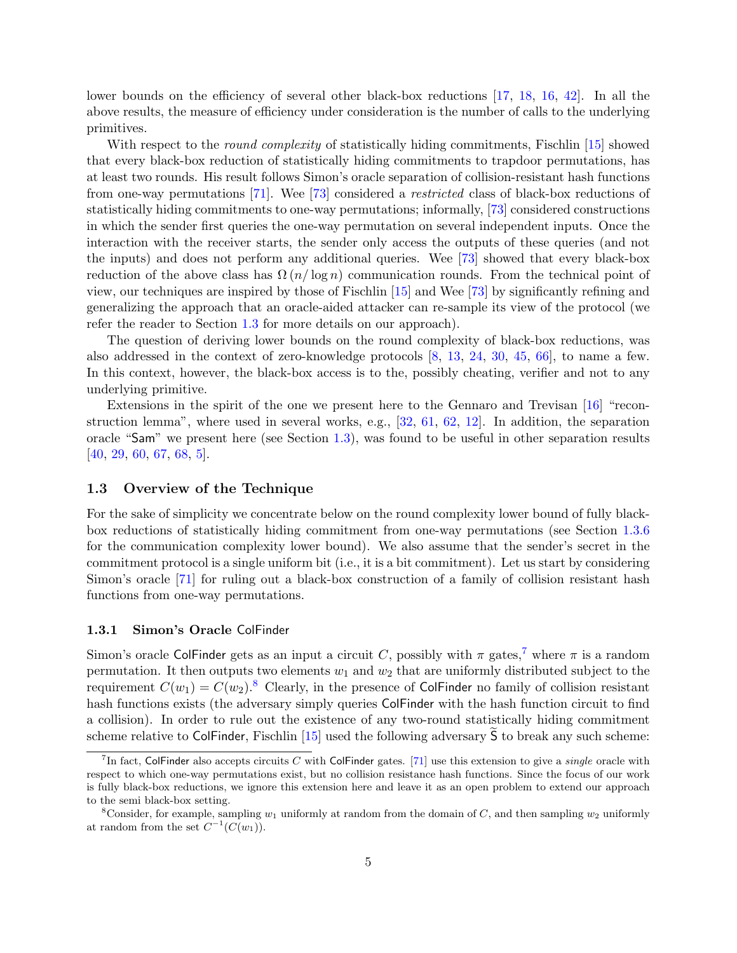lower bounds on the efficiency of several other black-box reductions [\[17,](#page-46-6) [18,](#page-46-7) [16,](#page-46-0) [42\]](#page-47-9). In all the above results, the measure of efficiency under consideration is the number of calls to the underlying primitives.

With respect to the *round complexity* of statistically hiding commitments, Fischlin [\[15\]](#page-45-5) showed that every black-box reduction of statistically hiding commitments to trapdoor permutations, has at least two rounds. His result follows Simon's oracle separation of collision-resistant hash functions from one-way permutations [\[71\]](#page-49-0). Wee [\[73\]](#page-49-2) considered a restricted class of black-box reductions of statistically hiding commitments to one-way permutations; informally, [\[73\]](#page-49-2) considered constructions in which the sender first queries the one-way permutation on several independent inputs. Once the interaction with the receiver starts, the sender only access the outputs of these queries (and not the inputs) and does not perform any additional queries. Wee [\[73\]](#page-49-2) showed that every black-box reduction of the above class has  $\Omega(n/\log n)$  communication rounds. From the technical point of view, our techniques are inspired by those of Fischlin [\[15\]](#page-45-5) and Wee [\[73\]](#page-49-2) by significantly refining and generalizing the approach that an oracle-aided attacker can re-sample its view of the protocol (we refer the reader to Section [1.3](#page-7-0) for more details on our approach).

The question of deriving lower bounds on the round complexity of black-box reductions, was also addressed in the context of zero-knowledge protocols [\[8,](#page-45-6) [13,](#page-45-7) [24,](#page-46-8) [30,](#page-46-9) [45,](#page-48-8) [66\]](#page-49-4), to name a few. In this context, however, the black-box access is to the, possibly cheating, verifier and not to any underlying primitive.

Extensions in the spirit of the one we present here to the Gennaro and Trevisan [\[16\]](#page-46-0) "reconstruction lemma", where used in several works, e.g.,  $[32, 61, 62, 12]$  $[32, 61, 62, 12]$  $[32, 61, 62, 12]$  $[32, 61, 62, 12]$  $[32, 61, 62, 12]$  $[32, 61, 62, 12]$  $[32, 61, 62, 12]$ . In addition, the separation oracle "Sam" we present here (see Section [1.3\)](#page-7-0), was found to be useful in other separation results [\[40,](#page-47-11) [29,](#page-46-10) [60,](#page-49-7) [67,](#page-49-8) [68,](#page-49-9) [5\]](#page-45-9).

#### <span id="page-7-0"></span>1.3 Overview of the Technique

For the sake of simplicity we concentrate below on the round complexity lower bound of fully blackbox reductions of statistically hiding commitment from one-way permutations (see Section [1.3.6](#page-11-0) for the communication complexity lower bound). We also assume that the sender's secret in the commitment protocol is a single uniform bit (i.e., it is a bit commitment). Let us start by considering Simon's oracle [\[71\]](#page-49-0) for ruling out a black-box construction of a family of collision resistant hash functions from one-way permutations.

#### <span id="page-7-1"></span>1.3.1 Simon's Oracle ColFinder

Simon's oracle ColFinder gets as an input a circuit C, possibly with  $\pi$  gates,<sup>[7](#page-7-2)</sup> where  $\pi$  is a random permutation. It then outputs two elements  $w_1$  and  $w_2$  that are uniformly distributed subject to the requirement  $C(w_1) = C(w_2)$ .<sup>[8](#page-7-3)</sup> Clearly, in the presence of ColFinder no family of collision resistant hash functions exists (the adversary simply queries ColFinder with the hash function circuit to find a collision). In order to rule out the existence of any two-round statistically hiding commitment scheme relative to ColFinder, Fischlin  $[15]$  used the following adversary S to break any such scheme:

<span id="page-7-2"></span><sup>&</sup>lt;sup>7</sup>In fact, ColFinder also accepts circuits C with ColFinder gates. [\[71\]](#page-49-0) use this extension to give a *single* oracle with respect to which one-way permutations exist, but no collision resistance hash functions. Since the focus of our work is fully black-box reductions, we ignore this extension here and leave it as an open problem to extend our approach to the semi black-box setting.

<span id="page-7-3"></span><sup>&</sup>lt;sup>8</sup>Consider, for example, sampling  $w_1$  uniformly at random from the domain of C, and then sampling  $w_2$  uniformly at random from the set  $C^{-1}(C(w_1)).$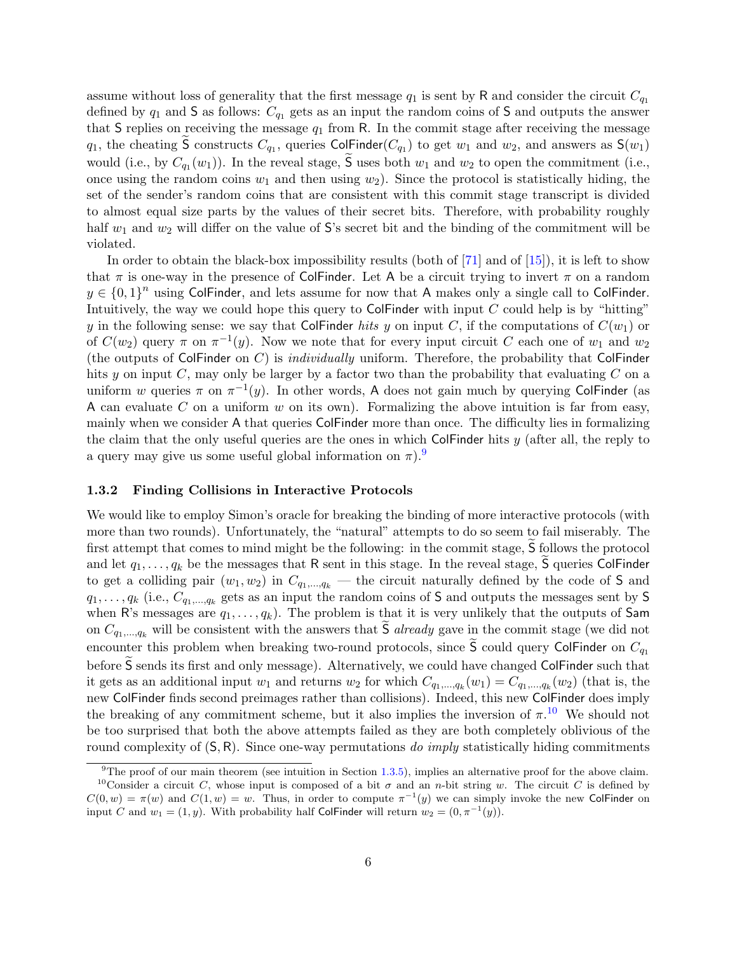assume without loss of generality that the first message  $q_1$  is sent by R and consider the circuit  $C_{q_1}$ defined by  $q_1$  and S as follows:  $C_{q_1}$  gets as an input the random coins of S and outputs the answer that S replies on receiving the message  $q_1$  from R. In the commit stage after receiving the message  $q_1$ , the cheating S constructs  $C_{q_1}$ , queries ColFinder( $C_{q_1}$ ) to get  $w_1$  and  $w_2$ , and answers as  $S(w_1)$ would (i.e., by  $C_{q_1}(w_1)$ ). In the reveal stage, **S** uses both  $w_1$  and  $w_2$  to open the commitment (i.e., once using the random coins  $w_1$  and then using  $w_2$ ). Since the protocol is statistically hiding, the set of the sender's random coins that are consistent with this commit stage transcript is divided to almost equal size parts by the values of their secret bits. Therefore, with probability roughly half  $w_1$  and  $w_2$  will differ on the value of S's secret bit and the binding of the commitment will be violated.

In order to obtain the black-box impossibility results (both of  $[71]$  and of  $[15]$ ), it is left to show that  $\pi$  is one-way in the presence of ColFinder. Let A be a circuit trying to invert  $\pi$  on a random  $y \in \{0,1\}^n$  using ColFinder, and lets assume for now that A makes only a single call to ColFinder. Intuitively, the way we could hope this query to ColFinder with input  $C$  could help is by "hitting" y in the following sense: we say that ColFinder hits y on input C, if the computations of  $C(w_1)$  or of  $C(w_2)$  query  $\pi$  on  $\pi^{-1}(y)$ . Now we note that for every input circuit C each one of  $w_1$  and  $w_2$ (the outputs of ColFinder on  $C$ ) is *individually* uniform. Therefore, the probability that ColFinder hits y on input  $C$ , may only be larger by a factor two than the probability that evaluating  $C$  on a uniform w queries  $\pi$  on  $\pi^{-1}(y)$ . In other words, A does not gain much by querying ColFinder (as A can evaluate C on a uniform  $w$  on its own). Formalizing the above intuition is far from easy, mainly when we consider A that queries ColFinder more than once. The difficulty lies in formalizing the claim that the only useful queries are the ones in which ColFinder hits  $y$  (after all, the reply to a query may give us some useful global information on  $\pi$ ).

#### <span id="page-8-0"></span>1.3.2 Finding Collisions in Interactive Protocols

We would like to employ Simon's oracle for breaking the binding of more interactive protocols (with more than two rounds). Unfortunately, the "natural" attempts to do so seem to fail miserably. The first attempt that comes to mind might be the following: in the commit stage, S follows the protocol and let  $q_1, \ldots, q_k$  be the messages that R sent in this stage. In the reveal stage, S queries ColFinder to get a colliding pair  $(w_1, w_2)$  in  $C_{q_1,...,q_k}$  — the circuit naturally defined by the code of S and  $q_1, \ldots, q_k$  (i.e.,  $C_{q_1,\ldots,q_k}$  gets as an input the random coins of S and outputs the messages sent by S when R's messages are  $q_1, \ldots, q_k$ ). The problem is that it is very unlikely that the outputs of Sam on  $C_{q_1,...,q_k}$  will be consistent with the answers that  $\tilde{S}$  already gave in the commit stage (we did not encounter this problem when breaking two-round protocols, since  $\tilde{S}$  could query ColFinder on  $C_{q_1}$ before  $\overline{S}$  sends its first and only message). Alternatively, we could have changed ColFinder such that it gets as an additional input  $w_1$  and returns  $w_2$  for which  $C_{q_1,...,q_k}(w_1) = C_{q_1,...,q_k}(w_2)$  (that is, the new ColFinder finds second preimages rather than collisions). Indeed, this new ColFinder does imply the breaking of any commitment scheme, but it also implies the inversion of  $\pi$ .<sup>[10](#page-8-2)</sup> We should not be too surprised that both the above attempts failed as they are both completely oblivious of the round complexity of  $(S, R)$ . Since one-way permutations do *imply* statistically hiding commitments

<span id="page-8-2"></span><span id="page-8-1"></span> $9$ The proof of our main theorem (see intuition in Section [1.3.5\)](#page-10-1), implies an alternative proof for the above claim. <sup>10</sup>Consider a circuit C, whose input is composed of a bit  $\sigma$  and an n-bit string w. The circuit C is defined by  $C(0, w) = \pi(w)$  and  $C(1, w) = w$ . Thus, in order to compute  $\pi^{-1}(y)$  we can simply invoke the new Colfinder on input C and  $w_1 = (1, y)$ . With probability half ColFinder will return  $w_2 = (0, \pi^{-1}(y))$ .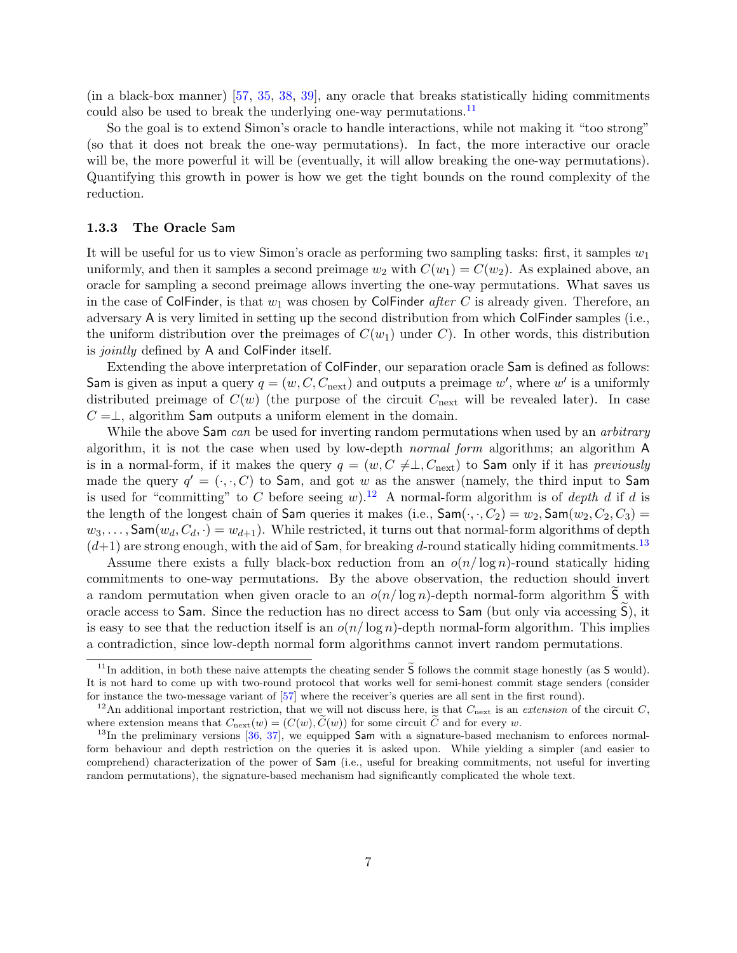(in a black-box manner) [\[57,](#page-48-3) [35,](#page-47-5) [38,](#page-47-3) [39\]](#page-47-4), any oracle that breaks statistically hiding commitments could also be used to break the underlying one-way permutations.<sup>[11](#page-9-1)</sup>

So the goal is to extend Simon's oracle to handle interactions, while not making it "too strong" (so that it does not break the one-way permutations). In fact, the more interactive our oracle will be, the more powerful it will be (eventually, it will allow breaking the one-way permutations). Quantifying this growth in power is how we get the tight bounds on the round complexity of the reduction.

#### <span id="page-9-0"></span>1.3.3 The Oracle Sam

It will be useful for us to view Simon's oracle as performing two sampling tasks: first, it samples  $w_1$ uniformly, and then it samples a second preimage  $w_2$  with  $C(w_1) = C(w_2)$ . As explained above, an oracle for sampling a second preimage allows inverting the one-way permutations. What saves us in the case of ColFinder, is that  $w_1$  was chosen by ColFinder *after C* is already given. Therefore, an adversary A is very limited in setting up the second distribution from which ColFinder samples (i.e., the uniform distribution over the preimages of  $C(w_1)$  under C). In other words, this distribution is *jointly* defined by A and ColFinder itself.

Extending the above interpretation of ColFinder, our separation oracle Sam is defined as follows: Sam is given as input a query  $q = (w, C, C_{\text{next}})$  and outputs a preimage w', where w' is a uniformly distributed preimage of  $C(w)$  (the purpose of the circuit  $C_{\text{next}}$  will be revealed later). In case  $C = \perp$ , algorithm Sam outputs a uniform element in the domain.

While the above Sam can be used for inverting random permutations when used by an arbitrary algorithm, it is not the case when used by low-depth normal form algorithms; an algorithm A is in a normal-form, if it makes the query  $q = (w, C \neq \perp, C_{\text{next}})$  to Sam only if it has previously made the query  $q' = (\cdot, \cdot, C)$  to Sam, and got w as the answer (namely, the third input to Sam is used for "committing" to C before seeing w).<sup>[12](#page-9-2)</sup> A normal-form algorithm is of *depth d* if d is the length of the longest chain of Sam queries it makes (i.e.,  $\text{Sam}(\cdot, \cdot, C_2) = w_2, \text{Sam}(w_2, C_2, C_3)$ )  $w_3, \ldots$ , Sam $(w_d, C_d, \cdot) = w_{d+1}$ . While restricted, it turns out that normal-form algorithms of depth  $(d+1)$  are strong enough, with the aid of Sam, for breaking d-round statically hiding commitments.<sup>[13](#page-9-3)</sup>

Assume there exists a fully black-box reduction from an  $o(n/\log n)$ -round statically hiding commitments to one-way permutations. By the above observation, the reduction should invert a random permutation when given oracle to an  $o(n/\log n)$ -depth normal-form algorithm  $\tilde{S}$  with oracle access to  $Sam$ . Since the reduction has no direct access to  $Sam$  (but only via accessing  $S$ ), it is easy to see that the reduction itself is an  $o(n/\log n)$ -depth normal-form algorithm. This implies a contradiction, since low-depth normal form algorithms cannot invert random permutations.

<span id="page-9-1"></span><sup>&</sup>lt;sup>11</sup>In addition, in both these naive attempts the cheating sender  $\tilde{S}$  follows the commit stage honestly (as S would). It is not hard to come up with two-round protocol that works well for semi-honest commit stage senders (consider for instance the two-message variant of [\[57\]](#page-48-3) where the receiver's queries are all sent in the first round).

<span id="page-9-2"></span><sup>&</sup>lt;sup>12</sup>An additional important restriction, that we will not discuss here, is that  $C_{\text{next}}$  is an *extension* of the circuit C, where extension means that  $C_{\text{next}}(w) = (C(w), \tilde{C}(w))$  for some circuit  $\tilde{C}$  and for every w.

<span id="page-9-3"></span> $13$ In the preliminary versions [\[36,](#page-47-0) [37\]](#page-47-1), we equipped Sam with a signature-based mechanism to enforces normalform behaviour and depth restriction on the queries it is asked upon. While yielding a simpler (and easier to comprehend) characterization of the power of Sam (i.e., useful for breaking commitments, not useful for inverting random permutations), the signature-based mechanism had significantly complicated the whole text.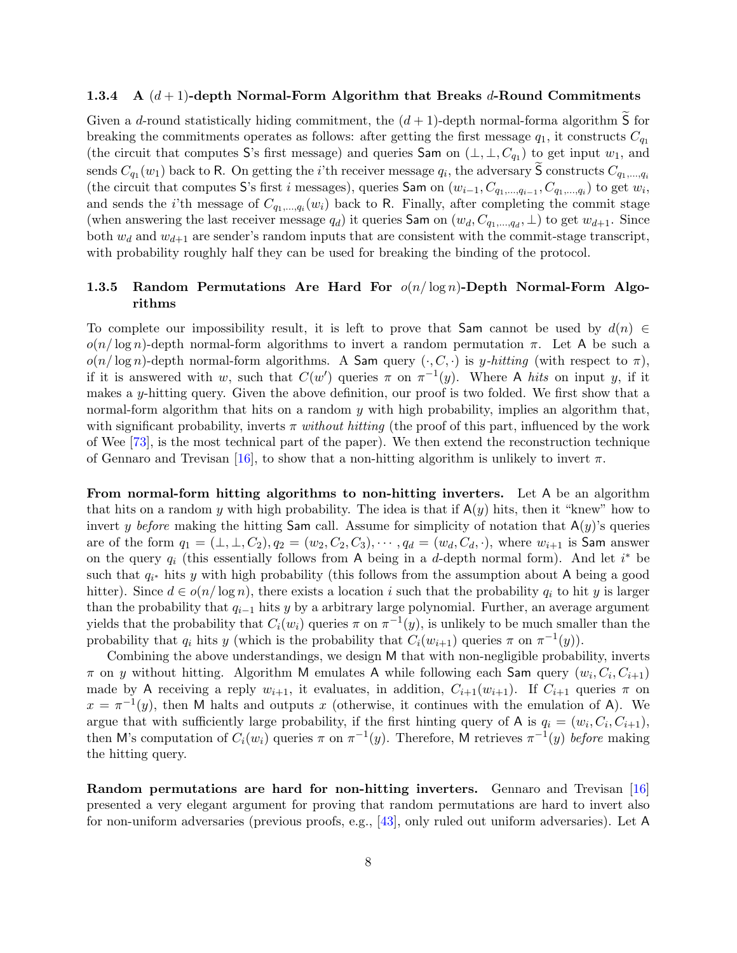#### <span id="page-10-0"></span>1.3.4 A  $(d+1)$ -depth Normal-Form Algorithm that Breaks d-Round Commitments

Given a d-round statistically hiding commitment, the  $(d+1)$ -depth normal-forma algorithm  $\overline{S}$  for breaking the commitments operates as follows: after getting the first message  $q_1$ , it constructs  $C_{q_1}$ (the circuit that computes S's first message) and queries Sam on  $(\perp, \perp, C_{q_1})$  to get input  $w_1$ , and sends  $C_{q_1}(w_1)$  back to R. On getting the *i*'th receiver message  $q_i$ , the adversary S constructs  $C_{q_1,...,q_i}$ (the circuit that computes S's first i messages), queries Sam on  $(w_{i-1}, C_{q_1,...,q_{i-1}}, C_{q_1,...,q_i})$  to get  $w_i$ , and sends the *i*'th message of  $C_{q_1,...,q_i}(w_i)$  back to R. Finally, after completing the commit stage (when answering the last receiver message  $q_d$ ) it queries Sam on  $(w_d, C_{q_1,...,q_d}, \perp)$  to get  $w_{d+1}$ . Since both  $w_d$  and  $w_{d+1}$  are sender's random inputs that are consistent with the commit-stage transcript, with probability roughly half they can be used for breaking the binding of the protocol.

## <span id="page-10-1"></span>1.3.5 Random Permutations Are Hard For  $o(n/\log n)$ -Depth Normal-Form Algorithms

To complete our impossibility result, it is left to prove that Sam cannot be used by  $d(n) \in$  $o(n/\log n)$ -depth normal-form algorithms to invert a random permutation π. Let A be such a  $o(n/\log n)$ -depth normal-form algorithms. A Sam query  $(\cdot, C, \cdot)$  is y-hitting (with respect to  $\pi$ ), if it is answered with w, such that  $C(w')$  queries  $\pi$  on  $\pi^{-1}(y)$ . Where A hits on input y, if it makes a y-hitting query. Given the above definition, our proof is two folded. We first show that a normal-form algorithm that hits on a random y with high probability, implies an algorithm that, with significant probability, inverts  $\pi$  without hitting (the proof of this part, influenced by the work of Wee [\[73\]](#page-49-2), is the most technical part of the paper). We then extend the reconstruction technique of Gennaro and Trevisan [\[16\]](#page-46-0), to show that a non-hitting algorithm is unlikely to invert  $\pi$ .

From normal-form hitting algorithms to non-hitting inverters. Let A be an algorithm that hits on a random y with high probability. The idea is that if  $A(y)$  hits, then it "knew" how to invert y before making the hitting Sam call. Assume for simplicity of notation that  $A(y)$ 's queries are of the form  $q_1 = (\perp, \perp, C_2), q_2 = (w_2, C_2, C_3), \cdots, q_d = (w_d, C_d, \cdot)$ , where  $w_{i+1}$  is Sam answer on the query  $q_i$  (this essentially follows from A being in a d-depth normal form). And let  $i^*$  be such that  $q_{i^*}$  hits y with high probability (this follows from the assumption about A being a good hitter). Since  $d \in o(n/\log n)$ , there exists a location i such that the probability  $q_i$  to hit y is larger than the probability that  $q_{i-1}$  hits y by a arbitrary large polynomial. Further, an average argument yields that the probability that  $C_i(w_i)$  queries  $\pi$  on  $\pi^{-1}(y)$ , is unlikely to be much smaller than the probability that  $q_i$  hits y (which is the probability that  $C_i(w_{i+1})$  queries  $\pi$  on  $\pi^{-1}(y)$ ).

Combining the above understandings, we design M that with non-negligible probability, inverts  $\pi$  on y without hitting. Algorithm M emulates A while following each Sam query  $(w_i, C_i, C_{i+1})$ made by A receiving a reply  $w_{i+1}$ , it evaluates, in addition,  $C_{i+1}(w_{i+1})$ . If  $C_{i+1}$  queries  $\pi$  on  $x = \pi^{-1}(y)$ , then M halts and outputs x (otherwise, it continues with the emulation of A). We argue that with sufficiently large probability, if the first hinting query of A is  $q_i = (w_i, C_i, C_{i+1}),$ then M's computation of  $C_i(w_i)$  queries  $\pi$  on  $\pi^{-1}(y)$ . Therefore, M retrieves  $\pi^{-1}(y)$  before making the hitting query.

Random permutations are hard for non-hitting inverters. Gennaro and Trevisan [\[16\]](#page-46-0) presented a very elegant argument for proving that random permutations are hard to invert also for non-uniform adversaries (previous proofs, e.g., [\[43\]](#page-47-6), only ruled out uniform adversaries). Let A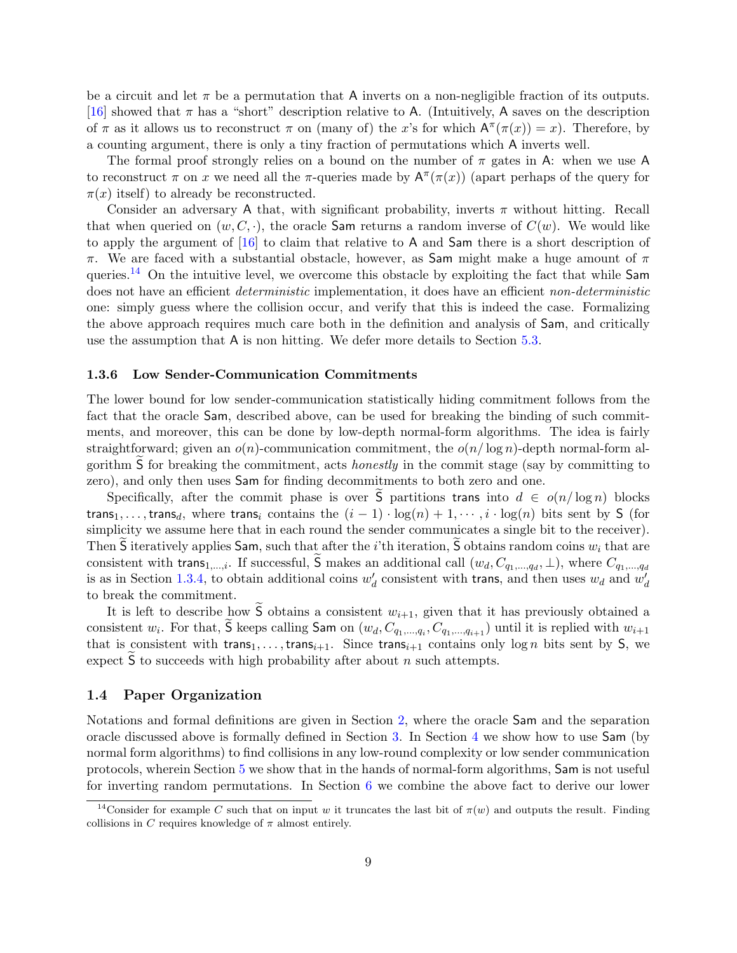be a circuit and let  $\pi$  be a permutation that A inverts on a non-negligible fraction of its outputs. [\[16\]](#page-46-0) showed that  $\pi$  has a "short" description relative to A. (Intuitively, A saves on the description of  $\pi$  as it allows us to reconstruct  $\pi$  on (many of) the x's for which  $A^{\pi}(\pi(x)) = x$ ). Therefore, by a counting argument, there is only a tiny fraction of permutations which A inverts well.

The formal proof strongly relies on a bound on the number of  $\pi$  gates in A: when we use A to reconstruct  $\pi$  on x we need all the  $\pi$ -queries made by  $A^{\pi}(\pi(x))$  (apart perhaps of the query for  $\pi(x)$  itself) to already be reconstructed.

Consider an adversary A that, with significant probability, inverts  $\pi$  without hitting. Recall that when queried on  $(w, C, \cdot)$ , the oracle Sam returns a random inverse of  $C(w)$ . We would like to apply the argument of [\[16\]](#page-46-0) to claim that relative to A and Sam there is a short description of π. We are faced with a substantial obstacle, however, as Sam might make a huge amount of π queries.<sup>[14](#page-11-2)</sup> On the intuitive level, we overcome this obstacle by exploiting the fact that while  $Sam$ does not have an efficient *deterministic* implementation, it does have an efficient non-deterministic one: simply guess where the collision occur, and verify that this is indeed the case. Formalizing the above approach requires much care both in the definition and analysis of Sam, and critically use the assumption that A is non hitting. We defer more details to Section [5.3.](#page-30-0)

#### <span id="page-11-0"></span>1.3.6 Low Sender-Communication Commitments

The lower bound for low sender-communication statistically hiding commitment follows from the fact that the oracle Sam, described above, can be used for breaking the binding of such commitments, and moreover, this can be done by low-depth normal-form algorithms. The idea is fairly straightforward; given an  $o(n)$ -communication commitment, the  $o(n/\log n)$ -depth normal-form algorithm S for breaking the commitment, acts *honestly* in the commit stage (say by committing to zero), and only then uses Sam for finding decommitments to both zero and one.

Specifically, after the commit phase is over S partitions trans into  $d \in o(n/\log n)$  blocks trans<sub>1</sub>, ..., trans<sub>d</sub>, where trans<sub>i</sub> contains the  $(i - 1) \cdot \log(n) + 1, \dots, i \cdot \log(n)$  bits sent by S (for simplicity we assume here that in each round the sender communicates a single bit to the receiver). Then S iteratively applies Sam, such that after the *i*'th iteration, S obtains random coins  $w_i$  that are consistent with trans<sub>1,...,i</sub>. If successful, S makes an additional call  $(w_d, C_{q_1,...,q_d}, \perp)$ , where  $C_{q_1,...,q_d}$ is as in Section [1.3.4,](#page-10-0) to obtain additional coins  $w_d$  consistent with trans, and then uses  $w_d$  and  $w_d$ to break the commitment.

It is left to describe how S obtains a consistent  $w_{i+1}$ , given that it has previously obtained a consistent  $w_i$ . For that, S keeps calling Sam on  $(w_d, C_{q_1,...,q_i}, C_{q_1,...,q_{i+1}})$  until it is replied with  $w_{i+1}$ that is consistent with trans<sub>1</sub>, ..., trans<sub>i+1</sub>. Since trans<sub>i+1</sub> contains only log n bits sent by S, we expect  $\tilde{S}$  to succeeds with high probability after about n such attempts.

#### <span id="page-11-1"></span>1.4 Paper Organization

Notations and formal definitions are given in Section [2,](#page-12-0) where the oracle Sam and the separation oracle discussed above is formally defined in Section [3.](#page-17-0) In Section [4](#page-19-0) we show how to use Sam (by normal form algorithms) to find collisions in any low-round complexity or low sender communication protocols, wherein Section [5](#page-25-0) we show that in the hands of normal-form algorithms, Sam is not useful for inverting random permutations. In Section [6](#page-38-0) we combine the above fact to derive our lower

<span id="page-11-2"></span><sup>&</sup>lt;sup>14</sup>Consider for example C such that on input w it truncates the last bit of  $\pi(w)$  and outputs the result. Finding collisions in C requires knowledge of  $\pi$  almost entirely.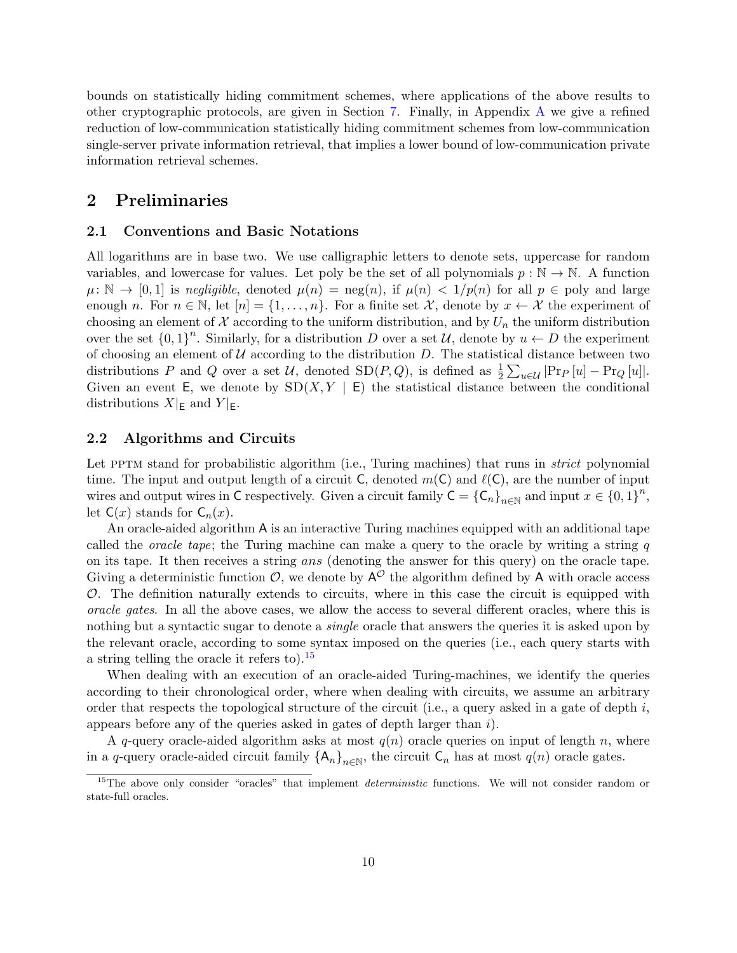bounds on statistically hiding commitment schemes, where applications of the above results to other cryptographic protocols, are given in Section [7.](#page-42-0) Finally, in Appendix [A](#page-50-0) we give a refined reduction of low-communication statistically hiding commitment schemes from low-communication single-server private information retrieval, that implies a lower bound of low-communication private information retrieval schemes.

# <span id="page-12-0"></span>2 Preliminaries

#### <span id="page-12-1"></span>2.1 Conventions and Basic Notations

All logarithms are in base two. We use calligraphic letters to denote sets, uppercase for random variables, and lowercase for values. Let poly be the set of all polynomials  $p : \mathbb{N} \to \mathbb{N}$ . A function  $\mu: \mathbb{N} \to [0, 1]$  is negligible, denoted  $\mu(n) = \text{neg}(n)$ , if  $\mu(n) < 1/p(n)$  for all  $p \in \text{poly}$  and large enough n. For  $n \in \mathbb{N}$ , let  $[n] = \{1, \ldots, n\}$ . For a finite set X, denote by  $x \leftarrow \mathcal{X}$  the experiment of choosing an element of  $\mathcal X$  according to the uniform distribution, and by  $U_n$  the uniform distribution over the set  $\{0,1\}^n$ . Similarly, for a distribution D over a set U, denote by  $u \leftarrow D$  the experiment of choosing an element of  $U$  according to the distribution  $D$ . The statistical distance between two distributions P and Q over a set U, denoted  $SD(P,Q)$ , is defined as  $\frac{1}{2} \sum_{u \in \mathcal{U}} |Pr_P[u] - Pr_Q[u]|$ . Given an event E, we denote by  $SD(X, Y | E)$  the statistical distance between the conditional distributions  $X|_E$  and  $Y|_E$ .

#### <span id="page-12-2"></span>2.2 Algorithms and Circuits

Let PPTM stand for probabilistic algorithm (i.e., Turing machines) that runs in *strict* polynomial time. The input and output length of a circuit C, denoted  $m(\mathsf{C})$  and  $\ell(\mathsf{C})$ , are the number of input wires and output wires in C respectively. Given a circuit family  $C = {C_n}_{n \in \mathbb{N}}$  and input  $x \in \{0,1\}^n$ , let  $C(x)$  stands for  $C_n(x)$ .

An oracle-aided algorithm A is an interactive Turing machines equipped with an additional tape called the *oracle tape*; the Turing machine can make a query to the oracle by writing a string q on its tape. It then receives a string ans (denoting the answer for this query) on the oracle tape. Giving a deterministic function  $\mathcal{O}$ , we denote by  $A^{\mathcal{O}}$  the algorithm defined by A with oracle access  $\mathcal{O}$ . The definition naturally extends to circuits, where in this case the circuit is equipped with oracle gates. In all the above cases, we allow the access to several different oracles, where this is nothing but a syntactic sugar to denote a *single* oracle that answers the queries it is asked upon by the relevant oracle, according to some syntax imposed on the queries (i.e., each query starts with a string telling the oracle it refers to). $15$ 

When dealing with an execution of an oracle-aided Turing-machines, we identify the queries according to their chronological order, where when dealing with circuits, we assume an arbitrary order that respects the topological structure of the circuit (i.e., a query asked in a gate of depth  $i$ , appears before any of the queries asked in gates of depth larger than i).

A q-query oracle-aided algorithm asks at most  $q(n)$  oracle queries on input of length n, where in a q-query oracle-aided circuit family  $\{A_n\}_{n\in\mathbb{N}}$ , the circuit  $C_n$  has at most  $q(n)$  oracle gates.

<span id="page-12-3"></span> $15$ The above only consider "oracles" that implement *deterministic* functions. We will not consider random or state-full oracles.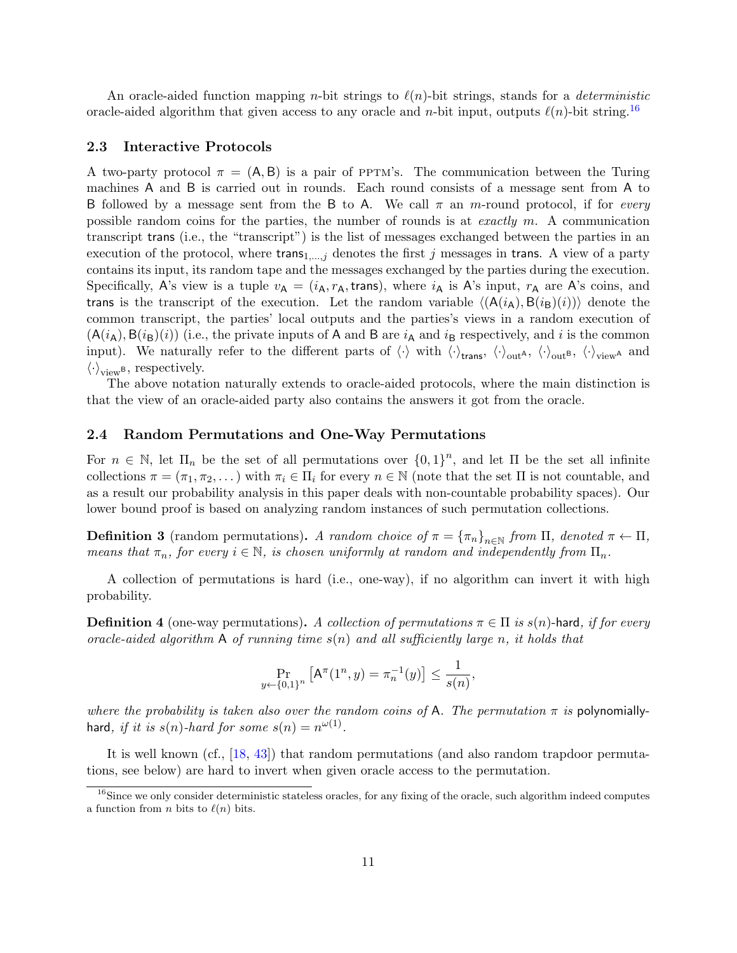An oracle-aided function mapping *n*-bit strings to  $\ell(n)$ -bit strings, stands for a *deterministic* oracle-aided algorithm that given access to any oracle and n-bit input, outputs  $\ell(n)$ -bit string.<sup>[16](#page-13-2)</sup>

#### <span id="page-13-0"></span>2.3 Interactive Protocols

A two-party protocol  $\pi = (A, B)$  is a pair of PPTM's. The communication between the Turing machines A and B is carried out in rounds. Each round consists of a message sent from A to B followed by a message sent from the B to A. We call  $\pi$  an m-round protocol, if for *every* possible random coins for the parties, the number of rounds is at exactly  $m$ . A communication transcript trans (i.e., the "transcript") is the list of messages exchanged between the parties in an execution of the protocol, where trans $_{1,...,j}$  denotes the first j messages in trans. A view of a party contains its input, its random tape and the messages exchanged by the parties during the execution. Specifically, A's view is a tuple  $v_A = (i_A, r_A, \text{trans})$ , where  $i_A$  is A's input,  $r_A$  are A's coins, and trans is the transcript of the execution. Let the random variable  $\langle A(i_A), B(i_B)(i) \rangle$  denote the common transcript, the parties' local outputs and the parties's views in a random execution of  $(A(i_A), B(i_B)(i))$  (i.e., the private inputs of A and B are  $i_A$  and  $i_B$  respectively, and i is the common input). We naturally refer to the different parts of  $\langle \cdot \rangle$  with  $\langle \cdot \rangle_{\text{trans}}$ ,  $\langle \cdot \rangle_{\text{out}^B}$ ,  $\langle \cdot \rangle_{\text{view}^A}$  and  $\langle \cdot \rangle_{\text{view}}$ <sup>B</sup>, respectively.

The above notation naturally extends to oracle-aided protocols, where the main distinction is that the view of an oracle-aided party also contains the answers it got from the oracle.

#### <span id="page-13-1"></span>2.4 Random Permutations and One-Way Permutations

For  $n \in \mathbb{N}$ , let  $\Pi_n$  be the set of all permutations over  $\{0,1\}^n$ , and let  $\Pi$  be the set all infinite collections  $\pi = (\pi_1, \pi_2, \dots)$  with  $\pi_i \in \Pi_i$  for every  $n \in \mathbb{N}$  (note that the set  $\Pi$  is not countable, and as a result our probability analysis in this paper deals with non-countable probability spaces). Our lower bound proof is based on analyzing random instances of such permutation collections.

**Definition 3** (random permutations). A random choice of  $\pi = {\pi_n}_{n \in \mathbb{N}}$  from  $\Pi$ , denoted  $\pi \leftarrow \Pi$ , means that  $\pi_n$ , for every  $i \in \mathbb{N}$ , is chosen uniformly at random and independently from  $\Pi_n$ .

A collection of permutations is hard (i.e., one-way), if no algorithm can invert it with high probability.

**Definition 4** (one-way permutations). A collection of permutations  $\pi \in \Pi$  is  $s(n)$ -hard, if for every oracle-aided algorithm A of running time  $s(n)$  and all sufficiently large n, it holds that

$$
\Pr_{y \leftarrow \{0,1\}^n} \left[ \mathsf{A}^\pi(1^n, y) = \pi_n^{-1}(y) \right] \le \frac{1}{s(n)},
$$

where the probability is taken also over the random coins of A. The permutation  $\pi$  is polynomiallyhard, if it is  $s(n)$ -hard for some  $s(n) = n^{\omega(1)}$ .

It is well known (cf., [\[18,](#page-46-7) [43\]](#page-47-6)) that random permutations (and also random trapdoor permutations, see below) are hard to invert when given oracle access to the permutation.

<span id="page-13-2"></span> $^{16}$ Since we only consider deterministic stateless oracles, for any fixing of the oracle, such algorithm indeed computes a function from *n* bits to  $\ell(n)$  bits.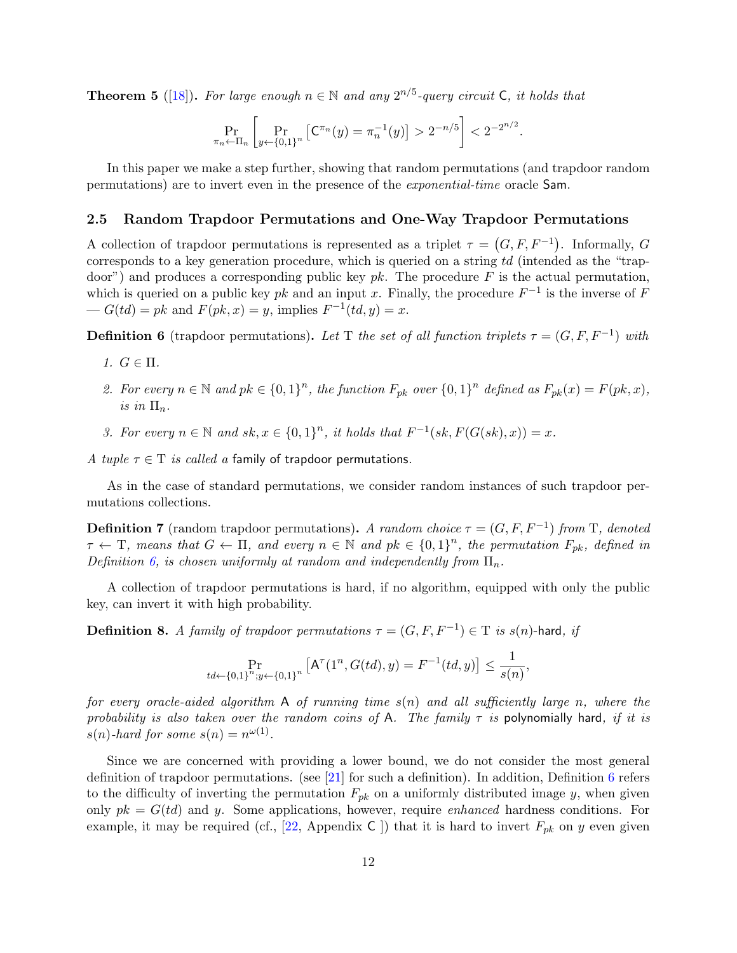**Theorem 5** ([\[18\]](#page-46-7)). For large enough  $n \in \mathbb{N}$  and any  $2^{n/5}$ -query circuit C, it holds that

$$
\Pr_{\pi_n \leftarrow \Pi_n} \left[ \Pr_{y \leftarrow \{0,1\}^n} \left[ \mathsf{C}^{\pi_n}(y) = \pi_n^{-1}(y) \right] > 2^{-n/5} \right] < 2^{-2^{n/2}}.
$$

In this paper we make a step further, showing that random permutations (and trapdoor random permutations) are to invert even in the presence of the exponential-time oracle Sam.

#### <span id="page-14-0"></span>2.5 Random Trapdoor Permutations and One-Way Trapdoor Permutations

A collection of trapdoor permutations is represented as a triplet  $\tau = (G, F, F^{-1})$ . Informally, G corresponds to a key generation procedure, which is queried on a string td (intended as the "trapdoor") and produces a corresponding public key  $pk$ . The procedure F is the actual permutation, which is queried on a public key pk and an input x. Finally, the procedure  $F^{-1}$  is the inverse of F  $-G(td) = pk$  and  $F(pk, x) = y$ , implies  $F^{-1}(td, y) = x$ .

<span id="page-14-1"></span>**Definition 6** (trapdoor permutations). Let T the set of all function triplets  $\tau = (G, F, F^{-1})$  with

- 1.  $G \in \Pi$ .
- 2. For every  $n \in \mathbb{N}$  and  $pk \in \{0,1\}^n$ , the function  $F_{pk}$  over  $\{0,1\}^n$  defined as  $F_{pk}(x) = F(pk, x)$ , is in  $\Pi_n$ .
- 3. For every  $n \in \mathbb{N}$  and  $sk, x \in \{0,1\}^n$ , it holds that  $F^{-1}(sk, F(G(sk), x)) = x$ .

A tuple  $\tau \in T$  is called a family of trapdoor permutations.

As in the case of standard permutations, we consider random instances of such trapdoor permutations collections.

**Definition 7** (random trapdoor permutations). A random choice  $\tau = (G, F, F^{-1})$  from T, denoted  $\tau \leftarrow$  T, means that  $G \leftarrow \Pi$ , and every  $n \in \mathbb{N}$  and  $pk \in \{0,1\}^n$ , the permutation  $F_{pk}$ , defined in Definition [6,](#page-14-1) is chosen uniformly at random and independently from  $\Pi_n$ .

A collection of trapdoor permutations is hard, if no algorithm, equipped with only the public key, can invert it with high probability.

**Definition 8.** A family of trapdoor permutations  $\tau = (G, F, F^{-1}) \in T$  is  $s(n)$ -hard, if

$$
\Pr_{td \leftarrow \{0,1\}^n; y \leftarrow \{0,1\}^n} \left[ \mathsf{A}^\tau(1^n, G(td), y) = F^{-1}(td, y) \right] \le \frac{1}{s(n)},
$$

for every oracle-aided algorithm A of running time  $s(n)$  and all sufficiently large n, where the probability is also taken over the random coins of A. The family  $\tau$  is polynomially hard, if it is  $s(n)$ -hard for some  $s(n) = n^{\omega(1)}$ .

Since we are concerned with providing a lower bound, we do not consider the most general definition of trapdoor permutations. (see [\[21\]](#page-46-11) for such a definition). In addition, Definition  $6$  refers to the difficulty of inverting the permutation  $F_{pk}$  on a uniformly distributed image y, when given only  $pk = G(td)$  and y. Some applications, however, require *enhanced* hardness conditions. For example, it may be required (cf., [\[22,](#page-46-12) Appendix C ]) that it is hard to invert  $F_{pk}$  on y even given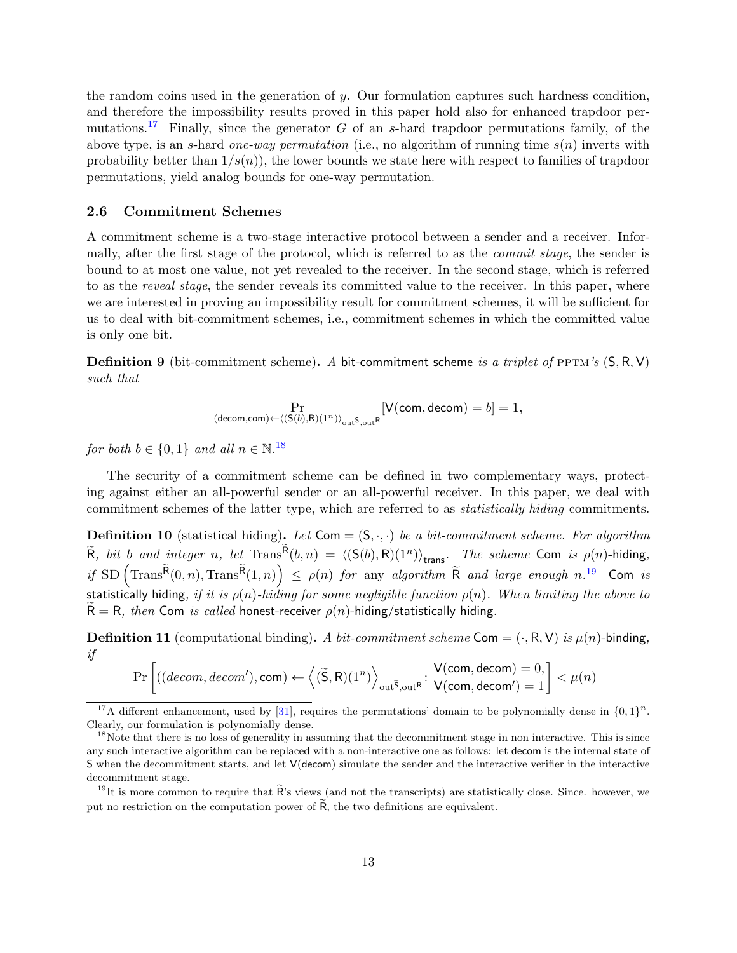the random coins used in the generation of y. Our formulation captures such hardness condition, and therefore the impossibility results proved in this paper hold also for enhanced trapdoor per-mutations.<sup>[17](#page-15-1)</sup> Finally, since the generator  $G$  of an s-hard trapdoor permutations family, of the above type, is an s-hard one-way permutation (i.e., no algorithm of running time  $s(n)$  inverts with probability better than  $1/s(n)$ , the lower bounds we state here with respect to families of trapdoor permutations, yield analog bounds for one-way permutation.

#### <span id="page-15-0"></span>2.6 Commitment Schemes

A commitment scheme is a two-stage interactive protocol between a sender and a receiver. Informally, after the first stage of the protocol, which is referred to as the commit stage, the sender is bound to at most one value, not yet revealed to the receiver. In the second stage, which is referred to as the *reveal stage*, the sender reveals its committed value to the receiver. In this paper, where we are interested in proving an impossibility result for commitment schemes, it will be sufficient for us to deal with bit-commitment schemes, i.e., commitment schemes in which the committed value is only one bit.

**Definition 9** (bit-commitment scheme). A bit-commitment scheme is a triplet of PPTM's  $(S, R, V)$ such that

$$
\Pr_{(\mathsf{decom},\mathsf{com})\leftarrow \langle (\mathsf{S}(b),\mathsf{R})(1^n)\rangle_{\mathsf{out}} \mathsf{S},\mathsf{out}^{\mathsf{R}} }[\mathsf{V}(\mathsf{com},\mathsf{decom})=b]=1,
$$

for both  $b \in \{0, 1\}$  and all  $n \in \mathbb{N}$ .<sup>[18](#page-15-2)</sup>

The security of a commitment scheme can be defined in two complementary ways, protecting against either an all-powerful sender or an all-powerful receiver. In this paper, we deal with commitment schemes of the latter type, which are referred to as statistically hiding commitments.

**Definition 10** (statistical hiding). Let  $Com = (S, \cdot, \cdot)$  be a bit-commitment scheme. For algorithm  $\widetilde{R}$ , bit b and integer n, let  $\text{Trans}^R(b,n) = \langle (\mathsf{S}(b),\mathsf{R})(1^n) \rangle_{\text{trans}}.$  The scheme Com is  $\rho(n)$ -hiding, if  $SD(Trans^{\widetilde{R}}(0,n), Trans^{\widetilde{R}}(1,n)) \leq \rho(n)$  for any algorithm  $\widetilde{R}$  and large enough n.<sup>[19](#page-15-3)</sup> Com is statistically hiding, if it is  $\rho(n)$ -hiding for some negligible function  $\rho(n)$ . When limiting the above to  $R = R$ , then Com is called honest-receiver  $\rho(n)$ -hiding/statistically hiding.

<span id="page-15-4"></span>**Definition 11** (computational binding). A bit-commitment scheme Com =  $(\cdot, R, V)$  is  $\mu(n)$ -binding, if

$$
\Pr\left[((decom, decom'), com) \leftarrow \left\langle (\widetilde{S}, R)(1^n) \right\rangle_{out^{\widetilde{S}}, out^R} : \begin{aligned} V(\mathsf{com}, \mathsf{decom}) = 0, \\ V(\mathsf{com}, \mathsf{decom}') = 1 \end{aligned} \right] < \mu(n)
$$

<span id="page-15-1"></span><sup>&</sup>lt;sup>17</sup>A different enhancement, used by [\[31\]](#page-47-12), requires the permutations' domain to be polynomially dense in  ${0,1}^n$ . Clearly, our formulation is polynomially dense.

<span id="page-15-2"></span><sup>&</sup>lt;sup>18</sup>Note that there is no loss of generality in assuming that the decommitment stage in non interactive. This is since any such interactive algorithm can be replaced with a non-interactive one as follows: let decom is the internal state of S when the decommitment starts, and let V(decom) simulate the sender and the interactive verifier in the interactive decommitment stage.

<span id="page-15-3"></span><sup>&</sup>lt;sup>19</sup>It is more common to require that  $\widetilde{R}$ 's views (and not the transcripts) are statistically close. Since, however, we put no restriction on the computation power of  $\tilde{R}$ , the two definitions are equivalent.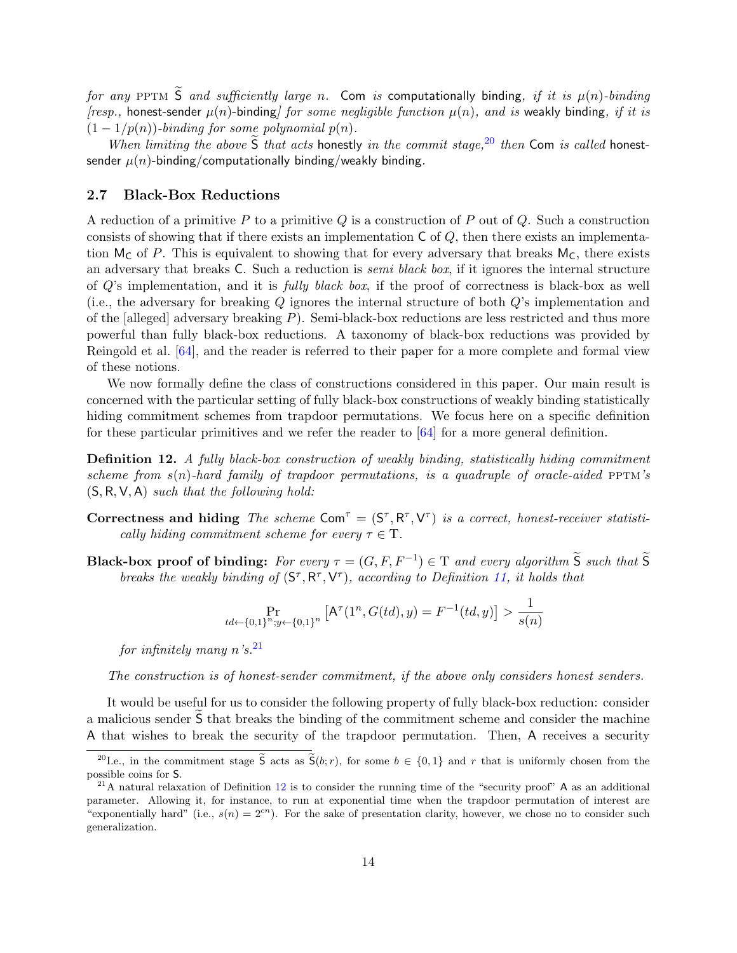for any PPTM  $\widetilde{S}$  and sufficiently large n. Com is computationally binding, if it is  $\mu(n)$ -binding [resp., honest-sender  $\mu(n)$ -binding] for some negligible function  $\mu(n)$ , and is weakly binding, if it is  $(1 - 1/p(n))$ -binding for some polynomial  $p(n)$ .

When limiting the above  $\tilde{S}$  that acts honestly in the commit stage,  $20$  then Com is called honestsender  $\mu(n)$ -binding/computationally binding/weakly binding.

#### <span id="page-16-0"></span>2.7 Black-Box Reductions

A reduction of a primitive P to a primitive Q is a construction of P out of Q. Such a construction consists of showing that if there exists an implementation  $\mathsf C$  of  $Q$ , then there exists an implementation  $M_C$  of P. This is equivalent to showing that for every adversary that breaks  $M_C$ , there exists an adversary that breaks C. Such a reduction is *semi black box*, if it ignores the internal structure of  $Q$ 's implementation, and it is *fully black box*, if the proof of correctness is black-box as well (i.e., the adversary for breaking Q ignores the internal structure of both Q's implementation and of the [alleged] adversary breaking  $P$ ). Semi-black-box reductions are less restricted and thus more powerful than fully black-box reductions. A taxonomy of black-box reductions was provided by Reingold et al. [\[64\]](#page-49-10), and the reader is referred to their paper for a more complete and formal view of these notions.

We now formally define the class of constructions considered in this paper. Our main result is concerned with the particular setting of fully black-box constructions of weakly binding statistically hiding commitment schemes from trapdoor permutations. We focus here on a specific definition for these particular primitives and we refer the reader to [\[64\]](#page-49-10) for a more general definition.

<span id="page-16-3"></span>Definition 12. A fully black-box construction of weakly binding, statistically hiding commitment scheme from  $s(n)$ -hard family of trapdoor permutations, is a quadruple of oracle-aided PPTM's  $(S, R, V, A)$  such that the following hold:

- Correctness and hiding The scheme Com<sup>T</sup> =  $(S^{\tau}, R^{\tau}, V^{\tau})$  is a correct, honest-receiver statistically hiding commitment scheme for every  $\tau \in \mathcal{T}$ .
- **Black-box proof of binding:** For every  $\tau = (G, F, F^{-1}) \in \mathcal{T}$  and every algorithm  $\widetilde{S}$  such that  $\widetilde{S}$ breaks the weakly binding of  $(S^{\tau}, R^{\tau}, V^{\tau})$ , according to Definition [11,](#page-15-4) it holds that

$$
\Pr_{td \leftarrow \{0,1\}^n; y \leftarrow \{0,1\}^n} \left[ \mathsf{A}^\tau(1^n, G(td), y) = F^{-1}(td, y) \right] > \frac{1}{s(n)}
$$

for infinitely many  $n's$ .<sup>[21](#page-16-2)</sup>

The construction is of honest-sender commitment, if the above only considers honest senders.

It would be useful for us to consider the following property of fully black-box reduction: consider a malicious sender S that breaks the binding of the commitment scheme and consider the machine A that wishes to break the security of the trapdoor permutation. Then, A receives a security

<span id="page-16-1"></span><sup>&</sup>lt;sup>20</sup>I.e., in the commitment stage  $\tilde{S}$  acts as  $\tilde{S}(b; r)$ , for some  $b \in \{0, 1\}$  and r that is uniformly chosen from the possible coins for S.

<span id="page-16-2"></span> $^{21}$ A natural relaxation of Definition [12](#page-16-3) is to consider the running time of the "security proof" A as an additional parameter. Allowing it, for instance, to run at exponential time when the trapdoor permutation of interest are "exponentially hard" (i.e.,  $s(n) = 2<sup>cn</sup>$ ). For the sake of presentation clarity, however, we chose no to consider such generalization.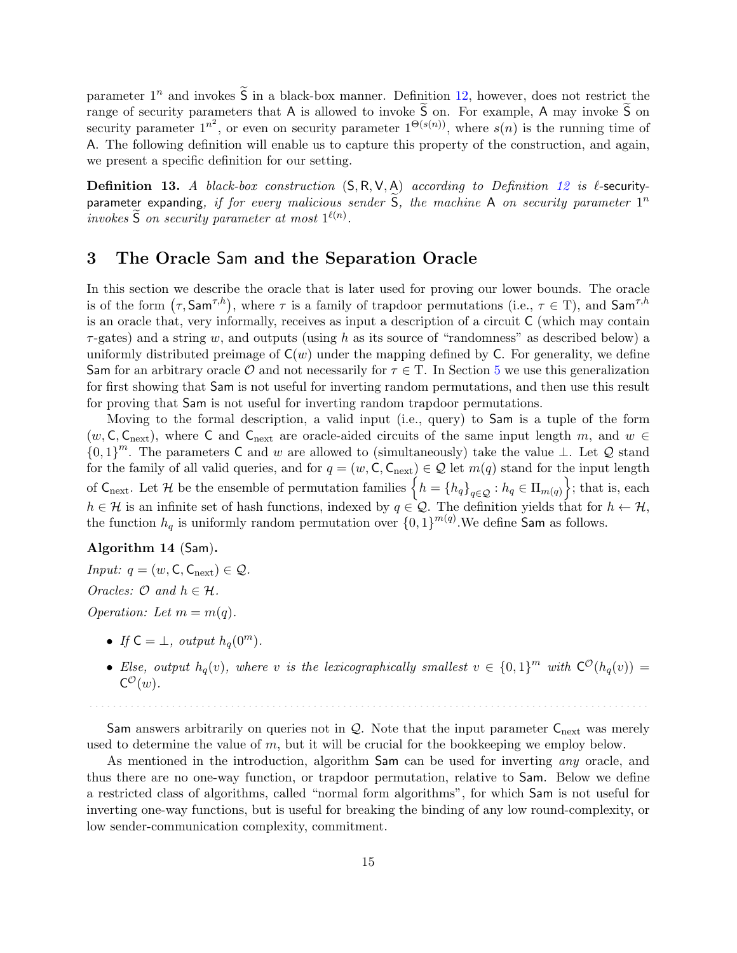parameter  $1^n$  and invokes  $\tilde{S}$  in a black-box manner. Definition [12,](#page-16-3) however, does not restrict the range of security parameters that A is allowed to invoke  $\tilde{S}$  on. For example, A may invoke  $\tilde{S}$  on security parameter  $1^{n^2}$ , or even on security parameter  $1^{\Theta(s(n))}$ , where  $s(n)$  is the running time of A. The following definition will enable us to capture this property of the construction, and again, we present a specific definition for our setting.

**Definition 13.** A black-box construction  $(S, R, V, A)$  according to Definition [12](#page-16-3) is  $\ell$ -securityparameter expanding, if for every malicious sender  $\widetilde{S}$ , the machine A on security parameter  $1^n$ invokes  $\widetilde{S}$  on security parameter at most  $1^{\ell(n)}$ .

# <span id="page-17-0"></span>3 The Oracle Sam and the Separation Oracle

In this section we describe the oracle that is later used for proving our lower bounds. The oracle is of the form  $(\tau, \mathsf{Sam}^{\tau,h})$ , where  $\tau$  is a family of trapdoor permutations (i.e.,  $\tau \in \mathcal{T}$ ), and  $\mathsf{Sam}^{\tau,h}$ is an oracle that, very informally, receives as input a description of a circuit C (which may contain  $\tau$ -gates) and a string w, and outputs (using h as its source of "randomness" as described below) a uniformly distributed preimage of  $C(w)$  under the mapping defined by C. For generality, we define Sam for an arbitrary oracle  $\mathcal O$  and not necessarily for  $\tau \in T$ . In Section [5](#page-25-0) we use this generalization for first showing that Sam is not useful for inverting random permutations, and then use this result for proving that Sam is not useful for inverting random trapdoor permutations.

Moving to the formal description, a valid input (i.e., query) to Sam is a tuple of the form  $(w, \mathsf{C}, \mathsf{C}_{\text{next}})$ , where  $\mathsf{C}$  and  $\mathsf{C}_{\text{next}}$  are oracle-aided circuits of the same input length m, and  $w \in \mathsf{C}$  ${0,1}^m$ . The parameters C and w are allowed to (simultaneously) take the value ⊥. Let Q stand for the family of all valid queries, and for  $q = (w, \mathsf{C}, \mathsf{C}_{\text{next}}) \in \mathcal{Q}$  let  $m(q)$  stand for the input length of  $\mathsf{C}_{\text{next}}$ . Let H be the ensemble of permutation families  $\left\{h = \left\{h_q\right\}_{q \in \mathcal{Q}} : h_q \in \Pi_{m(q)}\right\}$ ; that is, each  $h \in \mathcal{H}$  is an infinite set of hash functions, indexed by  $q \in \mathcal{Q}$ . The definition yields that for  $h \leftarrow \mathcal{H}$ , the function  $h_q$  is uniformly random permutation over  $\{0,1\}^{m(q)}$ . We define Sam as follows.

#### Algorithm 14 (Sam).

*Input:*  $q = (w, C, C_{\text{next}}) \in \mathcal{Q}$ . Oracles:  $\mathcal{O}$  and  $h \in \mathcal{H}$ . Operation: Let  $m = m(q)$ .

- If  $C = \bot$ , output  $h_q(0^m)$ .
- Else, output  $h_q(v)$ , where v is the lexicographically smallest  $v \in \{0,1\}^m$  with  $C^{\mathcal{O}}(h_q(v)) =$  $C^{\mathcal{O}}(w)$ .

Sam answers arbitrarily on queries not in  $Q$ . Note that the input parameter  $C_{\text{next}}$  was merely used to determine the value of  $m$ , but it will be crucial for the bookkeeping we employ below.

. . . . . . . . . . . . . . . . . . . . . . . . . . . . . . . . . . . . . . . . . . . . . . . . . . . . . . . . . . . . . . . . . . . . . . . . . . . . . . . . . . . . . . . . . . . . . . .

As mentioned in the introduction, algorithm Sam can be used for inverting *any* oracle, and thus there are no one-way function, or trapdoor permutation, relative to Sam. Below we define a restricted class of algorithms, called "normal form algorithms", for which Sam is not useful for inverting one-way functions, but is useful for breaking the binding of any low round-complexity, or low sender-communication complexity, commitment.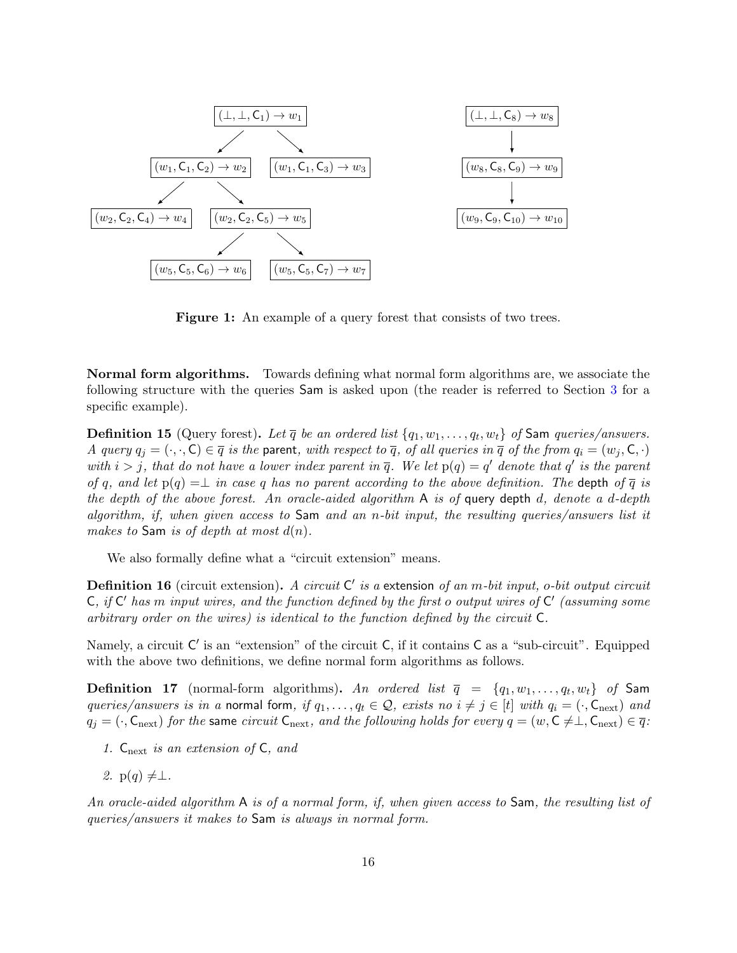<span id="page-18-0"></span>

Figure 1: An example of a query forest that consists of two trees.

Normal form algorithms. Towards defining what normal form algorithms are, we associate the following structure with the queries Sam is asked upon (the reader is referred to Section [3](#page-18-0) for a specific example).

<span id="page-18-1"></span>**Definition 15** (Query forest). Let  $\overline{q}$  be an ordered list  $\{q_1, w_1, \ldots, q_t, w_t\}$  of Sam queries/answers. A query  $q_i = (\cdot, \cdot, \mathsf{C}) \in \overline{q}$  is the parent, with respect to  $\overline{q}$ , of all queries in  $\overline{q}$  of the from  $q_i = (w_i, \mathsf{C}, \cdot)$ with  $i > j$ , that do not have a lower index parent in  $\overline{q}$ . We let  $p(q) = q'$  denote that  $q'$  is the parent of q, and let  $p(q) = \perp$  in case q has no parent according to the above definition. The depth of  $\overline{q}$  is the depth of the above forest. An oracle-aided algorithm  $A$  is of query depth d, denote a d-depth algorithm, if, when given access to  $Sam$  and an n-bit input, the resulting queries/answers list it makes to Sam is of depth at most  $d(n)$ .

We also formally define what a "circuit extension" means.

**Definition 16** (circuit extension). A circuit  $C'$  is a extension of an m-bit input, o-bit output circuit  $\mathsf{C},$  if  $\mathsf{C}'$  has  $m$  input wires, and the function defined by the first o output wires of  $\mathsf{C}'$  (assuming some arbitrary order on the wires) is identical to the function defined by the circuit C.

Namely, a circuit C' is an "extension" of the circuit C, if it contains C as a "sub-circuit". Equipped with the above two definitions, we define normal form algorithms as follows.

**Definition 17** (normal-form algorithms). An ordered list  $\overline{q}$  =  $\{q_1, w_1, \ldots, q_t, w_t\}$  of Sam queries/answers is in a normal form, if  $q_1, \ldots, q_t \in \mathcal{Q}$ , exists no  $i \neq j \in [t]$  with  $q_i = (\cdot, \mathsf{C}_{\text{next}})$  and  $q_i = (\cdot, \mathsf{C}_{\text{next}})$  for the same circuit  $\mathsf{C}_{\text{next}}$ , and the following holds for every  $q = (w, \mathsf{C} \neq \perp, \mathsf{C}_{\text{next}}) \in \overline{q}$ :

- 1.  $C_{\text{next}}$  is an extension of C, and
- 2.  $p(q) \neq \perp$ .

An oracle-aided algorithm A is of a normal form, if, when given access to Sam, the resulting list of queries/answers it makes to Sam is always in normal form.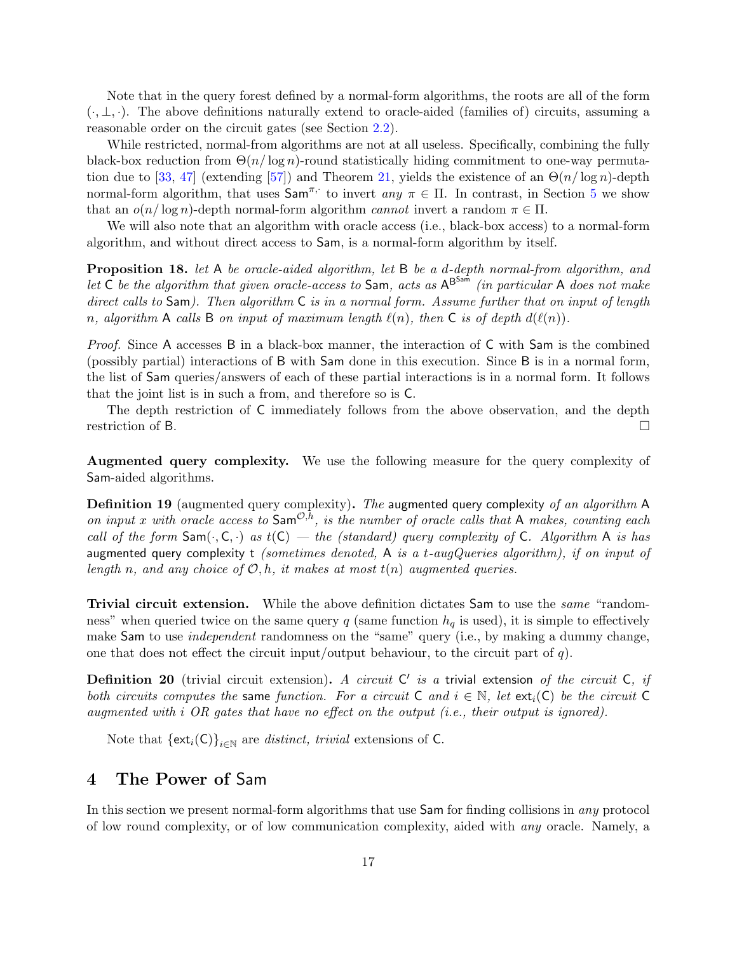Note that in the query forest defined by a normal-form algorithms, the roots are all of the form  $(\cdot, \perp, \cdot)$ . The above definitions naturally extend to oracle-aided (families of) circuits, assuming a reasonable order on the circuit gates (see Section [2.2\)](#page-12-2).

While restricted, normal-from algorithms are not at all useless. Specifically, combining the fully black-box reduction from  $\Theta(n/\log n)$ -round statistically hiding commitment to one-way permuta-tion due to [\[33,](#page-47-7) [47\]](#page-48-6) (extending [\[57\]](#page-48-3)) and Theorem [21,](#page-20-1) yields the existence of an  $\Theta(n/\log n)$ -depth normal-form algorithm, that uses  $\textsf{Sam}^{\pi,\cdot}$  to invert any  $\pi \in \Pi$ . In contrast, in Section [5](#page-25-0) we show that an  $o(n/\log n)$ -depth normal-form algorithm *cannot* invert a random  $\pi \in \Pi$ .

We will also note that an algorithm with oracle access (i.e., black-box access) to a normal-form algorithm, and without direct access to Sam, is a normal-form algorithm by itself.

<span id="page-19-2"></span>**Proposition 18.** let A be oracle-aided algorithm, let B be a d-depth normal-from algorithm, and let  $\overline{C}$  be the algorithm that given oracle-access to Sam, acts as  $A^{B^{Sam}}$  (in particular A does not make direct calls to Sam). Then algorithm C is in a normal form. Assume further that on input of length n, algorithm A calls B on input of maximum length  $\ell(n)$ , then C is of depth  $d(\ell(n))$ .

Proof. Since A accesses B in a black-box manner, the interaction of C with Sam is the combined (possibly partial) interactions of B with Sam done in this execution. Since B is in a normal form, the list of Sam queries/answers of each of these partial interactions is in a normal form. It follows that the joint list is in such a from, and therefore so is C.

The depth restriction of C immediately follows from the above observation, and the depth restriction of B.

Augmented query complexity. We use the following measure for the query complexity of Sam-aided algorithms.

<span id="page-19-1"></span>**Definition 19** (augmented query complexity). The augmented query complexity of an algorithm A on input x with oracle access to  $\mathsf{Sam}^{\mathcal{O},\bar{h}}$ , is the number of oracle calls that A makes, counting each call of the form  $Sam(\cdot, C, \cdot)$  as  $t(C)$  — the (standard) query complexity of C. Algorithm A is has augmented query complexity t (sometimes denoted, A is a t-augQueries algorithm), if on input of length n, and any choice of  $\mathcal{O}, h$ , it makes at most  $t(n)$  augmented queries.

Trivial circuit extension. While the above definition dictates Sam to use the same "randomness" when queried twice on the same query q (same function  $h_q$  is used), it is simple to effectively make Sam to use *independent* randomness on the "same" query (i.e., by making a dummy change, one that does not effect the circuit input/output behaviour, to the circuit part of  $q$ ).

**Definition 20** (trivial circuit extension). A circuit  $C'$  is a trivial extension of the circuit  $C$ , if both circuits computes the same function. For a circuit C and  $i \in \mathbb{N}$ , let  $ext_i(C)$  be the circuit C augmented with i OR gates that have no effect on the output  $(i.e., their output is ignored)$ .

Note that  $\{ext_i(C)\}_{i\in\mathbb{N}}$  are *distinct, trivial* extensions of C.

# <span id="page-19-0"></span>4 The Power of Sam

In this section we present normal-form algorithms that use Sam for finding collisions in any protocol of low round complexity, or of low communication complexity, aided with any oracle. Namely, a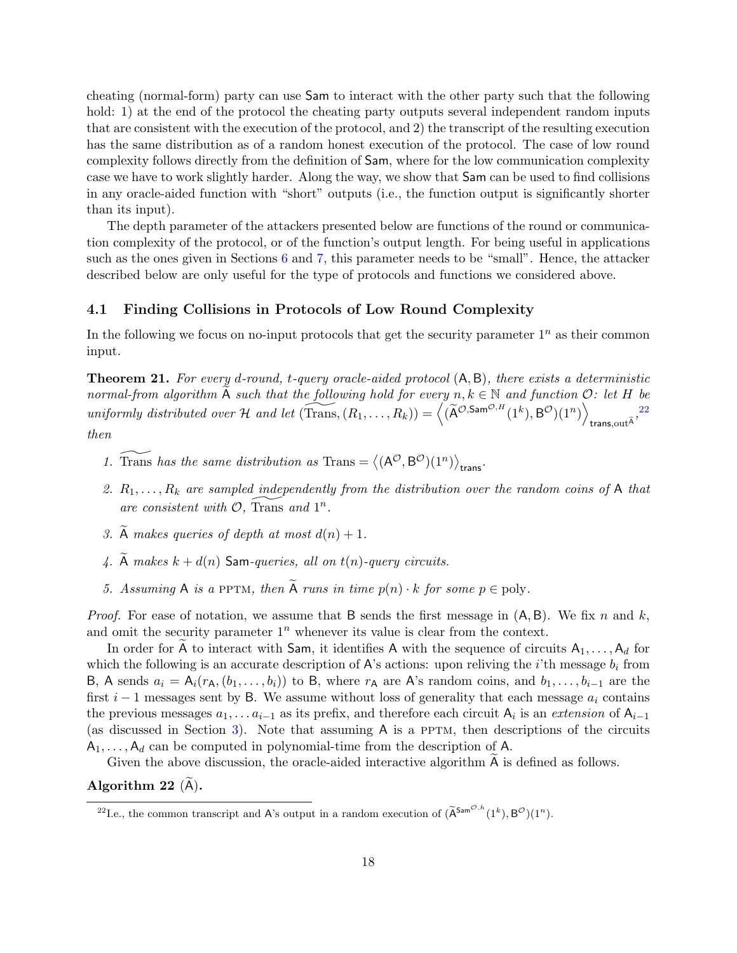cheating (normal-form) party can use Sam to interact with the other party such that the following hold: 1) at the end of the protocol the cheating party outputs several independent random inputs that are consistent with the execution of the protocol, and 2) the transcript of the resulting execution has the same distribution as of a random honest execution of the protocol. The case of low round complexity follows directly from the definition of Sam, where for the low communication complexity case we have to work slightly harder. Along the way, we show that Sam can be used to find collisions in any oracle-aided function with "short" outputs (i.e., the function output is significantly shorter than its input).

The depth parameter of the attackers presented below are functions of the round or communication complexity of the protocol, or of the function's output length. For being useful in applications such as the ones given in Sections  $6$  and  $7$ , this parameter needs to be "small". Hence, the attacker described below are only useful for the type of protocols and functions we considered above.

#### <span id="page-20-0"></span>4.1 Finding Collisions in Protocols of Low Round Complexity

In the following we focus on no-input protocols that get the security parameter  $1^n$  as their common input.

<span id="page-20-1"></span>**Theorem 21.** For every d-round, t-query oracle-aided protocol  $(A, B)$ , there exists a deterministic normal-from algorithm A such that the following hold for every  $n, k \in \mathbb{N}$  and function  $\mathcal{O}:$  let H be uniformly distributed over  $\mathcal H$  and let  $(\widetilde{\mathrm{Trans}},(R_1, \ldots, R_k)) = \left\langle (\widetilde{\mathsf{A}}^{\mathcal O, \mathsf{Sam}^{\mathcal O, H}}(1^k), \mathsf{B}^{\mathcal O})(1^n) \right\rangle$ trans, $\text{out}^{\widetilde{\mathsf{A}}}$ , $\text{max}$ then

- 1. Trans has the same distribution as Trans =  $\langle (A^{\mathcal{O}}, B^{\mathcal{O}})(1^n) \rangle_{\text{trans}}$ .
- 2.  $R_1, \ldots, R_k$  are sampled independently from the distribution over the random coins of A that are consistent with  $\overline{\mathcal{O}}$ , Trans and  $1^n$ .
- 3.  $\widetilde{A}$  makes queries of depth at most  $d(n) + 1$ .
- 4.  $\widetilde{A}$  makes  $k + d(n)$  Sam-queries, all on  $t(n)$ -query circuits.
- 5. Assuming A is a PPTM, then  $\widetilde{A}$  runs in time  $p(n) \cdot k$  for some  $p \in poly$ .

*Proof.* For ease of notation, we assume that B sends the first message in  $(A, B)$ . We fix n and k, and omit the security parameter  $1^n$  whenever its value is clear from the context.

In order for A to interact with Sam, it identifies A with the sequence of circuits  $A_1, \ldots, A_d$  for which the following is an accurate description of A's actions: upon reliving the i'th message  $b_i$  from B, A sends  $a_i = A_i(r_A, (b_1, \ldots, b_i))$  to B, where  $r_A$  are A's random coins, and  $b_1, \ldots, b_{i-1}$  are the first  $i - 1$  messages sent by B. We assume without loss of generality that each message  $a_i$  contains the previous messages  $a_1, \ldots a_{i-1}$  as its prefix, and therefore each circuit  $A_i$  is an extension of  $A_{i-1}$ (as discussed in Section [3\)](#page-17-0). Note that assuming  $A$  is a PPTM, then descriptions of the circuits  $A_1, \ldots, A_d$  can be computed in polynomial-time from the description of A.

Given the above discussion, the oracle-aided interactive algorithm  $A$  is defined as follows.

Algorithm 22  $(A)$ .

<span id="page-20-2"></span><sup>&</sup>lt;sup>22</sup>I.e., the common transcript and A's output in a random execution of  $(\widetilde{A}^{\text{Sam}^{\mathcal{O},h}}(1^k), B^{\mathcal{O}})(1^n)$ .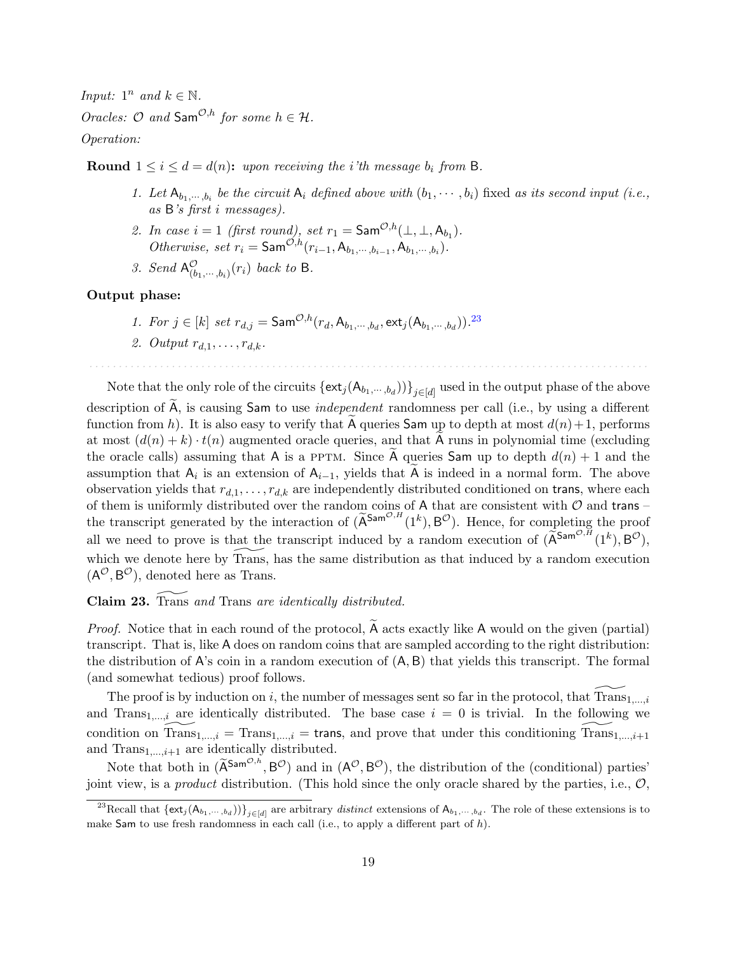Input:  $1^n$  and  $k \in \mathbb{N}$ .

Oracles:  $O$  and  $\mathsf{Sam}^{\mathcal{O},h}$  for some  $h \in \mathcal{H}$ .

Operation:

**Round**  $1 \leq i \leq d = d(n)$ : upon receiving the *i*'th message  $b_i$  from B.

- 1. Let  $A_{b_1,\dots,b_i}$  be the circuit  $A_i$  defined above with  $(b_1,\dots,b_i)$  fixed as its second input (i.e., as B's first i messages).
- 2. In case  $i = 1$  (first round), set  $r_1 = \mathsf{Sam}^{\mathcal{O},h}(\perp, \perp, \mathsf{A}_{b_1}).$ *Otherwise, set*  $r_i = \textsf{Sam}^{\mathcal{O},h}(r_{i-1}, A_{b_1, \cdots, b_{i-1}}, A_{b_1, \cdots, b_i}).$
- 3. Send  $A^{\mathcal{O}}_{(b_1,\cdots,b_i)}(r_i)$  back to B.

#### Output phase:

- 1. For  $j \in [k]$  set  $r_{d,j} = \textsf{Sam}^{\mathcal{O},h}(r_d, A_{b_1,\dots,b_d}, \textsf{ext}_{j}(A_{b_1,\dots,b_d}))$ .<sup>[23](#page-21-0)</sup>
- 2. Output  $r_{d,1}, \ldots, r_{d,k}$ .

Note that the only role of the circuits  $\{\mathsf{ext}_j(\mathsf{A}_{b_1,\cdots,b_d}))\}_{j\in[d]}$  used in the output phase of the above

. . . . . . . . . . . . . . . . . . . . . . . . . . . . . . . . . . . . . . . . . . . . . . . . . . . . . . . . . . . . . . . . . . . . . . . . . . . . . . . . . . . . . . . . . . . . . . .

description of A, is causing Sam to use *independent* randomness per call (i.e., by using a different function from h). It is also easy to verify that A queries Sam up to depth at most  $d(n)+1$ , performs at most  $(d(n) + k) \cdot t(n)$  augmented oracle queries, and that A runs in polynomial time (excluding the oracle calls) assuming that A is a PPTM. Since A queries Sam up to depth  $d(n) + 1$  and the assumption that  $A_i$  is an extension of  $A_{i-1}$ , yields that A is indeed in a normal form. The above observation yields that  $r_{d,1}, \ldots, r_{d,k}$  are independently distributed conditioned on trans, where each of them is uniformly distributed over the random coins of A that are consistent with  $\mathcal O$  and trans – the transcript generated by the interaction of  $(\tilde{A}^{Sam^{O,H}}(1^k), B^{\mathcal{O}})$ . Hence, for completing the proof all we need to prove is that the transcript induced by a random execution of  $(\widetilde{A}^{\text{Sam}^{\mathcal{O},H}}(1^k), B^{\mathcal{O}}),$ which we denote here by Trans, has the same distribution as that induced by a random execution  $(A^{\mathcal{O}}, B^{\mathcal{O}})$ , denoted here as Trans.

Claim 23. Trans and Trans are identically distributed.

*Proof.* Notice that in each round of the protocol,  $\overline{A}$  acts exactly like  $\overline{A}$  would on the given (partial) transcript. That is, like A does on random coins that are sampled according to the right distribution: the distribution of  $A$ 's coin in a random execution of  $(A, B)$  that yields this transcript. The formal (and somewhat tedious) proof follows.

The proof is by induction on i, the number of messages sent so far in the protocol, that  $Trans_{1,\ldots,i}$ and Trans<sub>1,...,i</sub> are identically distributed. The base case  $i = 0$  is trivial. In the following we condition on Trans $_{1,...,i}$  = Trans $_{1,...,i}$  = trans, and prove that under this conditioning Trans  $_{1,...,i+1}$ and  $Trans_{1,\ldots,i+1}$  are identically distributed.

Note that both in  $(\widetilde{A}^{Sam^{O,h}}, B^O)$  and in  $(A^O, B^O)$ , the distribution of the (conditional) parties' joint view, is a *product* distribution. (This hold since the only oracle shared by the parties, i.e.,  $\mathcal{O}$ ,

<span id="page-21-0"></span><sup>&</sup>lt;sup>23</sup>Recall that  $\{\mathsf{ext}_j(\mathsf{A}_{b_1,\dots,b_d})\}_{j\in[d]}$  are arbitrary *distinct* extensions of  $\mathsf{A}_{b_1,\dots,b_d}$ . The role of these extensions is to make Sam to use fresh randomness in each call (i.e., to apply a different part of  $h$ ).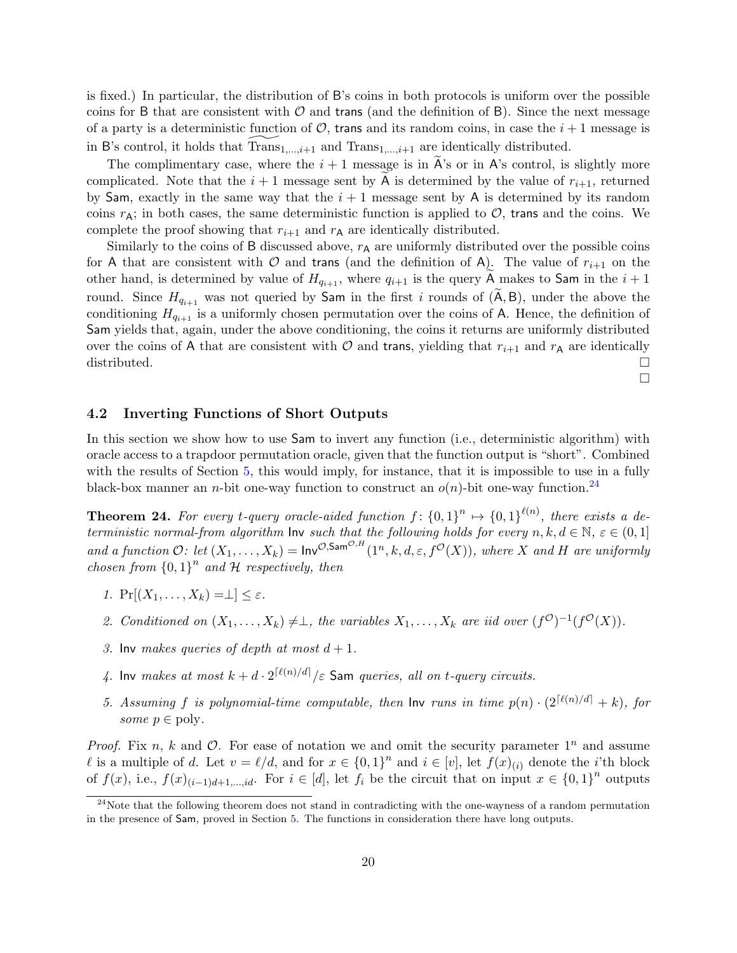is fixed.) In particular, the distribution of B's coins in both protocols is uniform over the possible coins for B that are consistent with  $\mathcal O$  and trans (and the definition of B). Since the next message of a party is a deterministic function of  $\mathcal{O}$ , trans and its random coins, in case the  $i + 1$  message is in B's control, it holds that  $Trans_{1,\ldots,i+1}$  and  $Trans_{1,\ldots,i+1}$  are identically distributed.

The complimentary case, where the  $i + 1$  message is in  $A$ 's or in A's control, is slightly more complicated. Note that the  $i+1$  message sent by A is determined by the value of  $r_{i+1}$ , returned by Sam, exactly in the same way that the  $i + 1$  message sent by A is determined by its random coins  $r_A$ ; in both cases, the same deterministic function is applied to  $\mathcal{O}$ , trans and the coins. We complete the proof showing that  $r_{i+1}$  and  $r_A$  are identically distributed.

Similarly to the coins of B discussed above,  $r_A$  are uniformly distributed over the possible coins for A that are consistent with  $\mathcal O$  and trans (and the definition of A). The value of  $r_{i+1}$  on the other hand, is determined by value of  $H_{q_{i+1}}$ , where  $q_{i+1}$  is the query A makes to Sam in the  $i+1$ round. Since  $H_{q_{i+1}}$  was not queried by Sam in the first i rounds of  $(\widetilde{A}, B)$ , under the above the conditioning  $H_{q_{i+1}}$  is a uniformly chosen permutation over the coins of A. Hence, the definition of Sam yields that, again, under the above conditioning, the coins it returns are uniformly distributed over the coins of A that are consistent with  $\mathcal O$  and trans, yielding that  $r_{i+1}$  and  $r_{\mathsf{A}}$  are identically distributed.  $\square$  $\Box$ 

#### <span id="page-22-0"></span>4.2 Inverting Functions of Short Outputs

In this section we show how to use Sam to invert any function (i.e., deterministic algorithm) with oracle access to a trapdoor permutation oracle, given that the function output is "short". Combined with the results of Section [5,](#page-25-0) this would imply, for instance, that it is impossible to use in a fully black-box manner an *n*-bit one-way function to construct an  $o(n)$ -bit one-way function.<sup>[24](#page-22-1)</sup>

<span id="page-22-2"></span>**Theorem 24.** For every t-query oracle-aided function  $f: \{0,1\}^n \mapsto \{0,1\}^{\ell(n)}$ , there exists a deterministic normal-from algorithm  $\mathsf{Inv}$  such that the following holds for every  $n, k, d \in \mathbb{N}, \varepsilon \in (0, 1]$ and a function  $\mathcal{O}:$  let  $(X_1,\ldots,X_k) = \text{Inv}^{\mathcal{O}, \text{Sam}^{\mathcal{O},H}}(1^n, k, d, \varepsilon, f^{\mathcal{O}}(X)),$  where X and H are uniformly chosen from  ${0,1}^n$  and H respectively, then

- 1.  $Pr[(X_1,\ldots,X_k)=\perp] \leq \varepsilon$ .
- 2. Conditioned on  $(X_1, \ldots, X_k) \neq \perp$ , the variables  $X_1, \ldots, X_k$  are iid over  $(f^{\mathcal{O}})^{-1}(f^{\mathcal{O}}(X)).$
- 3. Inv makes queries of depth at most  $d + 1$ .
- 4. Inv makes at most  $k + d \cdot 2^{\lceil \ell(n)/d \rceil}/\varepsilon$  Sam queries, all on t-query circuits.
- 5. Assuming f is polynomial-time computable, then  $\text{Inv}$  runs in time  $p(n) \cdot (2^{\lceil \ell(n)/d \rceil} + k)$ , for some  $p \in \text{poly}$ .

*Proof.* Fix n, k and  $\mathcal{O}$ . For ease of notation we and omit the security parameter  $1^n$  and assume l is a multiple of d. Let  $v = \ell/d$ , and for  $x \in \{0,1\}^n$  and  $i \in [v]$ , let  $f(x)_{(i)}$  denote the *i*'th block of  $f(x)$ , i.e.,  $f(x)_{(i-1)d+1,\dots, id}$ . For  $i \in [d]$ , let  $f_i$  be the circuit that on input  $x \in \{0,1\}^n$  outputs

<span id="page-22-1"></span><sup>&</sup>lt;sup>24</sup>Note that the following theorem does not stand in contradicting with the one-wayness of a random permutation in the presence of Sam, proved in Section [5.](#page-25-0) The functions in consideration there have long outputs.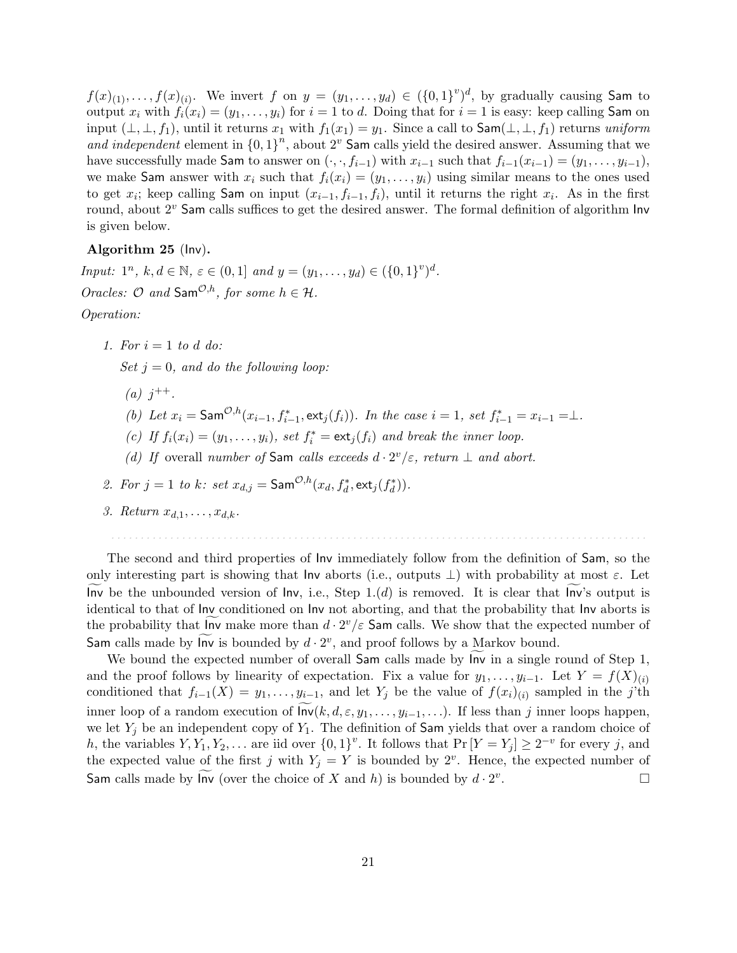$f(x)_{(1)},\ldots,f(x)_{(i)}$ . We invert f on  $y=(y_1,\ldots,y_d)\in (\{0,1\}^v)^d$ , by gradually causing Sam to output  $x_i$  with  $f_i(x_i) = (y_1, \ldots, y_i)$  for  $i = 1$  to d. Doing that for  $i = 1$  is easy: keep calling Sam on input  $(\perp, \perp, f_1)$ , until it returns  $x_1$  with  $f_1(x_1) = y_1$ . Since a call to  $\mathsf{Sam}(\perp, \perp, f_1)$  returns uniform and independent element in  ${0, 1}^n$ , about  $2^v$  Sam calls yield the desired answer. Assuming that we have successfully made Sam to answer on  $(\cdot, \cdot, f_{i-1})$  with  $x_{i-1}$  such that  $f_{i-1}(x_{i-1}) = (y_1, \ldots, y_{i-1}),$ we make Sam answer with  $x_i$  such that  $f_i(x_i) = (y_1, \ldots, y_i)$  using similar means to the ones used to get  $x_i$ ; keep calling Sam on input  $(x_{i-1}, f_{i-1}, f_i)$ , until it returns the right  $x_i$ . As in the first round, about 2<sup>v</sup> Sam calls suffices to get the desired answer. The formal definition of algorithm Inv is given below.

#### Algorithm 25 (Inv).

Input:  $1^n$ ,  $k, d \in \mathbb{N}$ ,  $\varepsilon \in (0, 1]$  and  $y = (y_1, \ldots, y_d) \in (\{0, 1\}^v)^d$ . Oracles:  $\mathcal O$  and  $\mathsf{Sam}^{\mathcal O,h}$ , for some  $h \in \mathcal H$ . Operation:

1. For  $i = 1$  to d do:

Set  $j = 0$ , and do the following loop:

- (a)  $j^{++}$ .
- (b) Let  $x_i = \textsf{Sam}^{\mathcal{O},h}(x_{i-1}, f_{i-1}^*, \textsf{ext}_j(f_i)).$  In the case  $i = 1$ , set  $f_{i-1}^* = x_{i-1} = \perp$ .
- (c) If  $f_i(x_i) = (y_1, \ldots, y_i)$ , set  $f_i^* = \text{ext}_j(f_i)$  and break the inner loop.
- (d) If overall number of Sam calls exceeds  $d \cdot 2^v / \varepsilon$ , return  $\perp$  and abort.
- 2. For  $j = 1$  to  $k$ : set  $x_{d,j} = \textsf{Sam}^{\mathcal{O},h}(x_d, f_d^*, \textsf{ext}_j(f_d^*)).$
- 3. Return  $x_{d,1}, \ldots, x_{d,k}$ .

The second and third properties of Inv immediately follow from the definition of Sam, so the only interesting part is showing that Inv aborts (i.e., outputs  $\perp$ ) with probability at most  $\varepsilon$ . Let Inv be the unbounded version of Inv, i.e., Step  $1.(d)$  is removed. It is clear that Inv's output is identical to that of Inv conditioned on Inv not aborting, and that the probability that Inv aborts is the probability that  $\lim_{n \to \infty}$  make more than  $d \cdot 2^v/\varepsilon$  Sam calls. We show that the expected number of Sam calls made by  $\ln v$  is bounded by  $d \cdot 2^v$ , and proof follows by a Markov bound.

. . . . . . . . . . . . . . . . . . . . . . . . . . . . . . . . . . . . . . . . . . . . . . . . . . . . . . . . . . . . . . . . . . . . . . . . . . . . . . . . . . . . . . . . . . .

We bound the expected number of overall  $Sam$  calls made by  $Inv$  in a single round of  $Step 1$ , and the proof follows by linearity of expectation. Fix a value for  $y_1, \ldots, y_{i-1}$ . Let  $Y = f(X)_{(i)}$ conditioned that  $f_{i-1}(X) = y_1, \ldots, y_{i-1}$ , and let  $Y_j$  be the value of  $f(x_i)_{(i)}$  sampled in the j'th inner loop of a random execution of  $\ln v(k, d, \varepsilon, y_1, \ldots, y_{i-1}, \ldots)$ . If less than j inner loops happen, we let  $Y_i$  be an independent copy of  $Y_1$ . The definition of **Sam** yields that over a random choice of h, the variables  $Y, Y_1, Y_2, \ldots$  are iid over  $\{0, 1\}^v$ . It follows that  $\Pr[Y = Y_j] \ge 2^{-v}$  for every j, and the expected value of the first j with  $Y_j = Y$  is bounded by  $2^v$ . Hence, the expected number of Sam calls made by  $\text{Inv}$  (over the choice of X and h) is bounded by  $d \cdot 2^v$ .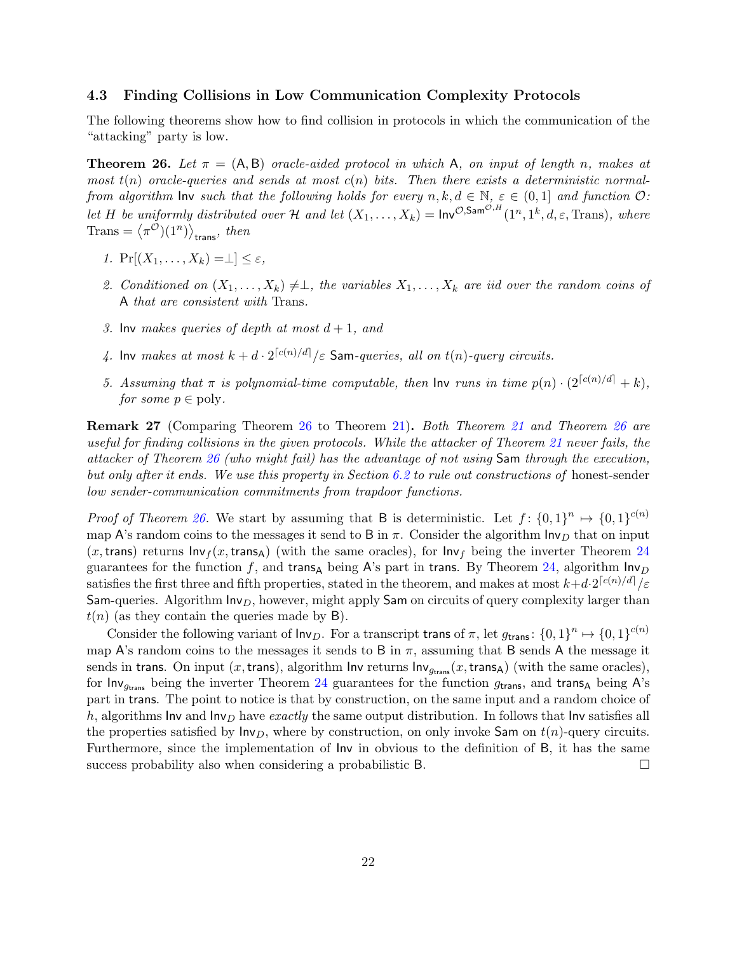#### <span id="page-24-0"></span>4.3 Finding Collisions in Low Communication Complexity Protocols

The following theorems show how to find collision in protocols in which the communication of the "attacking" party is low.

<span id="page-24-1"></span>**Theorem 26.** Let  $\pi = (A, B)$  oracle-aided protocol in which A, on input of length n, makes at most  $t(n)$  oracle-queries and sends at most  $c(n)$  bits. Then there exists a deterministic normalfrom algorithm  $\mathsf{Inv}$  such that the following holds for every  $n, k, d \in \mathbb{N}, \varepsilon \in (0,1]$  and function  $\mathcal{O}$ : let H be uniformly distributed over H and let  $(X_1,\ldots,X_k) = \text{Inv}^{\mathcal{O},\text{Sam}^{\mathcal{O},H}}(1^n,1^k,d,\varepsilon,\text{Trans}),$  where  $\text{Trans} = \langle \pi^{\mathcal{O}} \rangle (1^n) \rangle_{\text{trans}}$ , then

- 1.  $Pr[(X_1,\ldots,X_k)=\perp] \leq \varepsilon$ ,
- 2. Conditioned on  $(X_1, \ldots, X_k) \neq \perp$ , the variables  $X_1, \ldots, X_k$  are iid over the random coins of A that are consistent with Trans.
- 3. Inv makes queries of depth at most  $d+1$ , and
- 4. Inv makes at most  $k + d \cdot 2^{\lceil c(n)/d \rceil} / \varepsilon$  Sam-queries, all on  $t(n)$ -query circuits.
- 5. Assuming that  $\pi$  is polynomial-time computable, then  $\text{Inv}$  runs in time  $p(n) \cdot (2^{|c(n)/d|} + k)$ , for some  $p \in \text{poly}$ .

Remark 27 (Comparing Theorem [26](#page-24-1) to Theorem [21\)](#page-20-1). Both Theorem [21](#page-20-1) and Theorem [26](#page-24-1) are useful for finding collisions in the given protocols. While the attacker of Theorem [21](#page-20-1) never fails, the attacker of Theorem [26](#page-24-1) (who might fail) has the advantage of not using Sam through the execution, but only after it ends. We use this property in Section [6.2](#page-40-0) to rule out constructions of honest-sender low sender-communication commitments from trapdoor functions.

*Proof of Theorem [26.](#page-24-1)* We start by assuming that B is deterministic. Let  $f: \{0,1\}^n \mapsto \{0,1\}^{c(n)}$ map A's random coins to the messages it send to B in  $\pi$ . Consider the algorithm  $\mathsf{Inv}_D$  that on input  $(x,$ trans) returns  $Inv<sub>f</sub>(x, trans<sub>A</sub>)$  (with the same oracles), for  $Inv<sub>f</sub>$  being the inverter Theorem [24](#page-22-2) guarantees for the function f, and trans<sub>A</sub> being A's part in trans. By Theorem [24,](#page-22-2) algorithm  $\ln v_D$ satisfies the first three and fifth properties, stated in the theorem, and makes at most  $k+d \cdot 2^{\lceil c(n)/d \rceil}/\varepsilon$ Sam-queries. Algorithm  $Inv_D$ , however, might apply Sam on circuits of query complexity larger than  $t(n)$  (as they contain the queries made by B).

Consider the following variant of  $\mathsf{Inv}_D$ . For a transcript trans of  $\pi$ , let  $g_{\mathsf{trans}}\colon \{0,1\}^n \mapsto \{0,1\}^{c(n)}$ map A's random coins to the messages it sends to B in  $\pi$ , assuming that B sends A the message it sends in trans. On input  $(x,$  trans), algorithm Inv returns  $\text{Inv}_{g_{trans}}(x, \text{trans}_A)$  (with the same oracles), for Inv<sub>gtrans</sub> being the inverter Theorem [24](#page-22-2) guarantees for the function  $g_{trans}$ , and trans<sub>A</sub> being A's part in trans. The point to notice is that by construction, on the same input and a random choice of h, algorithms Inv and  $\ln v_D$  have exactly the same output distribution. In follows that Inv satisfies all the properties satisfied by  $\mathsf{Inv}_D$ , where by construction, on only invoke Sam on  $t(n)$ -query circuits. Furthermore, since the implementation of Inv in obvious to the definition of B, it has the same success probability also when considering a probabilistic B.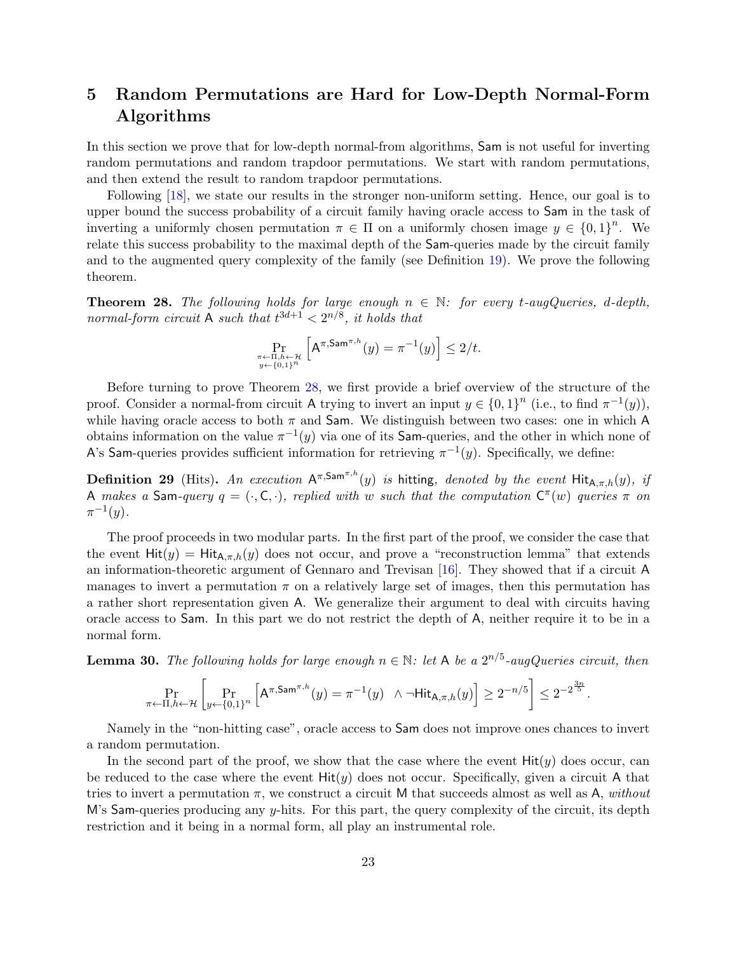# <span id="page-25-0"></span>5 Random Permutations are Hard for Low-Depth Normal-Form Algorithms

In this section we prove that for low-depth normal-from algorithms, Sam is not useful for inverting random permutations and random trapdoor permutations. We start with random permutations, and then extend the result to random trapdoor permutations.

Following [\[18\]](#page-46-7), we state our results in the stronger non-uniform setting. Hence, our goal is to upper bound the success probability of a circuit family having oracle access to Sam in the task of inverting a uniformly chosen permutation  $\pi \in \Pi$  on a uniformly chosen image  $y \in \{0,1\}^n$ . We relate this success probability to the maximal depth of the Sam-queries made by the circuit family and to the augmented query complexity of the family (see Definition [19\)](#page-19-1). We prove the following theorem.

<span id="page-25-3"></span>**Theorem 28.** The following holds for large enough  $n \in \mathbb{N}$ : for every t-augQueries, d-depth, normal-form circuit A such that  $t^{3d+1} < 2^{n/8}$ , it holds that

$$
\Pr_{\substack{\pi \leftarrow \Pi, h \leftarrow \mathcal{H} \\ y \leftarrow \{0,1\}^n}} \left[ \mathsf{A}^{\pi, \mathsf{Sam}^{\pi, h}}(y) = \pi^{-1}(y) \right] \le 2/t.
$$

Before turning to prove Theorem [28,](#page-25-3) we first provide a brief overview of the structure of the proof. Consider a normal-from circuit A trying to invert an input  $y \in \{0,1\}^n$  (i.e., to find  $\pi^{-1}(y)$ ), while having oracle access to both  $\pi$  and Sam. We distinguish between two cases: one in which A obtains information on the value  $\pi^{-1}(y)$  via one of its Sam-queries, and the other in which none of A's Sam-queries provides sufficient information for retrieving  $\pi^{-1}(y)$ . Specifically, we define:

**Definition 29** (Hits). An execution  $A^{\pi, \text{Sam}^{\pi, h}}(y)$  is hitting, denoted by the event  $Hit_{A,\pi,h}(y)$ , if A makes a Sam-query  $q = (\cdot, \mathsf{C}, \cdot)$ , replied with w such that the computation  $\mathsf{C}^{\pi}(w)$  queries  $\pi$  on  $\pi^{-1}(y)$ .

The proof proceeds in two modular parts. In the first part of the proof, we consider the case that the event  $Hit(y) = Hit_{A,\pi,h}(y)$  does not occur, and prove a "reconstruction lemma" that extends an information-theoretic argument of Gennaro and Trevisan [\[16\]](#page-46-0). They showed that if a circuit A manages to invert a permutation  $\pi$  on a relatively large set of images, then this permutation has a rather short representation given A. We generalize their argument to deal with circuits having oracle access to Sam. In this part we do not restrict the depth of A, neither require it to be in a normal form.

<span id="page-25-1"></span>**Lemma 30.** The following holds for large enough  $n \in \mathbb{N}$ : let A be a  $2^{n/5}$ -augQueries circuit, then

$$
\Pr_{\pi \leftarrow \Pi, h \leftarrow \mathcal{H}} \left[ \Pr_{y \leftarrow \{0,1\}^n} \left[ \mathsf{A}^{\pi, \mathsf{Sam}^{\pi, h}}(y) = \pi^{-1}(y) \quad \wedge \neg \mathsf{Hit}_{\mathsf{A}, \pi, h}(y) \right] \ge 2^{-n/5} \right] \le 2^{-2\frac{3n}{5}}
$$

.

Namely in the "non-hitting case", oracle access to Sam does not improve ones chances to invert a random permutation.

<span id="page-25-2"></span>In the second part of the proof, we show that the case where the event  $Hit(y)$  does occur, can be reduced to the case where the event  $Hit(y)$  does not occur. Specifically, given a circuit A that tries to invert a permutation  $\pi$ , we construct a circuit M that succeeds almost as well as A, without M's Sam-queries producing any y-hits. For this part, the query complexity of the circuit, its depth restriction and it being in a normal form, all play an instrumental role.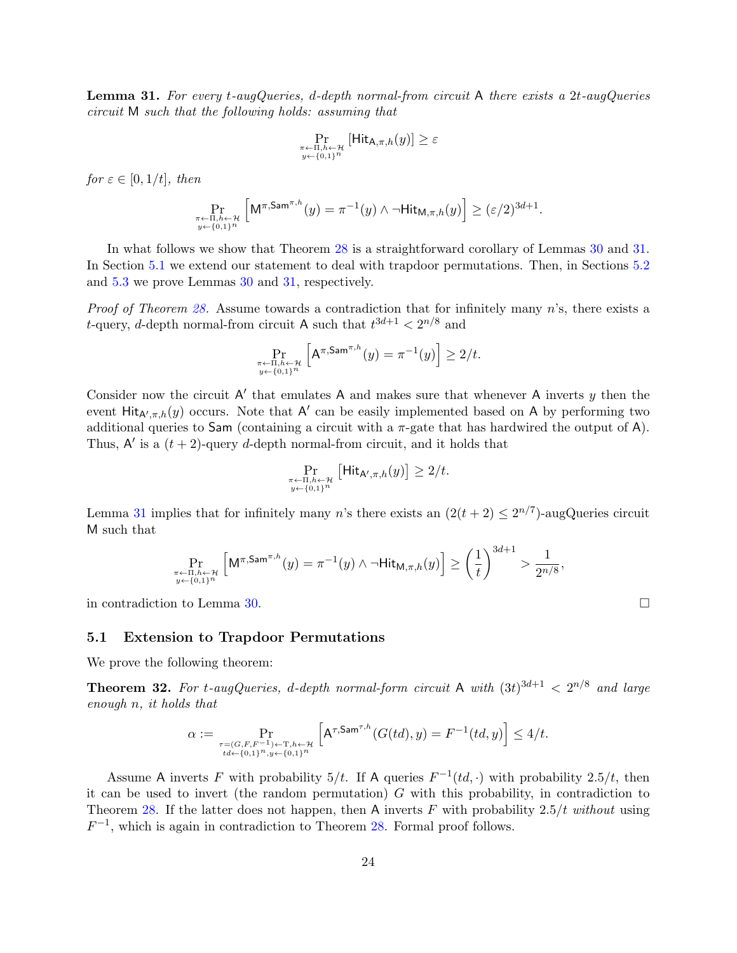**Lemma 31.** For every t-augQueries, d-depth normal-from circuit A there exists a  $2t$ -augQueries circuit M such that the following holds: assuming that

$$
\Pr_{\substack{\pi \leftarrow \Pi, h \leftarrow \mathcal{H} \\ y \leftarrow \{0,1\}^n}} \left[ \mathsf{Hit}_{\mathsf{A},\pi,h}(y) \right] \geq \varepsilon
$$

for  $\varepsilon \in [0, 1/t]$ , then

$$
\Pr_{\substack{\pi \leftarrow \Pi, h \leftarrow \mathcal{H} \\ y \leftarrow \{0,1\}^n}} \left[ \mathsf{M}^{\pi,\mathsf{Sam}^{\pi,h}}(y) = \pi^{-1}(y) \land \neg \mathsf{Hit}_{\mathsf{M},\pi,h}(y) \right] \geq (\varepsilon/2)^{3d+1}.
$$

In what follows we show that Theorem [28](#page-25-3) is a straightforward corollary of Lemmas [30](#page-25-1) and [31.](#page-25-2) In Section [5.1](#page-26-0) we extend our statement to deal with trapdoor permutations. Then, in Sections [5.2](#page-28-0) and [5.3](#page-30-0) we prove Lemmas [30](#page-25-1) and [31,](#page-25-2) respectively.

Proof of Theorem [28.](#page-25-3) Assume towards a contradiction that for infinitely many n's, there exists a *t*-query, *d*-depth normal-from circuit A such that  $t^{3d+1} < 2^{n/8}$  and

$$
\Pr_{\substack{\pi \leftarrow \Pi, h \leftarrow \mathcal{H} \\ y \leftarrow \{0,1\}^n}} \left[ \mathsf{A}^{\pi, \mathsf{Sam}^{\pi, h}}(y) = \pi^{-1}(y) \right] \ge 2/t.
$$

Consider now the circuit  $A'$  that emulates A and makes sure that whenever A inverts  $y$  then the event Hit<sub>A', $\pi$ ,h(y) occurs. Note that A' can be easily implemented based on A by performing two</sub> additional queries to Sam (containing a circuit with a  $\pi$ -gate that has hardwired the output of A). Thus,  $A'$  is a  $(t + 2)$ -query d-depth normal-from circuit, and it holds that

$$
\Pr_{\substack{\pi \leftarrow \Pi, h \leftarrow \mathcal{H} \\ y \leftarrow \{0,1\}^n}} \left[ \mathsf{Hit}_{\mathsf{A}',\pi,h}(y) \right] \ge 2/t.
$$

Lemma [31](#page-25-2) implies that for infinitely many n's there exists an  $(2(t+2) \leq 2^{n/7})$ -augQueries circuit M such that

$$
\Pr_{\substack{\pi \leftarrow \Pi, h \leftarrow \mathcal{H} \\ y \leftarrow \{0,1\}^n}} \left[ \mathsf{M}^{\pi,\mathsf{Sam}^{\pi,h}}(y) = \pi^{-1}(y) \land \neg \mathsf{Hit}_{\mathsf{M},\pi,h}(y) \right] \ge \left(\frac{1}{t}\right)^{3d+1} > \frac{1}{2^{n/8}},
$$

 $9d+1$ 

in contradiction to Lemma [30.](#page-25-1)

#### <span id="page-26-0"></span>5.1 Extension to Trapdoor Permutations

We prove the following theorem:

<span id="page-26-1"></span>**Theorem 32.** For t-augQueries, d-depth normal-form circuit A with  $(3t)^{3d+1} < 2^{n/8}$  and large enough n, it holds that

$$
\alpha := \Pr_{\substack{\tau = (G, F, F^{-1}) \leftarrow T, h \leftarrow \mathcal{H} \\ t d \leftarrow \{0,1\}^n, y \leftarrow \{0,1\}^n}} \left[ \mathsf{A}^{\tau, \mathsf{Sam}^{\tau, h}}(G(td), y) = F^{-1}(td, y) \right] \le 4/t.
$$

Assume A inverts F with probability  $5/t$ . If A queries  $F^{-1}(td, \cdot)$  with probability 2.5/t, then it can be used to invert (the random permutation)  $G$  with this probability, in contradiction to Theorem [28.](#page-25-3) If the latter does not happen, then A inverts F with probability  $2.5/t$  without using  $F^{-1}$ , which is again in contradiction to Theorem [28.](#page-25-3) Formal proof follows.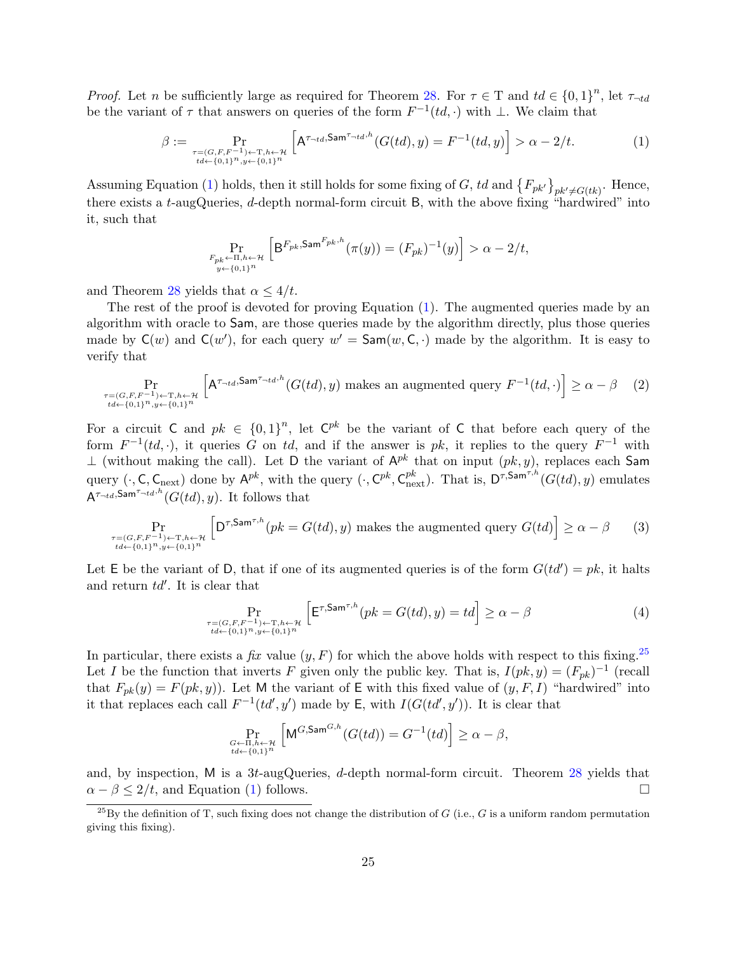*Proof.* Let n be sufficiently large as required for Theorem [28.](#page-25-3) For  $\tau \in T$  and  $td \in \{0,1\}^n$ , let  $\tau_{-td}$ be the variant of  $\tau$  that answers on queries of the form  $F^{-1}(td, \cdot)$  with  $\bot$ . We claim that

$$
\beta := \Pr_{\substack{\tau = (G, F, F^{-1}) \leftarrow T, h \leftarrow H \\ td \leftarrow \{0, 1\}^n, y \leftarrow \{0, 1\}^n}} \left[ A^{\tau_{-td}, \mathsf{Sam}^{\tau_{-td}, h}}(G(td), y) = F^{-1}(td, y) \right] > \alpha - 2/t.
$$
\n(1)

Assuming Equation [\(1\)](#page-27-0) holds, then it still holds for some fixing of G, td and  $\{F_{pk'}\}_{pk'\neq G(tk)}$ . Hence, there exists a t-augQueries, d-depth normal-form circuit B, with the above fixing "hardwired" into it, such that

<span id="page-27-0"></span>
$$
\Pr_{\substack{F_{pk}\leftarrow \Pi, h\leftarrow \mathcal{H}\\y\leftarrow \{0,1\}^n}} \left[\mathsf{B}^{F_{pk}, \mathsf{Sam}^{F_{pk}, h}}(\pi(y)) = (F_{pk})^{-1}(y)\right] > \alpha - 2/t,
$$

and Theorem [28](#page-25-3) yields that  $\alpha \leq 4/t$ .

The rest of the proof is devoted for proving Equation [\(1\)](#page-27-0). The augmented queries made by an algorithm with oracle to Sam, are those queries made by the algorithm directly, plus those queries made by  $C(w)$  and  $C(w')$ , for each query  $w' = \textsf{Sam}(w, C, \cdot)$  made by the algorithm. It is easy to verify that

$$
\Pr_{\substack{\tau = (G, F, F^{-1}) \leftarrow T, h \leftarrow \mathcal{H} \\ t d \leftarrow \{0,1\}^n, y \leftarrow \{0,1\}^n}} \left[ \mathsf{A}^{\tau_{\neg td}, \mathsf{Sam}^{\tau_{\neg td}, h}}(G(td), y) \text{ makes an augmented query } F^{-1}(td, \cdot) \right] \ge \alpha - \beta \tag{2}
$$

For a circuit C and  $pk \in \{0,1\}^n$ , let  $\mathbb{C}^{pk}$  be the variant of C that before each query of the form  $F^{-1}(td, \cdot)$ , it queries G on td, and if the answer is pk, it replies to the query  $F^{-1}$  with ⊥ (without making the call). Let D the variant of  $A^{pk}$  that on input  $(pk, y)$ , replaces each Sam query  $(\cdot, \mathsf{C}, \mathsf{C}_{\text{next}})$  done by  $A^{pk}$ , with the query  $(\cdot, \mathsf{C}^{pk}, \mathsf{C}_{\text{next}}^{pk})$ . That is,  $D^{\tau, \mathsf{Sam}^{\tau, h}}(G(td), y)$  emulates  $A^{\tau_{\neg td}, \mathsf{Sam}^{\tau_{\neg td}, h}}(G(td), y)$ . It follows that

$$
\Pr_{\substack{\tau = (G, F, F^{-1}) \leftarrow T, h \leftarrow \mathcal{H} \\ id \leftarrow \{0,1\}^n, y \leftarrow \{0,1\}^n}} \left[ D^{\tau, \mathsf{Sam}^{\tau, h}}(pk = G(td), y) \text{ makes the augmented query } G(td) \right] \ge \alpha - \beta \tag{3}
$$

Let E be the variant of D, that if one of its augmented queries is of the form  $G(t d') = p k$ , it halts and return  $td'$ . It is clear that

$$
\Pr_{\substack{\tau = (G, F, F^{-1}) \leftarrow T, h \leftarrow \mathcal{H} \\ td \leftarrow \{0,1\}^n, y \leftarrow \{0,1\}^n}} \left[ \mathsf{E}^{\tau, \mathsf{Sam}^{\tau, h}}(pk = G(td), y) = td \right] \ge \alpha - \beta \tag{4}
$$

In particular, there exists a fix value  $(y, F)$  for which the above holds with respect to this fixing.<sup>[25](#page-27-1)</sup> Let I be the function that inverts F given only the public key. That is,  $I(pk, y) = (F_{pk})^{-1}$  (recall that  $F_{pk}(y) = F(pk, y)$ . Let M the variant of E with this fixed value of  $(y, F, I)$  "hardwired" into it that replaces each call  $F^{-1}(td', y')$  made by E, with  $I(G(t d', y'))$ . It is clear that

$$
\Pr_{\substack{G \leftarrow \Pi, h \leftarrow \mathcal{H} \\ t d \leftarrow \{0,1\}^n}} \left[ \mathsf{M}^{G, \mathsf{Sam}^{G, h}}(G(td)) = G^{-1}(td) \right] \ge \alpha - \beta,
$$

and, by inspection, M is a  $3t$ -augQueries, d-depth normal-form circuit. Theorem [28](#page-25-3) yields that  $\alpha - \beta \leq 2/t$ , and Equation [\(1\)](#page-27-0) follows.

<span id="page-27-1"></span> $\frac{25}{3}$ By the definition of T, such fixing does not change the distribution of G (i.e., G is a uniform random permutation giving this fixing).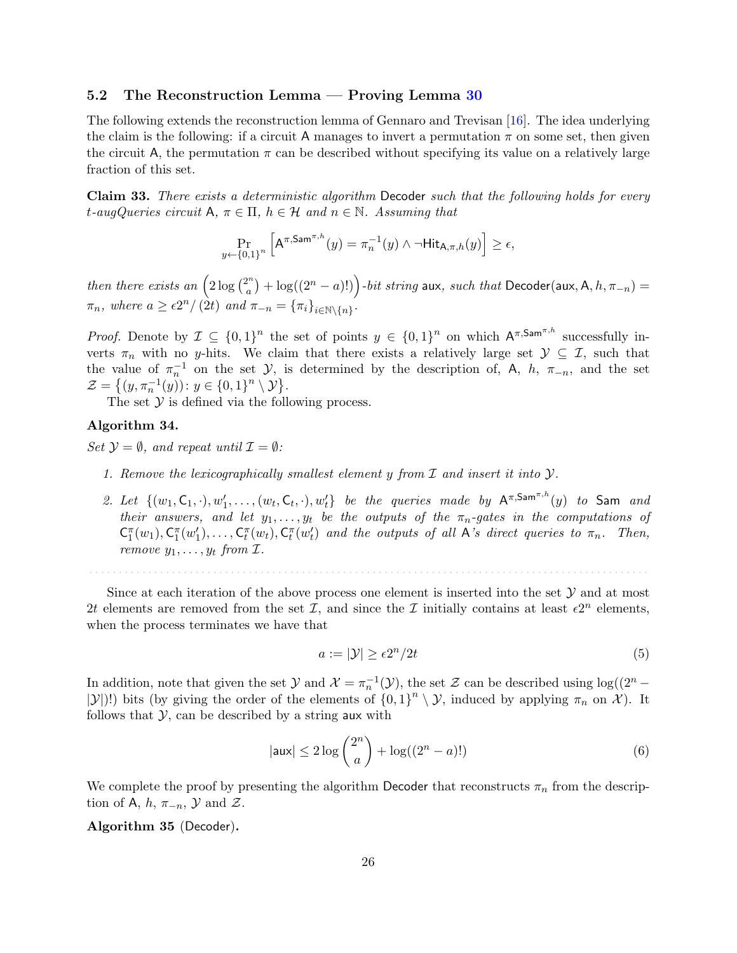#### <span id="page-28-0"></span>5.2 The Reconstruction Lemma — Proving Lemma [30](#page-25-1)

The following extends the reconstruction lemma of Gennaro and Trevisan [\[16\]](#page-46-0). The idea underlying the claim is the following: if a circuit A manages to invert a permutation  $\pi$  on some set, then given the circuit A, the permutation  $\pi$  can be described without specifying its value on a relatively large fraction of this set.

<span id="page-28-1"></span>Claim 33. There exists a deterministic algorithm Decoder such that the following holds for every t-augQueries circuit A,  $\pi \in \Pi$ ,  $h \in \mathcal{H}$  and  $n \in \mathbb{N}$ . Assuming that

$$
\Pr_{y \leftarrow \{0,1\}^n} \left[ \mathsf{A}^{\pi,\mathsf{Sam}^{\pi,h}}(y) = \pi_n^{-1}(y) \land \neg \mathsf{Hit}_{\mathsf{A},\pi,h}(y) \right] \ge \epsilon,
$$

then there exists an  $\left(2\log\binom{2^n}{a}\right)$  $\binom{n}{a}+\log((2^{n}-a)!)\Big)\text{-}bit\text{ string aux, such that Decoder}(\mathsf{aux},\mathsf{A},h,\pi_{-n})=0$  $\pi_n$ , where  $a \geq \epsilon 2^n / (2t)$  and  $\pi_{-n} = {\{\pi_i\}}_{i \in \mathbb{N} \setminus \{n\}}$ .

*Proof.* Denote by  $\mathcal{I} \subseteq \{0,1\}^n$  the set of points  $y \in \{0,1\}^n$  on which  $A^{\pi, \text{Sam}^{\pi, h}}$  successfully inverts  $\pi_n$  with no y-hits. We claim that there exists a relatively large set  $\mathcal{Y} \subseteq \mathcal{I}$ , such that the value of  $\pi_n^{-1}$  on the set Y, is determined by the description of, A, h,  $\pi_{-n}$ , and the set  $\mathcal{Z} = \{(y, \pi_n^{-1}(y)) : y \in \{0,1\}^n \setminus \mathcal{Y}\}.$ 

The set  $Y$  is defined via the following process.

#### Algorithm 34.

Set  $\mathcal{Y} = \emptyset$ , and repeat until  $\mathcal{I} = \emptyset$ :

- 1. Remove the lexicographically smallest element y from  $\mathcal I$  and insert it into  $\mathcal Y$ .
- 2. Let  $\{(w_1, \mathsf{C}_1, \cdot), w'_1, \ldots, (w_t, \mathsf{C}_t, \cdot), w'_t\}$  be the queries made by  $\mathsf{A}^{\pi, \mathsf{Sam}^{\pi, h}}(y)$  to Sam and their answers, and let  $y_1, \ldots, y_t$  be the outputs of the  $\pi_n$ -gates in the computations of  $\mathsf{C}_1^{\pi}(w_1), \mathsf{C}_1^{\pi}(w_1'), \ldots, \mathsf{C}_t^{\pi}(w_t), \mathsf{C}_t^{\pi}(w_t')$  and the outputs of all A's direct queries to  $\pi_n$ . Then, remove  $y_1, \ldots, y_t$  from  $\mathcal{I}$ .

Since at each iteration of the above process one element is inserted into the set  $\mathcal Y$  and at most 2t elements are removed from the set  $\mathcal{I}$ , and since the  $\mathcal{I}$  initially contains at least  $\epsilon 2^n$  elements, when the process terminates we have that

. . . . . . . . . . . . . . . . . . . . . . . . . . . . . . . . . . . . . . . . . . . . . . . . . . . . . . . . . . . . . . . . . . . . . . . . . . . . . . . . . . . . . . . . . . . . . . .

$$
a := |\mathcal{Y}| \ge \epsilon 2^n / 2t \tag{5}
$$

In addition, note that given the set  $\mathcal Y$  and  $\mathcal X = \pi_n^{-1}(\mathcal Y)$ , the set  $\mathcal Z$  can be described using  $\log((2^n |\mathcal{Y}|$ !) bits (by giving the order of the elements of  $\{0,1\}^n \setminus \mathcal{Y}$ , induced by applying  $\pi_n$  on  $\mathcal{X}$ ). It follows that  $\mathcal{Y}$ , can be described by a string aux with

$$
|\mathsf{aux}| \le 2\log\binom{2^n}{a} + \log((2^n - a)!)
$$
\n(6)

We complete the proof by presenting the algorithm Decoder that reconstructs  $\pi_n$  from the description of A, h,  $\pi_{-n}$ ,  $\mathcal Y$  and  $\mathcal Z$ .

#### Algorithm 35 (Decoder).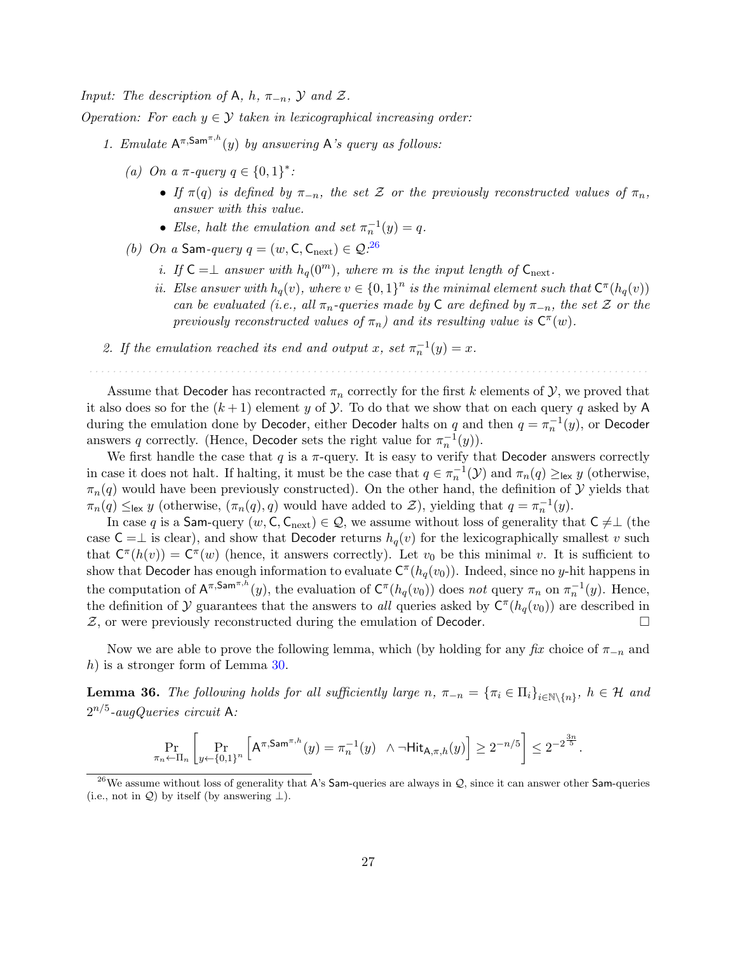Input: The description of A, h,  $\pi_{-n}$ ,  $\mathcal Y$  and  $\mathcal Z$ .

- Operation: For each  $y \in \mathcal{Y}$  taken in lexicographical increasing order:
	- 1. Emulate  $A^{\pi, \text{Sam}^{\pi, h}(y)}$  by answering A's query as follows:
		- (a) On a  $\pi$ -query  $q \in \{0,1\}^*$ :
			- If  $\pi(q)$  is defined by  $\pi_{-n}$ , the set Z or the previously reconstructed values of  $\pi_n$ , answer with this value.
			- Else, halt the emulation and set  $\pi_n^{-1}(y) = q$ .
		- (b) On a Sam-query  $q = (w, C, C_{\text{next}}) \in \mathcal{Q}^{26}$  $q = (w, C, C_{\text{next}}) \in \mathcal{Q}^{26}$  $q = (w, C, C_{\text{next}}) \in \mathcal{Q}^{26}$ 
			- i. If  $C = \perp$  answer with  $h_q(0^m)$ , where m is the input length of  $C_{\text{next}}$ .
			- ii. Else answer with  $h_q(v)$ , where  $v \in \{0,1\}^n$  is the minimal element such that  $C^{\pi}(h_q(v))$ can be evaluated (i.e., all  $\pi_n$ -queries made by C are defined by  $\pi_{-n}$ , the set Z or the previously reconstructed values of  $\pi_n$ ) and its resulting value is  $C^{\pi}(w)$ .
	- 2. If the emulation reached its end and output x, set  $\pi_n^{-1}(y) = x$ .

Assume that Decoder has recontracted  $\pi_n$  correctly for the first k elements of  $\mathcal{Y}$ , we proved that it also does so for the  $(k+1)$  element y of Y. To do that we show that on each query q asked by A during the emulation done by Decoder, either Decoder halts on  $q$  and then  $q = \pi_n^{-1}(y)$ , or Decoder answers q correctly. (Hence, Decoder sets the right value for  $\pi_n^{-1}(y)$ ).

. . . . . . . . . . . . . . . . . . . . . . . . . . . . . . . . . . . . . . . . . . . . . . . . . . . . . . . . . . . . . . . . . . . . . . . . . . . . . . . . . . . . . . . . . . . . . . .

We first handle the case that  $q$  is a  $\pi$ -query. It is easy to verify that Decoder answers correctly in case it does not halt. If halting, it must be the case that  $q \in \pi_n^{-1}(\mathcal{Y})$  and  $\pi_n(q) \geq_{\text{lex}} y$  (otherwise,  $\pi_n(q)$  would have been previously constructed). On the other hand, the definition of Y yields that  $\pi_n(q) \leq_{\text{lex}} y$  (otherwise,  $(\pi_n(q), q)$  would have added to  $\mathcal{Z}$ ), yielding that  $q = \pi_n^{-1}(y)$ .

In case q is a Sam-query  $(w, C, C_{\text{next}}) \in \mathcal{Q}$ , we assume without loss of generality that  $C \neq \perp$  (the case  $C = \perp$  is clear), and show that Decoder returns  $h_q(v)$  for the lexicographically smallest v such that  $C^{\pi}(h(v)) = C^{\pi}(w)$  (hence, it answers correctly). Let  $v_0$  be this minimal v. It is sufficient to show that Decoder has enough information to evaluate  $C^{\pi}(h_q(v_0))$ . Indeed, since no y-hit happens in the computation of  $A^{\pi, \textsf{Sam}^{\pi, h}}(y)$ , the evaluation of  $C^{\pi}(h_q(v_0))$  does not query  $\pi_n$  on  $\pi_n^{-1}(y)$ . Hence, the definition of  $\mathcal Y$  guarantees that the answers to all queries asked by  $C^{\pi}(h_q(v_0))$  are described in  $Z$ , or were previously reconstructed during the emulation of Decoder.

Now we are able to prove the following lemma, which (by holding for any  $fix$  choice of  $\pi_{-n}$  and h) is a stronger form of Lemma  $30$ .

**Lemma 36.** The following holds for all sufficiently large  $n, \pi_{-n} = \{\pi_i \in \Pi_i\}_{i \in \mathbb{N}\setminus\{n\}}, h \in \mathcal{H}$  and  $2^{n/5}$ -augQueries circuit A:

$$
\Pr_{\pi_n \leftarrow \Pi_n} \left[ \Pr_{y \leftarrow \{0,1\}^n} \left[ A^{\pi, \mathsf{Sam}^{\pi, h}}(y) = \pi_n^{-1}(y) \ \wedge \neg \mathsf{Hit}_{\mathsf{A}, \pi, h}(y) \right] \ge 2^{-n/5} \right] \le 2^{-2\frac{3n}{5}}.
$$

<span id="page-29-0"></span><sup>&</sup>lt;sup>26</sup>We assume without loss of generality that A's Sam-queries are always in Q, since it can answer other Sam-queries (i.e., not in  $\mathcal{Q}$ ) by itself (by answering  $\perp$ ).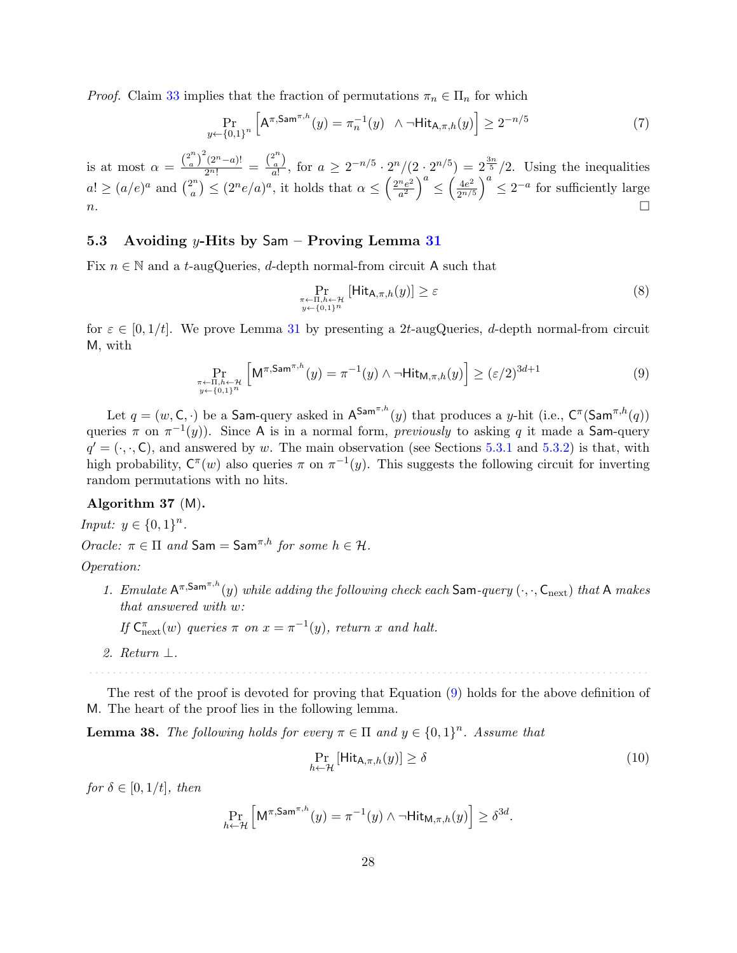*Proof.* Claim [33](#page-28-1) implies that the fraction of permutations  $\pi_n \in \Pi_n$  for which

$$
\Pr_{y \leftarrow \{0,1\}^n} \left[ A^{\pi, \text{Sam}^{\pi, h}}(y) = \pi_n^{-1}(y) \quad \wedge \, \neg \text{Hit}_{A, \pi, h}(y) \right] \ge 2^{-n/5} \tag{7}
$$

is at most  $\alpha = \frac{\binom{2^n}{a}}{a}$  $\frac{a^{n}}{a}$ )<sup>2</sup>(2<sup>n</sup>-a)! =  $\frac{a}{a}$  $\binom{2^n}{a}$  $\frac{a}{a!}$ , for  $a \geq 2^{-n/5} \cdot 2^n/(2 \cdot 2^{n/5}) = 2^{\frac{3n}{5}}/2$ . Using the inequalities  $a! \geq (a/e)^a$  and  $\binom{2^n}{a}$  $\binom{2^n}{a} \leq (2^n e/a)^a$ , it holds that  $\alpha \leq \left(\frac{2^n e^2}{a^2}\right)$  $\left(\frac{n_e^2}{a^2}\right)^a \leq \left(\frac{4e^2}{2^{n/3}}\right)$  $\frac{4e^2}{2^{n/5}}$  $\Big)^a \leq 2^{-a}$  for sufficiently large n.

#### <span id="page-30-0"></span>5.3 Avoiding y-Hits by Sam – Proving Lemma [31](#page-25-2)

Fix  $n \in \mathbb{N}$  and a t-augQueries, d-depth normal-from circuit A such that

<span id="page-30-3"></span><span id="page-30-2"></span>
$$
\Pr_{\substack{\pi \leftarrow \Pi, h \leftarrow \mathcal{H} \\ y \leftarrow \{0,1\}^n}} \left[\mathsf{Hit}_{\mathsf{A},\pi,h}(y)\right] \ge \varepsilon \tag{8}
$$

for  $\varepsilon \in [0, 1/t]$ . We prove Lemma [31](#page-25-2) by presenting a 2t-augQueries, d-depth normal-from circuit M, with

$$
\Pr_{\substack{\pi \leftarrow \Pi, h \leftarrow \mathcal{H} \\ y \leftarrow \{0,1\}^n}} \left[ \mathsf{M}^{\pi, \mathsf{Sam}^{\pi, h}}(y) = \pi^{-1}(y) \land \neg \mathsf{Hit}_{\mathsf{M}, \pi, h}(y) \right] \ge (\varepsilon/2)^{3d+1} \tag{9}
$$

Let  $q = (w, \mathsf{C}, \cdot)$  be a Sam-query asked in  $\mathsf{A}^{\mathsf{Sam}^{\pi,h}}(y)$  that produces a y-hit (i.e.,  $\mathsf{C}^{\pi}(\mathsf{Sam}^{\pi,h}(q))$ queries  $\pi$  on  $\pi^{-1}(y)$ ). Since A is in a normal form, *previously* to asking q it made a Sam-query  $q' = (., \cdot, C)$ , and answered by w. The main observation (see Sections [5.3.1](#page-31-0) and [5.3.2\)](#page-36-0) is that, with high probability,  $C^{\pi}(w)$  also queries  $\pi$  on  $\pi^{-1}(y)$ . This suggests the following circuit for inverting random permutations with no hits.

#### Algorithm 37 (M).

*Input:*  $y \in \{0, 1\}^n$ . Oracle:  $\pi \in \Pi$  and  $\mathsf{Sam} = \mathsf{Sam}^{\pi,h}$  for some  $h \in \mathcal{H}$ .

#### Operation:

1. Emulate  $A^{\pi, \text{Sam}^{\pi, h}}(y)$  while adding the following check each Sam-query  $(\cdot, \cdot, C_{\text{next}})$  that A makes that answered with w:

If  $C_{\text{next}}^{\pi}(w)$  queries  $\pi$  on  $x = \pi^{-1}(y)$ , return x and halt.

2. Return ⊥.

The rest of the proof is devoted for proving that Equation [\(9\)](#page-30-2) holds for the above definition of M. The heart of the proof lies in the following lemma.

. . . . . . . . . . . . . . . . . . . . . . . . . . . . . . . . . . . . . . . . . . . . . . . . . . . . . . . . . . . . . . . . . . . . . . . . . . . . . . . . . . . . . . . . . . . . . . .

<span id="page-30-1"></span>**Lemma 38.** The following holds for every  $\pi \in \Pi$  and  $y \in \{0,1\}^n$ . Assume that

$$
\Pr_{h \leftarrow \mathcal{H}} \left[ \text{Hit}_{\mathsf{A}, \pi, h}(y) \right] \ge \delta \tag{10}
$$

for  $\delta \in [0, 1/t]$ , then

$$
\Pr_{h \leftarrow \mathcal{H}} \left[ \mathsf{M}^{\pi,\mathsf{Sam}^{\pi,h}}(y) = \pi^{-1}(y) \land \neg \mathsf{Hit}_{\mathsf{M},\pi,h}(y) \right] \geq \delta^{3d}.
$$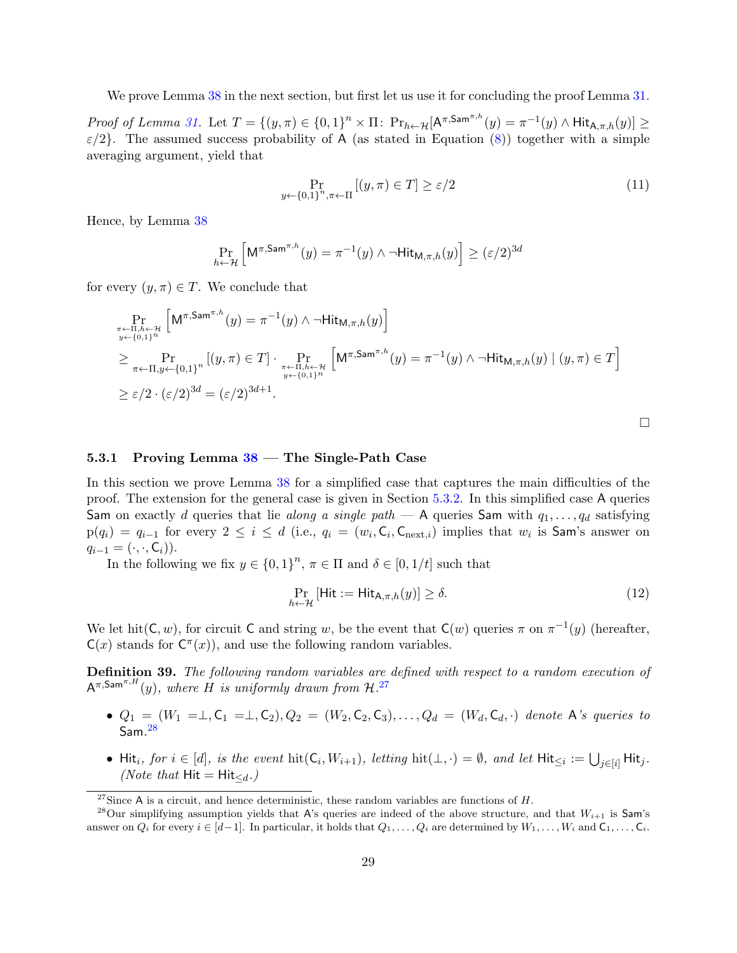We prove Lemma [38](#page-30-1) in the next section, but first let us use it for concluding the proof Lemma [31.](#page-25-2)

Proof of Lemma [31.](#page-25-2) Let  $T = \{(y, \pi) \in \{0,1\}^n \times \Pi: \Pr_{h \leftarrow H}[\mathsf{A}^{\pi, \mathsf{Sam}^{\pi, h}}(y) = \pi^{-1}(y) \wedge \mathsf{Hit}_{\mathsf{A}, \pi, h}(y)] \geq$  $\varepsilon/2$ . The assumed success probability of A (as stated in Equation [\(8\)](#page-30-3)) together with a simple averaging argument, yield that

$$
\Pr_{y \leftarrow \{0,1\}^n, \pi \leftarrow \Pi} \left[ (y, \pi) \in T \right] \ge \varepsilon / 2 \tag{11}
$$

Hence, by Lemma [38](#page-30-1)

$$
\Pr_{h \leftarrow \mathcal{H}} \left[ \mathsf{M}^{\pi, \mathsf{Sam}^{\pi, h}}(y) = \pi^{-1}(y) \land \neg \mathsf{Hit}_{\mathsf{M}, \pi, h}(y) \right] \ge (\varepsilon/2)^{3d}
$$

for every  $(y, \pi) \in T$ . We conclude that

$$
\Pr_{\substack{\pi \leftarrow \Pi, h \leftarrow \mathcal{H} \\ y \leftarrow \{0,1\}^n}} \left[ \mathsf{M}^{\pi, \mathsf{Sam}^{\pi, h}}(y) = \pi^{-1}(y) \land \neg \mathsf{Hit}_{\mathsf{M}, \pi, h}(y) \right] \n\ge \Pr_{\pi \leftarrow \Pi, y \leftarrow \{0,1\}^n} \left[ (y, \pi) \in T \right] \cdot \Pr_{\substack{\pi \leftarrow \Pi, h \leftarrow \mathcal{H} \\ y \leftarrow \{0,1\}^n}} \left[ \mathsf{M}^{\pi, \mathsf{Sam}^{\pi, h}}(y) = \pi^{-1}(y) \land \neg \mathsf{Hit}_{\mathsf{M}, \pi, h}(y) \mid (y, \pi) \in T \right] \n\ge \varepsilon/2 \cdot (\varepsilon/2)^{3d} = (\varepsilon/2)^{3d+1}.
$$

<span id="page-31-3"></span>

#### <span id="page-31-0"></span>5.3.1 Proving Lemma  $38$  – The Single-Path Case

In this section we prove Lemma [38](#page-30-1) for a simplified case that captures the main difficulties of the proof. The extension for the general case is given in Section [5.3.2.](#page-36-0) In this simplified case A queries Sam on exactly d queries that lie along a single path  $-$  A queries Sam with  $q_1, \ldots, q_d$  satisfying  $p(q_i) = q_{i-1}$  for every  $2 \leq i \leq d$  (i.e.,  $q_i = (w_i, \mathsf{C}_i, \mathsf{C}_{\text{next},i})$  implies that  $w_i$  is Sam's answer on  $q_{i-1} = (\cdot, \cdot, \mathsf{C}_i).$ 

In the following we fix  $y \in \{0,1\}^n$ ,  $\pi \in \Pi$  and  $\delta \in [0,1/t]$  such that

$$
\Pr_{h \leftarrow \mathcal{H}} \left[ \mathsf{Hit} := \mathsf{Hit}_{\mathsf{A}, \pi, h}(y) \right] \ge \delta. \tag{12}
$$

We let hit( $C, w$ ), for circuit C and string w, be the event that  $C(w)$  queries  $\pi$  on  $\pi^{-1}(y)$  (hereafter,  $C(x)$  stands for  $C^{\pi}(x)$ , and use the following random variables.

Definition 39. The following random variables are defined with respect to a random execution of  $A^{\pi,\mathsf{Sam}^{\pi,H}}(y)$ , where H is uniformly drawn from  $\mathcal{H}^{.27}$  $\mathcal{H}^{.27}$  $\mathcal{H}^{.27}$ 

- $Q_1 = (W_1 = \perp, C_1 = \perp, C_2), Q_2 = (W_2, C_2, C_3), \ldots, Q_d = (W_d, C_d, \cdot)$  denote A's queries to  $\mathsf{Sam.}^{28}$  $\mathsf{Sam.}^{28}$  $\mathsf{Sam.}^{28}$
- Hit<sub>i</sub>, for  $i \in [d]$ , is the event  $\mathrm{hit}(\mathsf{C}_i, W_{i+1})$ , letting  $\mathrm{hit}(\bot, \cdot) = \emptyset$ , and let  $\mathrm{Hit}_{\leq i} := \bigcup_{j \in [i]} \mathrm{Hit}_j$ . (*Note that*  $Hit = Hit_{\le d}$ .)

<span id="page-31-2"></span><span id="page-31-1"></span><sup>&</sup>lt;sup>27</sup>Since A is a circuit, and hence deterministic, these random variables are functions of  $H$ .

<sup>&</sup>lt;sup>28</sup>Our simplifying assumption yields that A's queries are indeed of the above structure, and that  $W_{i+1}$  is  $\mathsf{Sam's}$ answer on  $Q_i$  for every  $i \in [d-1]$ . In particular, it holds that  $Q_1, \ldots, Q_i$  are determined by  $W_1, \ldots, W_i$  and  $C_1, \ldots, C_i$ .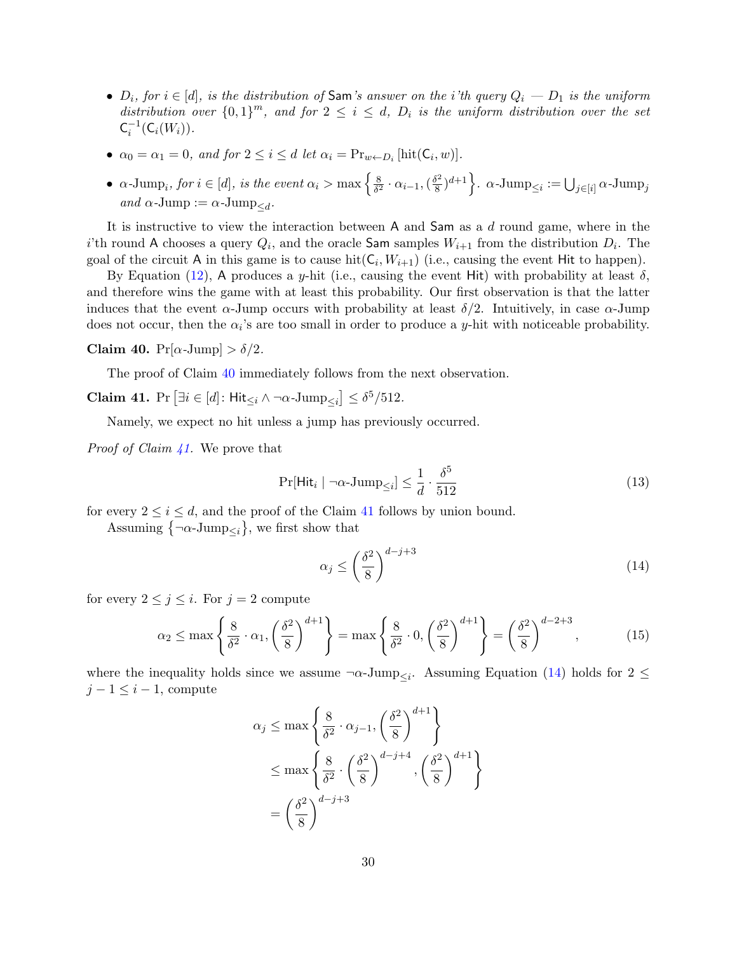- $D_i$ , for  $i \in [d]$ , is the distribution of Sam's answer on the i'th query  $Q_i D_1$  is the uniform distribution over  $\{0,1\}^m$ , and for  $2 \leq i \leq d$ ,  $D_i$  is the uniform distribution over the set  $C_i^{-1}(C_i(W_i)).$
- $\alpha_0 = \alpha_1 = 0$ , and for  $2 \leq i \leq d$  let  $\alpha_i = \Pr_{w \leftarrow D_i}[\text{hit}(\mathsf{C}_i, w)].$
- $\alpha$ -Jump<sub>i</sub>, for  $i \in [d]$ , is the event  $\alpha_i > \max\left\{\frac{8}{\delta^2}\right\}$  $\frac{8}{\delta^2} \cdot \alpha_{i-1}, (\frac{\delta^2}{8}$  $\left\{ \frac{\delta^2}{8}\right\}^{d+1}\Big\}$ .  $\alpha\text{-Jump}_{\leq i}:=\bigcup_{j\in [i]}\alpha\text{-Jump}_j$ and  $\alpha$ -Jump :=  $\alpha$ -Jump<sub> $\leq d$ </sub>.

It is instructive to view the interaction between A and Sam as a d round game, where in the i'th round A chooses a query  $Q_i$ , and the oracle Sam samples  $W_{i+1}$  from the distribution  $D_i$ . The goal of the circuit A in this game is to cause  $\text{hit}(\mathsf{C}_i, W_{i+1})$  (i.e., causing the event Hit to happen).

By Equation [\(12\)](#page-31-3), A produces a y-hit (i.e., causing the event Hit) with probability at least  $\delta$ . and therefore wins the game with at least this probability. Our first observation is that the latter induces that the event  $\alpha$ -Jump occurs with probability at least  $\delta/2$ . Intuitively, in case  $\alpha$ -Jump does not occur, then the  $\alpha_i$ 's are too small in order to produce a y-hit with noticeable probability.

#### <span id="page-32-0"></span>Claim 40.  $Pr[\alpha\text{-Jump}] > \delta/2$ .

The proof of Claim [40](#page-32-0) immediately follows from the next observation.

<span id="page-32-1"></span>**Claim 41.** Pr  $\left[\exists i \in [d]: \mathsf{Hit}_{\leq i} \wedge \neg \alpha \text{-Jump}_{\leq i}\right] \leq \delta^5/512.$ 

Namely, we expect no hit unless a jump has previously occurred.

*Proof of Claim [41.](#page-32-1)* We prove that

$$
\Pr[\text{Hit}_i \mid \neg \alpha \text{-Jump}_{\leq i}] \leq \frac{1}{d} \cdot \frac{\delta^5}{512} \tag{13}
$$

for every  $2 \leq i \leq d$ , and the proof of the Claim [41](#page-32-1) follows by union bound.

Assuming  $\{\neg \alpha\text{-Jump}_{\leq i}\},\$  we first show that

<span id="page-32-2"></span>
$$
\alpha_j \le \left(\frac{\delta^2}{8}\right)^{d-j+3} \tag{14}
$$

for every  $2 \leq j \leq i$ . For  $j = 2$  compute

$$
\alpha_2 \le \max\left\{\frac{8}{\delta^2} \cdot \alpha_1, \left(\frac{\delta^2}{8}\right)^{d+1}\right\} = \max\left\{\frac{8}{\delta^2} \cdot 0, \left(\frac{\delta^2}{8}\right)^{d+1}\right\} = \left(\frac{\delta^2}{8}\right)^{d-2+3},\tag{15}
$$

where the inequality holds since we assume  $\neg \alpha$ -Jump<sub> $\leq i$ </sub>. Assuming Equation [\(14\)](#page-32-2) holds for 2  $\leq$  $j-1 \leq i-1$ , compute

$$
\alpha_j \le \max\left\{\frac{8}{\delta^2} \cdot \alpha_{j-1}, \left(\frac{\delta^2}{8}\right)^{d+1}\right\}
$$
  

$$
\le \max\left\{\frac{8}{\delta^2} \cdot \left(\frac{\delta^2}{8}\right)^{d-j+4}, \left(\frac{\delta^2}{8}\right)^{d+1}\right\}
$$
  

$$
= \left(\frac{\delta^2}{8}\right)^{d-j+3}
$$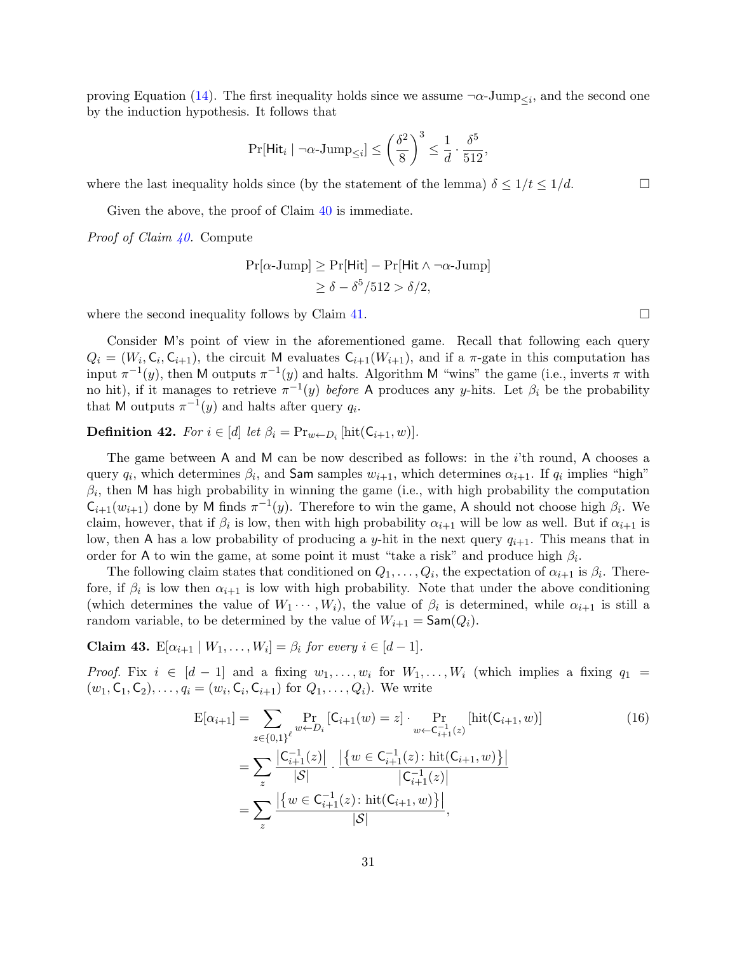proving Equation [\(14\)](#page-32-2). The first inequality holds since we assume  $\neg \alpha$ -Jump<sub> $\leq i$ </sub>, and the second one by the induction hypothesis. It follows that

$$
\Pr[\mathsf{Hit}_i \mid \neg \alpha\text{-Jump}_{\leq i}] \leq \left(\frac{\delta^2}{8}\right)^3 \leq \frac{1}{d} \cdot \frac{\delta^5}{512},
$$

where the last inequality holds since (by the statement of the lemma)  $\delta \leq 1/t \leq 1/d$ .

Given the above, the proof of Claim [40](#page-32-0) is immediate.

Proof of Claim [40.](#page-32-0) Compute

$$
Pr[\alpha\text{-Jump}] \ge Pr[\text{Hit}] - Pr[\text{Hit} \land \neg \alpha\text{-Jump}]
$$

$$
\ge \delta - \delta^5 / 512 > \delta / 2,
$$

where the second inequality follows by Claim [41.](#page-32-1)  $\Box$ 

Consider M's point of view in the aforementioned game. Recall that following each query  $Q_i = (W_i, \mathsf{C}_i, \mathsf{C}_{i+1}),$  the circuit M evaluates  $\mathsf{C}_{i+1}(W_{i+1}),$  and if a  $\pi$ -gate in this computation has input  $\pi^{-1}(y)$ , then M outputs  $\pi^{-1}(y)$  and halts. Algorithm M "wins" the game (i.e., inverts  $\pi$  with no hit), if it manages to retrieve  $\pi^{-1}(y)$  before A produces any y-hits. Let  $\beta_i$  be the probability that M outputs  $\pi^{-1}(y)$  and halts after query  $q_i$ .

**Definition 42.** For  $i \in [d]$  let  $\beta_i = \Pr_{w \leftarrow D_i} [\text{hit}(\mathsf{C}_{i+1}, w)].$ 

The game between A and M can be now described as follows: in the  $i$ 'th round, A chooses a query  $q_i$ , which determines  $\beta_i$ , and Sam samples  $w_{i+1}$ , which determines  $\alpha_{i+1}$ . If  $q_i$  implies "high"  $\beta_i$ , then M has high probability in winning the game (i.e., with high probability the computation  $C_{i+1}(w_{i+1})$  done by M finds  $\pi^{-1}(y)$ . Therefore to win the game, A should not choose high  $\beta_i$ . We claim, however, that if  $\beta_i$  is low, then with high probability  $\alpha_{i+1}$  will be low as well. But if  $\alpha_{i+1}$  is low, then A has a low probability of producing a y-hit in the next query  $q_{i+1}$ . This means that in order for A to win the game, at some point it must "take a risk" and produce high  $\beta_i$ .

The following claim states that conditioned on  $Q_1, \ldots, Q_i$ , the expectation of  $\alpha_{i+1}$  is  $\beta_i$ . Therefore, if  $\beta_i$  is low then  $\alpha_{i+1}$  is low with high probability. Note that under the above conditioning (which determines the value of  $W_1 \cdots, W_i$ ), the value of  $\beta_i$  is determined, while  $\alpha_{i+1}$  is still a random variable, to be determined by the value of  $W_{i+1} = \mathsf{Sam}(Q_i)$ .

<span id="page-33-0"></span>Claim 43.  $\mathbb{E}[\alpha_{i+1} | W_1, \ldots, W_i] = \beta_i$  for every  $i \in [d-1]$ .

*Proof.* Fix  $i \in [d-1]$  and a fixing  $w_1, \ldots, w_i$  for  $W_1, \ldots, W_i$  (which implies a fixing  $q_1 =$  $(w_1, C_1, C_2), \ldots, q_i = (w_i, C_i, C_{i+1})$  for  $Q_1, \ldots, Q_i$ ). We write

$$
E[\alpha_{i+1}] = \sum_{z \in \{0,1\}^{\ell}} \Pr_{w \leftarrow D_i} [C_{i+1}(w) = z] \cdot \Pr_{w \leftarrow C_{i+1}^{-1}(z)} [hit(C_{i+1}, w)]
$$
\n
$$
= \sum_{z} \frac{|C_{i+1}^{-1}(z)|}{|S|} \cdot \frac{|\{w \in C_{i+1}^{-1}(z) : hit(C_{i+1}, w)\}|}{|C_{i+1}^{-1}(z)|}
$$
\n
$$
= \sum_{z} \frac{|\{w \in C_{i+1}^{-1}(z) : hit(C_{i+1}, w)\}|}{|S|},
$$
\n(16)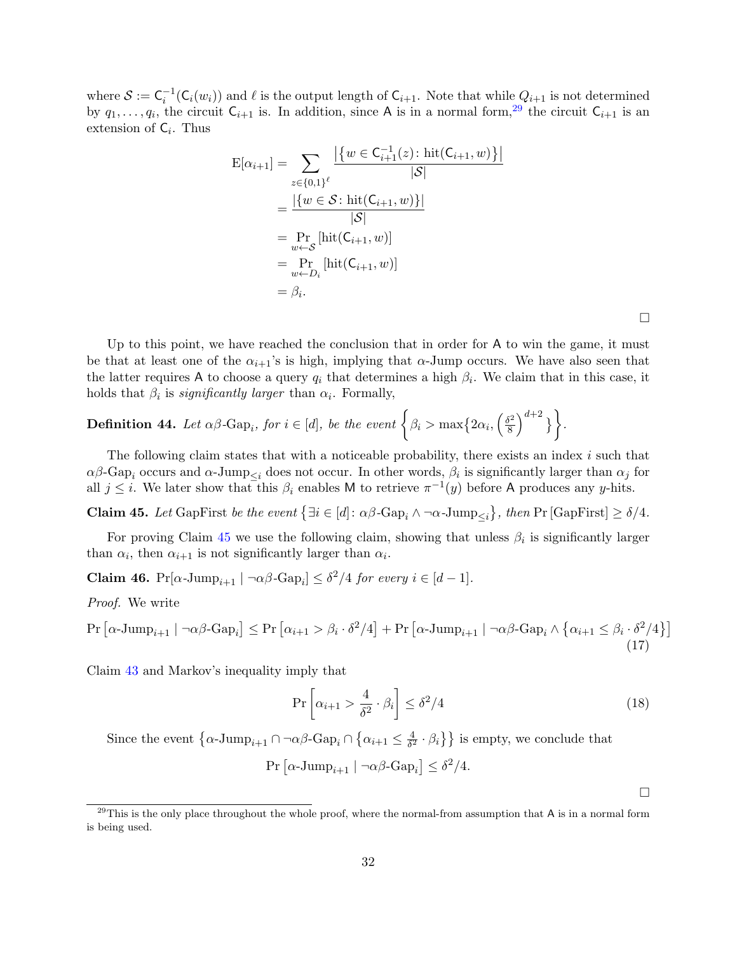where  $S := \mathsf{C}_i^{-1}(\mathsf{C}_i(w_i))$  and  $\ell$  is the output length of  $\mathsf{C}_{i+1}$ . Note that while  $Q_{i+1}$  is not determined by  $q_1, \ldots, q_i$ , the circuit  $C_{i+1}$  is. In addition, since A is in a normal form,<sup>[29](#page-34-0)</sup> the circuit  $C_{i+1}$  is an extension of  $C_i$ . Thus

$$
E[\alpha_{i+1}] = \sum_{z \in \{0,1\}^{\ell}} \frac{\left| \left\{ w \in C_{i+1}^{-1}(z) : \text{hit}(C_{i+1}, w) \right\} \right|}{|\mathcal{S}|}
$$
  
= 
$$
\frac{\left| \left\{ w \in \mathcal{S} : \text{hit}(C_{i+1}, w) \right\} \right|}{|\mathcal{S}|}
$$
  
= 
$$
\Pr_{w \leftarrow \mathcal{S}} \left[ \text{hit}(C_{i+1}, w) \right]
$$
  
= 
$$
\Pr_{w \leftarrow D_i} \left[ \text{hit}(C_{i+1}, w) \right]
$$
  
= 
$$
\beta_i.
$$

Up to this point, we have reached the conclusion that in order for A to win the game, it must be that at least one of the  $\alpha_{i+1}$ 's is high, implying that  $\alpha$ -Jump occurs. We have also seen that the latter requires A to choose a query  $q_i$  that determines a high  $\beta_i$ . We claim that in this case, it holds that  $\beta_i$  is *significantly larger* than  $\alpha_i$ . Formally,

**Definition 44.** Let 
$$
\alpha\beta
$$
-Gap<sub>i</sub>, for  $i \in [d]$ , be the event  $\left\{\beta_i > \max\{2\alpha_i, \left(\frac{\delta^2}{8}\right)^{d+2}\}\right\}$ .

The following claim states that with a noticeable probability, there exists an index  $i$  such that  $\alpha\beta$ -Gap<sub>i</sub> occurs and  $\alpha$ -Jump<sub> $\leq i$ </sub> does not occur. In other words,  $\beta_i$  is significantly larger than  $\alpha_j$  for all  $j \leq i$ . We later show that this  $\beta_i$  enables M to retrieve  $\pi^{-1}(y)$  before A produces any y-hits.

<span id="page-34-1"></span>**Claim 45.** Let GapFirst be the event  $\{\exists i \in [d]: \alpha \beta \text{-Gap}_i \land \neg \alpha \text{-Jump}_{\leq i}\},\$  then Pr  $[\text{GapFirst}] \geq \delta/4$ .

For proving Claim [45](#page-34-1) we use the following claim, showing that unless  $\beta_i$  is significantly larger than  $\alpha_i$ , then  $\alpha_{i+1}$  is not significantly larger than  $\alpha_i$ .

<span id="page-34-2"></span>**Claim 46.**  $Pr[\alpha\text{-Jump}_{i+1} | \neg \alpha\beta\text{-Gap}_i] \leq \delta^2/4$  for every  $i \in [d-1]$ .

Proof. We write

$$
\Pr\left[\alpha\text{-Jump}_{i+1} \mid \neg\alpha\beta\text{-Gap}_i\right] \leq \Pr\left[\alpha_{i+1} > \beta_i \cdot \delta^2/4\right] + \Pr\left[\alpha\text{-Jump}_{i+1} \mid \neg\alpha\beta\text{-Gap}_i \land \left\{\alpha_{i+1} \leq \beta_i \cdot \delta^2/4\right\}\right] \tag{17}
$$

Claim [43](#page-33-0) and Markov's inequality imply that

$$
\Pr\left[\alpha_{i+1} > \frac{4}{\delta^2} \cdot \beta_i\right] \le \delta^2/4\tag{18}
$$

Since the event  $\{\alpha\text{-Jump}_{i+1}\cap\neg \alpha\beta\text{-Gap}_i\cap\{\alpha_{i+1}\leq \frac{4}{\delta^2}\}$  $\left\{\frac{4}{\delta^2} \cdot \beta_i\right\}$  is empty, we conclude that

$$
Pr\left[\alpha\text{-Jump}_{i+1} \mid \neg \alpha\beta\text{-Gap}_i\right] \le \delta^2/4.
$$

 $\Box$ 

 $\Box$ 

<span id="page-34-0"></span> $^{29}$ This is the only place throughout the whole proof, where the normal-from assumption that A is in a normal form is being used.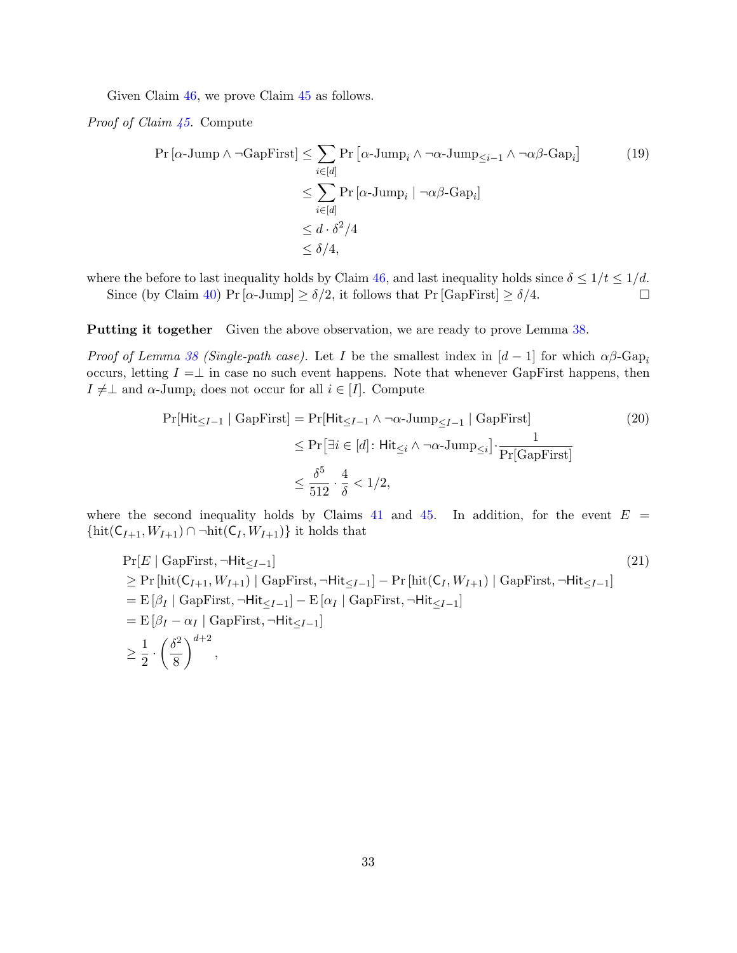Given Claim [46,](#page-34-2) we prove Claim [45](#page-34-1) as follows.

Proof of Claim [45.](#page-34-1) Compute

$$
\Pr\left[\alpha\text{-Jump}\wedge\neg\text{GapFirst}\right] \leq \sum_{i\in[d]} \Pr\left[\alpha\text{-Jump}_i \wedge \neg\alpha\text{-Jump}_{\leq i-1} \wedge \neg\alpha\beta\text{-Gap}_i\right] \tag{19}
$$
\n
$$
\leq \sum_{i\in[d]} \Pr\left[\alpha\text{-Jump}_i \mid \neg\alpha\beta\text{-Gap}_i\right]
$$
\n
$$
\leq d \cdot \delta^2/4
$$
\n
$$
\leq \delta/4,
$$

where the before to last inequality holds by Claim [46,](#page-34-2) and last inequality holds since  $\delta \leq 1/t \leq 1/d$ .

Since (by Claim [40\)](#page-32-0) Pr [ $\alpha$ -Jump]  $\geq \delta/2$ , it follows that Pr [ $GapFirst$ ]  $\geq \delta/4$ .

Putting it together Given the above observation, we are ready to prove Lemma [38.](#page-30-1)

*Proof of Lemma [38](#page-30-1) (Single-path case).* Let I be the smallest index in  $[d-1]$  for which  $\alpha\beta$ -Gap<sub>i</sub> occurs, letting  $I = \perp$  in case no such event happens. Note that whenever GapFirst happens, then  $I \neq \perp$  and  $\alpha$ -Jump<sub>i</sub> does not occur for all  $i \in [I]$ . Compute

$$
\Pr[\text{Hit}_{\leq I-1} \mid \text{GapFirst}] = \Pr[\text{Hit}_{\leq I-1} \land \neg \alpha \text{-Jump}_{\leq I-1} \mid \text{GapFirst}]
$$
\n
$$
\leq \Pr[\exists i \in [d] : \text{Hit}_{\leq i} \land \neg \alpha \text{-Jump}_{\leq i}] \cdot \frac{1}{\Pr[\text{GapFirst}]}
$$
\n
$$
\leq \frac{\delta^5}{512} \cdot \frac{4}{\delta} < 1/2,
$$
\n(20)

where the second inequality holds by Claims [41](#page-32-1) and [45.](#page-34-1) In addition, for the event  $E =$ { $\text{hit}(\mathsf{C}_{I+1}, W_{I+1}) \cap \neg \text{hit}(\mathsf{C}_I, W_{I+1})$ } it holds that

$$
\Pr[E \mid \text{GapFirst}, \neg \text{Hit}_{\leq I-1}] \tag{21}
$$
\n
$$
\geq \Pr[\text{hit}(C_{I+1}, W_{I+1}) \mid \text{GapFirst}, \neg \text{Hit}_{\leq I-1}] - \Pr[\text{hit}(C_I, W_{I+1}) \mid \text{GapFirst}, \neg \text{Hit}_{\leq I-1}]
$$
\n
$$
= E[\beta_I \mid \text{GapFirst}, \neg \text{Hit}_{\leq I-1}] - E[\alpha_I \mid \text{GapFirst}, \neg \text{Hit}_{\leq I-1}]
$$
\n
$$
= E[\beta_I - \alpha_I \mid \text{GapFirst}, \neg \text{Hit}_{\leq I-1}]
$$
\n
$$
\geq \frac{1}{2} \cdot \left(\frac{\delta^2}{8}\right)^{d+2},
$$
\n(21)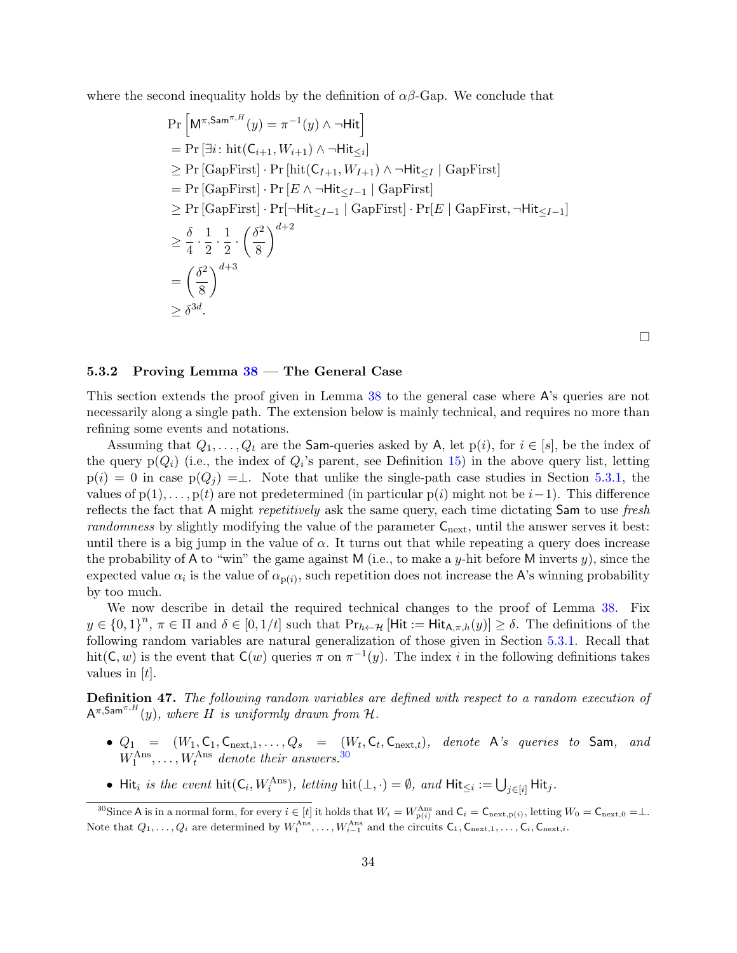where the second inequality holds by the definition of  $\alpha\beta$ -Gap. We conclude that

$$
\Pr\left[\mathsf{M}^{\pi,\mathsf{Sam}^{\pi,H}}(y) = \pi^{-1}(y) \land \neg \mathsf{Hit}\right]
$$
\n
$$
= \Pr\left[\exists i : \mathrm{hit}(\mathsf{C}_{i+1}, W_{i+1}) \land \neg \mathsf{Hit}_{\leq i}\right]
$$
\n
$$
\geq \Pr\left[\mathsf{GapFirst}\right] \cdot \Pr\left[\mathrm{hit}(\mathsf{C}_{I+1}, W_{I+1}) \land \neg \mathsf{Hit}_{\leq I} \mid \mathsf{GapFirst}\right]
$$
\n
$$
= \Pr\left[\mathsf{GapFirst}\right] \cdot \Pr\left[E \land \neg \mathsf{Hit}_{\leq I-1} \mid \mathsf{GapFirst}\right]
$$
\n
$$
\geq \Pr\left[\mathsf{GapFirst}\right] \cdot \Pr[\neg \mathsf{Hit}_{\leq I-1} \mid \mathsf{GapFirst}\right] \cdot \Pr[E \mid \mathsf{GapFirst}, \neg \mathsf{Hit}_{\leq I-1}]
$$
\n
$$
\geq \frac{\delta}{4} \cdot \frac{1}{2} \cdot \frac{1}{2} \cdot \left(\frac{\delta^2}{8}\right)^{d+2}
$$
\n
$$
= \left(\frac{\delta^2}{8}\right)^{d+3}
$$
\n
$$
\geq \delta^{3d}.
$$

 $\Box$ 

#### <span id="page-36-0"></span>5.3.2 Proving Lemma  $38$  – The General Case

This section extends the proof given in Lemma [38](#page-30-1) to the general case where A's queries are not necessarily along a single path. The extension below is mainly technical, and requires no more than refining some events and notations.

Assuming that  $Q_1, \ldots, Q_t$  are the Sam-queries asked by A, let  $p(i)$ , for  $i \in [s]$ , be the index of the query  $p(Q_i)$  (i.e., the index of  $Q_i$ 's parent, see Definition [15\)](#page-18-1) in the above query list, letting  $p(i) = 0$  in case  $p(Q_i) = \perp$ . Note that unlike the single-path case studies in Section [5.3.1,](#page-31-0) the values of  $p(1), \ldots, p(t)$  are not predetermined (in particular  $p(i)$  might not be  $i-1$ ). This difference reflects the fact that A might *repetitively* ask the same query, each time dictating Sam to use fresh randomness by slightly modifying the value of the parameter  $C_{\text{next}}$ , until the answer serves it best: until there is a big jump in the value of  $\alpha$ . It turns out that while repeating a query does increase the probability of A to "win" the game against M (i.e., to make a y-hit before M inverts  $y$ ), since the expected value  $\alpha_i$  is the value of  $\alpha_{p(i)}$ , such repetition does not increase the A's winning probability by too much.

We now describe in detail the required technical changes to the proof of Lemma [38.](#page-30-1) Fix  $y \in \{0,1\}^n$ ,  $\pi \in \Pi$  and  $\delta \in [0,1/t]$  such that  $\Pr_{h \leftarrow H}$  [Hit := Hit $_{\mathsf{A},\pi,h}(y)$ ]  $\geq \delta$ . The definitions of the following random variables are natural generalization of those given in Section [5.3.1.](#page-31-0) Recall that hit(C, w) is the event that  $C(w)$  queries  $\pi$  on  $\pi^{-1}(y)$ . The index i in the following definitions takes values in  $[t]$ .

Definition 47. The following random variables are defined with respect to a random execution of  $A^{\pi,\textsf{Sam}^{\pi,H}}(y)$ , where  $H$  is uniformly drawn from H.

- $Q_1$  =  $(W_1, \mathsf{C}_1, \mathsf{C}_{\text{next},1}, \ldots, Q_s$  =  $(W_t, \mathsf{C}_t, \mathsf{C}_{\text{next},t}),$  denote A's queries to Sam, and  $W_1^{\text{Ans}}, \ldots, W_t^{\text{Ans}}$  denote their answers.<sup>[30](#page-36-1)</sup>
- Hit<sub>i</sub> is the event hit( $C_i$ ,  $W_i^{Ans}$ ), letting hit( $\perp$ , $\cdot$ ) =  $\emptyset$ , and Hit<sub> $\leq i$ </sub> :=  $\bigcup_{j \in [i]}$  Hit<sub>j</sub>.

<span id="page-36-1"></span><sup>&</sup>lt;sup>30</sup>Since A is in a normal form, for every  $i \in [t]$  it holds that  $W_i = W_{p(i)}^{\text{Ans}}$  and  $C_i = C_{\text{next},p(i)}$ , letting  $W_0 = C_{\text{next},0} = \perp$ . Note that  $Q_1, \ldots, Q_i$  are determined by  $W_1^{\text{Ans}}, \ldots, W_{i-1}^{\text{Ans}}$  and the circuits  $\mathsf{C}_1, \mathsf{C}_{\text{next},1}, \ldots, \mathsf{C}_i, \mathsf{C}_{\text{next},i}$ .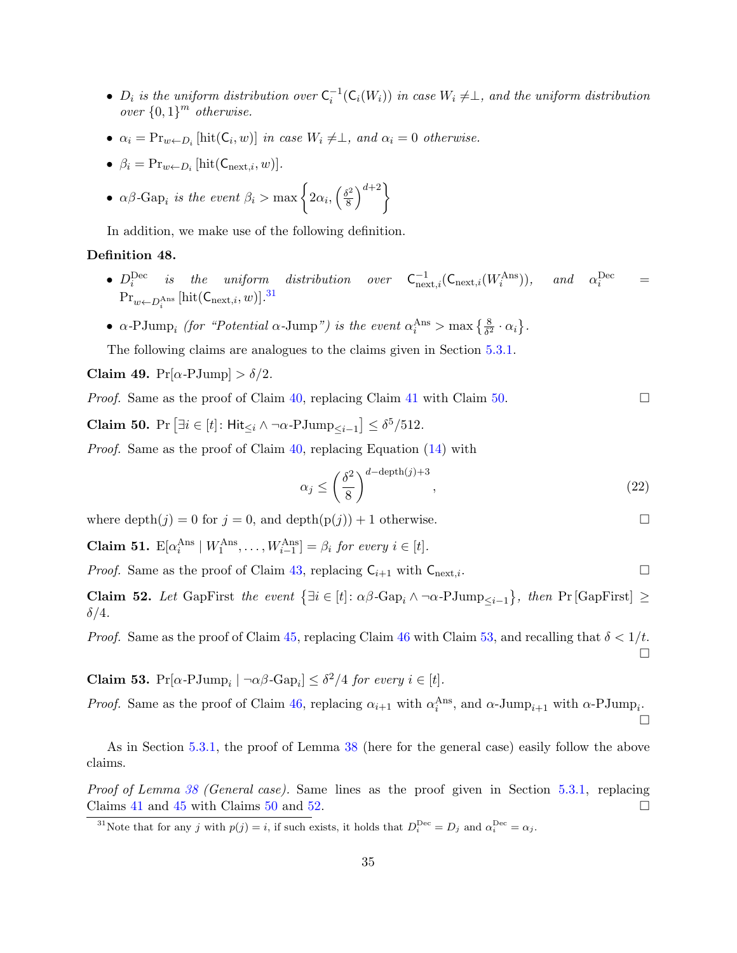- $D_i$  is the uniform distribution over  $C_i^{-1}(C_i(W_i))$  in case  $W_i \neq \perp$ , and the uniform distribution over  $\{0,1\}^m$  otherwise.
- $\alpha_i = \Pr_{w \leftarrow D_i} [\text{hit}(\mathsf{C}_i, w)]$  in case  $W_i \neq \perp$ , and  $\alpha_i = 0$  otherwise.
- $\beta_i = \Pr_{w \leftarrow D_i} [\text{hit}(\mathsf{C}_{\text{next},i}, w)].$
- $\alpha\beta$ -Gap<sub>i</sub> is the event  $\beta_i > \max\left\{2\alpha_i, \left(\frac{\delta^2}{8}\right)\right\}$  $\left\{ \frac{6}{8} \right\}^{d+2}$

In addition, we make use of the following definition.

#### Definition 48.

- $D_i^{\text{Dec}}$  is the uniform distribution over  $C_{\text{next},i}^{-1}(C_{\text{next},i}(W_i^{\text{Ans}}))$ , and  $\alpha_i^{\text{Dec}}$  =  $\mathrm{Pr}_{w \leftarrow D_i^{\mathrm{Ans}}} \left[ \mathrm{hit}(\mathsf{C}_{\mathrm{next}, i}, w) \right]$ .<sup>[31](#page-37-0)</sup>
- $\alpha$ -PJump<sub>i</sub> (for "Potential  $\alpha$ -Jump") is the event  $\alpha_i^{\text{Ans}} > \max\left\{\frac{8}{\delta^2} \cdot \alpha_i\right\}$ .

The following claims are analogues to the claims given in Section [5.3.1.](#page-31-0)

Claim 49.  $Pr[\alpha$ -PJump $] > \delta/2$ .

*Proof.* Same as the proof of Claim [40,](#page-32-0) replacing Claim [41](#page-32-1) with Claim [50.](#page-37-1)

<span id="page-37-1"></span>Claim 50. Pr  $[\exists i \in [t]: \mathsf{Hit}_{\leq i} \land \neg \alpha \text{-PJump}_{\leq i-1}] \leq \delta^5/512$ .

Proof. Same as the proof of Claim [40,](#page-32-0) replacing Equation [\(14\)](#page-32-2) with

$$
\alpha_j \le \left(\frac{\delta^2}{8}\right)^{d-\text{depth}(j)+3},\tag{22}
$$

where depth $(j) = 0$  for  $j = 0$ , and depth $(p(j)) + 1$  otherwise.

**Claim 51.**  $\mathbb{E}[\alpha_i^{\text{Ans}} \mid W_1^{\text{Ans}}, \dots, W_{i-1}^{\text{Ans}}] = \beta_i$  for every  $i \in [t]$ .

*Proof.* Same as the proof of Claim [43,](#page-33-0) replacing  $C_{i+1}$  with  $C_{\text{next},i}$ .

<span id="page-37-3"></span>**Claim 52.** Let GapFirst the event  $\{\exists i \in [t]: \alpha \beta \text{-Gap}_i \land \neg \alpha \text{-PJump}_{\leq i-1}\}$ , then Pr [GapFirst]  $\geq$  $\delta/4$ .

*Proof.* Same as the proof of Claim [45,](#page-34-1) replacing Claim [46](#page-34-2) with Claim [53,](#page-37-2) and recalling that  $\delta < 1/t$ .

<span id="page-37-2"></span>**Claim 53.**  $Pr[\alpha \text{-} P \text{Jump}_i \mid \neg \alpha \beta \text{-} \text{Gap}_i] \leq \delta^2/4$  for every  $i \in [t]$ .

*Proof.* Same as the proof of Claim [46,](#page-34-2) replacing  $\alpha_{i+1}$  with  $\alpha_i^{\text{Ans}}$ , and  $\alpha$ -Jump<sub>i+1</sub> with  $\alpha$ -PJump<sub>i</sub>.

As in Section [5.3.1,](#page-31-0) the proof of Lemma [38](#page-30-1) (here for the general case) easily follow the above claims.

Proof of Lemma [38](#page-30-1) (General case). Same lines as the proof given in Section [5.3.1,](#page-31-0) replacing Claims [41](#page-32-1) and [45](#page-34-1) with Claims [50](#page-37-1) and [52.](#page-37-3)

<span id="page-37-0"></span><sup>31</sup>Note that for any j with  $p(j) = i$ , if such exists, it holds that  $D_i^{\text{Dec}} = D_j$  and  $\alpha_i^{\text{Dec}} = \alpha_j$ .

 $\Box$ 

 $\Box$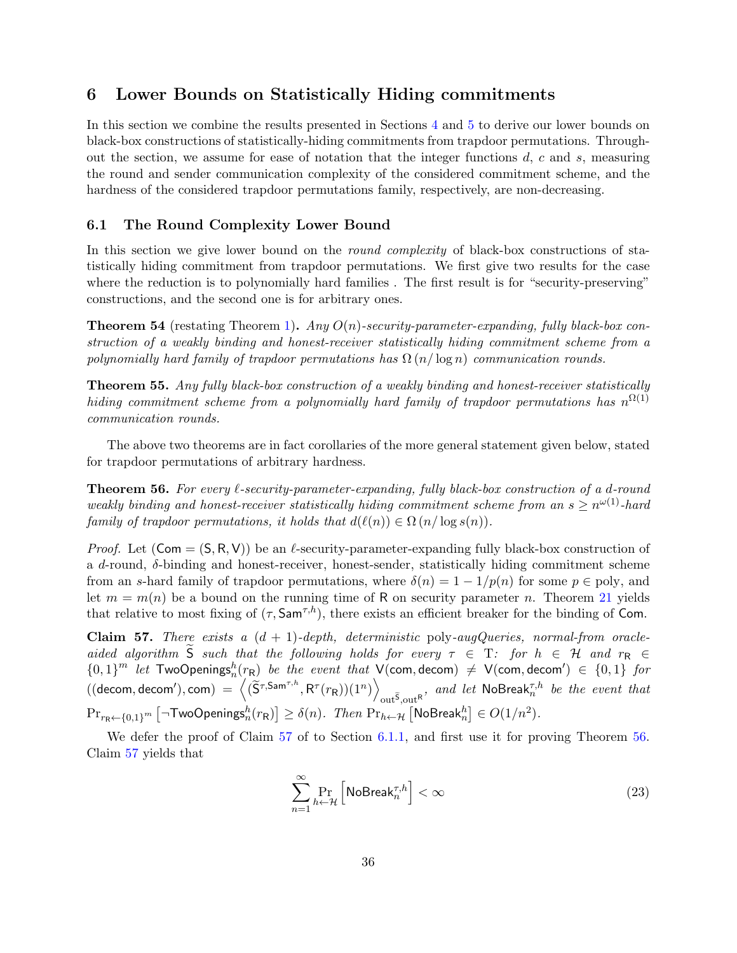# <span id="page-38-0"></span>6 Lower Bounds on Statistically Hiding commitments

In this section we combine the results presented in Sections [4](#page-19-0) and [5](#page-25-0) to derive our lower bounds on black-box constructions of statistically-hiding commitments from trapdoor permutations. Throughout the section, we assume for ease of notation that the integer functions  $d, c$  and  $s$ , measuring the round and sender communication complexity of the considered commitment scheme, and the hardness of the considered trapdoor permutations family, respectively, are non-decreasing.

### <span id="page-38-1"></span>6.1 The Round Complexity Lower Bound

In this section we give lower bound on the *round complexity* of black-box constructions of statistically hiding commitment from trapdoor permutations. We first give two results for the case where the reduction is to polynomially hard families. The first result is for "security-preserving" constructions, and the second one is for arbitrary ones.

**Theorem 54** (restating Theorem [1\)](#page-5-4). Any  $O(n)$ -security-parameter-expanding, fully black-box construction of a weakly binding and honest-receiver statistically hiding commitment scheme from a polynomially hard family of trapdoor permutations has  $\Omega(n/\log n)$  communication rounds.

Theorem 55. Any fully black-box construction of a weakly binding and honest-receiver statistically hiding commitment scheme from a polynomially hard family of trapdoor permutations has  $n^{\Omega(1)}$ communication rounds.

The above two theorems are in fact corollaries of the more general statement given below, stated for trapdoor permutations of arbitrary hardness.

<span id="page-38-3"></span>**Theorem 56.** For every  $\ell$ -security-parameter-expanding, fully black-box construction of a d-round weakly binding and honest-receiver statistically hiding commitment scheme from an  $s \geq n^{\omega(1)}$ -hard family of trapdoor permutations, it holds that  $d(\ell(n)) \in \Omega(n/\log s(n)).$ 

*Proof.* Let  $(\mathsf{Com} = (\mathsf{S}, \mathsf{R}, \mathsf{V}))$  be an  $\ell$ -security-parameter-expanding fully black-box construction of a d-round,  $\delta$ -binding and honest-receiver, honest-sender, statistically hiding commitment scheme from an s-hard family of trapdoor permutations, where  $\delta(n) = 1 - 1/p(n)$  for some  $p \in \text{poly}$ , and let  $m = m(n)$  be a bound on the running time of R on security parameter n. Theorem [21](#page-20-1) yields that relative to most fixing of  $(\tau, \text{Sam}^{\tau, h})$ , there exists an efficient breaker for the binding of Com.

<span id="page-38-2"></span>Claim 57. There exists a  $(d + 1)$ -depth, deterministic poly-augQueries, normal-from oracleaided algorithm S such that the following holds for every  $\tau \in T$ : for  $h \in \mathcal{H}$  and  $r_R \in$  ${0,1}^m$  let TwoOpenings ${}^h_n(r_R)$  be the event that  $\mathsf{V}(\mathsf{com}, \mathsf{decom}) \neq \mathsf{V}(\mathsf{com}, \mathsf{decom}') \in \{0,1\}$  for  $((\mathsf{decom},\mathsf{decom}'),\mathsf{com}) \ = \ \Big\langle (\widetilde{\mathsf{S}}^{\tau,\mathsf{Sam}^{\tau,h}},\mathsf{R}^\tau(r_{\mathsf{R}}))(1^n) \Big\rangle$  $\delta_{\text{out}}$ <sup>5</sup>, and let NoBreak $\tau_n^{7,h}$  be the event that  $\mathrm{Pr}_{r_{\mathsf{R}} \leftarrow \{0,1\}^{m}} \left[ \neg \mathsf{TwoOpenings}^h_n(r_{\mathsf{R}}) \right] \geq \delta(n).$  Then  $\mathrm{Pr}_{h \leftarrow \mathcal{H}} \left[ \mathsf{NoBreak}^h_n \right] \in O(1/n^2).$ 

We defer the proof of Claim [57](#page-38-2) of to Section [6.1.1,](#page-39-0) and first use it for proving Theorem [56.](#page-38-3) Claim [57](#page-38-2) yields that

$$
\sum_{n=1}^{\infty} \Pr_{h \leftarrow \mathcal{H}} \left[ \text{NoBreak}_n^{\tau,h} \right] < \infty \tag{23}
$$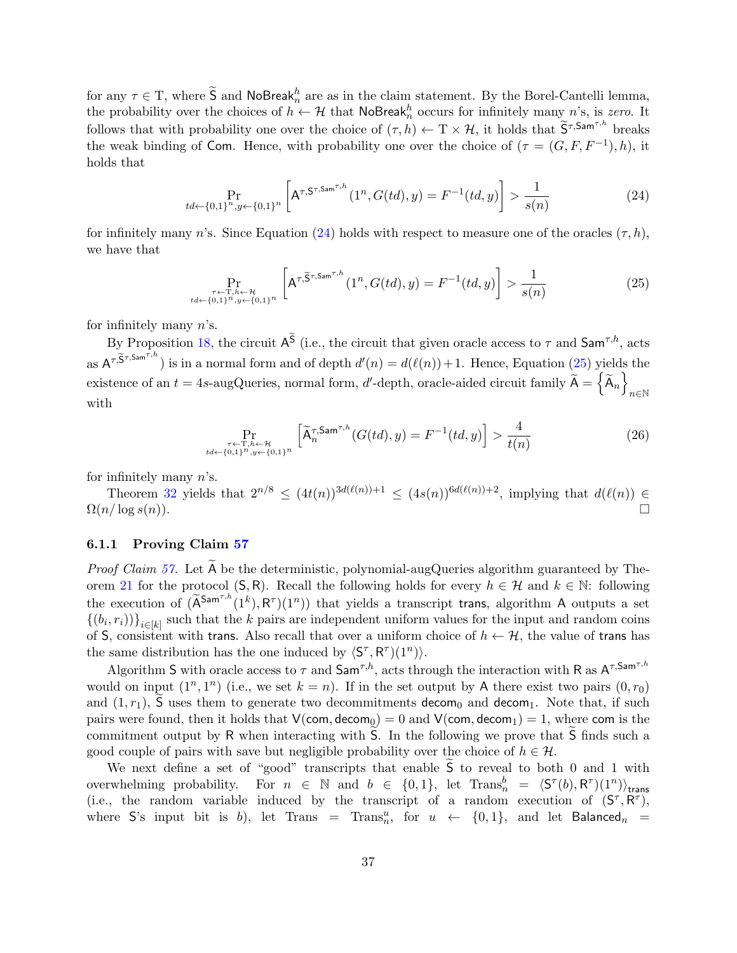for any  $\tau \in \mathcal{T}$ , where  $\widetilde{S}$  and NoBreak $h_n^h$  are as in the claim statement. By the Borel-Cantelli lemma, the probability over the choices of  $h \leftarrow H$  that NoBreak<sub>n</sub> occurs for infinitely many n's, is zero. It follows that with probability one over the choice of  $(\tau, h) \leftarrow \mathcal{T} \times \mathcal{H}$ , it holds that  $\widetilde{S}^{\tau, \mathsf{Sam}^{\tau, h}}$  breaks the weak binding of Com. Hence, with probability one over the choice of  $(\tau = (G, F, F^{-1}), h)$ , it holds that

<span id="page-39-1"></span>
$$
\Pr_{td \leftarrow \{0,1\}^n, y \leftarrow \{0,1\}^n} \left[ A^{\tau, \mathsf{S}^{\tau, \mathsf{Sam}^{\tau, h}}}(1^n, G(td), y) = F^{-1}(td, y) \right] > \frac{1}{s(n)} \tag{24}
$$

for infinitely many n's. Since Equation [\(24\)](#page-39-1) holds with respect to measure one of the oracles  $(\tau, h)$ , we have that

<span id="page-39-2"></span>
$$
\Pr_{\substack{\tau \leftarrow \text{T}, h \leftarrow \mathcal{H} \\ t d \leftarrow \{0,1\}^n, y \leftarrow \{0,1\}^n}} \left[ A^{\tau, \widetilde{S}^{\tau, \text{Sam}^{\tau, h}}}(1^n, G(td), y) = F^{-1}(td, y) \right] > \frac{1}{s(n)} \tag{25}
$$

for infinitely many  $n$ 's.

By Proposition [18,](#page-19-2) the circuit  $A^S$  (i.e., the circuit that given oracle access to  $\tau$  and  $\mathsf{Sam}^{\tau,h}$ , acts as  $A^{\tau,\widetilde{S}^{\tau,\mathrm{Sam}^{\tau,h}}}$  is in a normal form and of depth  $d'(n) = d(\ell(n))+1$ . Hence, Equation [\(25\)](#page-39-2) yields the  $\text{existence of an } t = 4s\text{-augQueries, normal form, } d'\text{-depth, oracle-aided circuit family } \widetilde{\mathsf{A}} = \{ \widetilde{\mathsf{A}}_n \}$ n∈N with

$$
\Pr_{\substack{\tau \leftarrow \text{T}, h \leftarrow \mathcal{H} \\ t d \leftarrow \{0,1\}^n, y \leftarrow \{0,1\}^n}} \left[ \widetilde{\mathsf{A}}^{\tau, \mathsf{Sam}^{\tau, h}}_n(G(td), y) = F^{-1}(td, y) \right] > \frac{4}{t(n)} \tag{26}
$$

for infinitely many  $n$ 's.

Theorem [32](#page-26-1) yields that  $2^{n/8} \leq (4t(n))^{3d(\ell(n))+1} \leq (4s(n))^{6d(\ell(n))+2}$ , implying that  $d(\ell(n)) \in$  $\Omega(n/\log s(n)).$ 

#### <span id="page-39-0"></span>6.1.1 Proving Claim [57](#page-38-2)

*Proof Claim [57.](#page-38-2)* Let  $\overline{A}$  be the deterministic, polynomial-augQueries algorithm guaranteed by The-orem [21](#page-20-1) for the protocol (S, R). Recall the following holds for every  $h \in \mathcal{H}$  and  $k \in \mathbb{N}$ : following the execution of  $(\widetilde{A}^{\text{Sam}^{\tau,h}}(1^k), R^{\tau})(1^n))$  that yields a transcript trans, algorithm A outputs a set  $\{(b_i,r_i)\}_{i\in[k]}$  such that the k pairs are independent uniform values for the input and random coins of S, consistent with trans. Also recall that over a uniform choice of  $h \leftarrow H$ , the value of trans has the same distribution has the one induced by  $\langle S^{\tau}, R^{\tau} \rangle (1^n) \rangle$ .

Algorithm S with oracle access to  $\tau$  and Sam<sup> $\tau, h$ </sup>, acts through the interaction with R as  $A^{\tau, \text{Sam}^{\tau, h}}$ would on input  $(1^n, 1^n)$  (i.e., we set  $k = n$ ). If in the set output by A there exist two pairs  $(0, r_0)$ and  $(1, r_1)$ , S uses them to generate two decommitments decom<sub>0</sub> and decom<sub>1</sub>. Note that, if such pairs were found, then it holds that  $V(\text{com}, \text{decom}_0) = 0$  and  $V(\text{com}, \text{decom}_1) = 1$ , where com is the commitment output by  $R$  when interacting with  $S$ . In the following we prove that  $S$  finds such a good couple of pairs with save but negligible probability over the choice of  $h \in \mathcal{H}$ .

We next define a set of "good" transcripts that enable  $\widetilde{S}$  to reveal to both 0 and 1 with overwhelming probability. For  $n \in \mathbb{N}$  and  $b \in \{0,1\}$ , let  $\text{Trans}_n^b = \langle \mathsf{S}^\tau(b), \mathsf{R}^\tau \rangle(1^n) \rangle_{\text{trans}}$ (i.e., the random variable induced by the transcript of a random execution of  $(S^{\tau}, R^{\tau})$ , where S's input bit is b), let Trans = Trans<sup>u</sup><sub>n</sub>, for  $u \leftarrow \{0,1\}$ , and let Balanced<sub>n</sub> =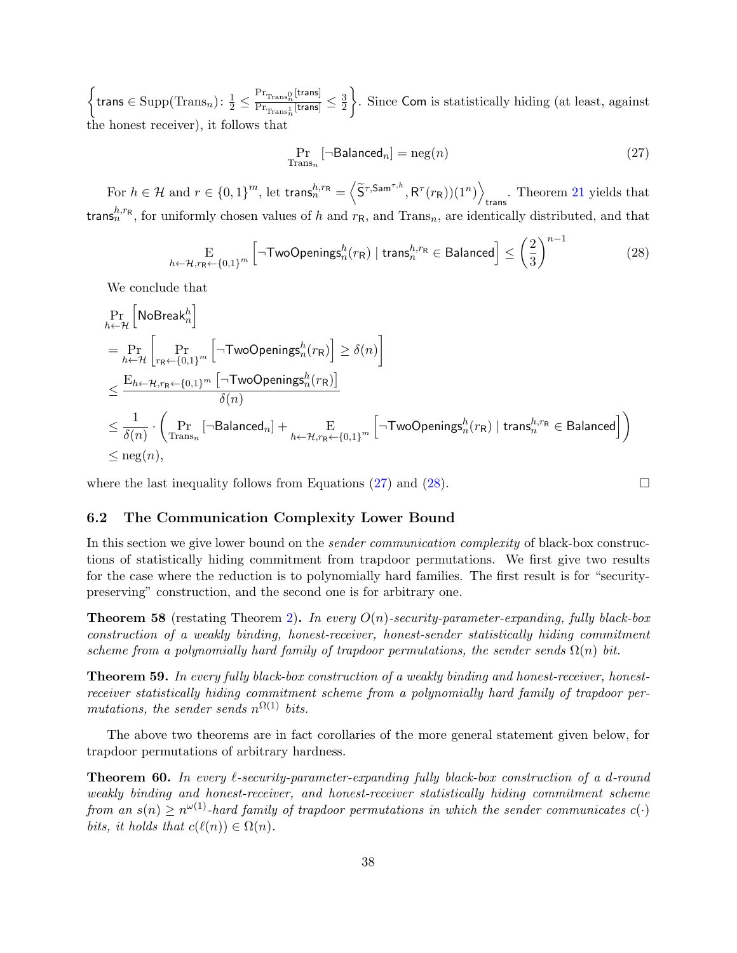$\left\{\text{trans}\in \text{Supp}(\text{Trans}_n): \frac{1}{2}\leq \frac{\text{Pr}_{\text{Trans}_n}\left[\text{trans}\right]}{\text{Pr}_{\text{Trans}_n}\left[\text{trans}\right]}\right\}$  $\frac{1}{\Pr_{\text{Trans}_n^1}[\text{trans}]} \leq \frac{3}{2}$  $\overline{2}$  . Since Com is statistically hiding (at least, against the honest receiver), it follows that

<span id="page-40-2"></span><span id="page-40-1"></span>
$$
\Pr_{\text{Trans}_n} \left[ \neg \text{Balanced}_n \right] = \text{neg}(n) \tag{27}
$$

For  $h \in \mathcal{H}$  and  $r \in \{0,1\}^m$ , let trans ${}^{h,r_\mathsf{R}}_n = \left\langle \widetilde{\mathsf{S}}^{\tau,\mathsf{Sam}^{\tau,h}},\mathsf{R}^\tau(r_\mathsf{R})) (1^n) \right\rangle$ trans . Theorem [21](#page-20-1) yields that trans ${}^{h,r_R}_{n}$ , for uniformly chosen values of h and  $r_R$ , and Trans<sub>n</sub>, are identically distributed, and that

$$
\underset{h \leftarrow \mathcal{H}, r_{\mathsf{R}} \leftarrow \{0,1\}^m}{\text{E}} \left[ \neg \mathsf{TwoOpenings}_n^h(r_{\mathsf{R}}) \mid \mathsf{trans}_n^{h,r_{\mathsf{R}}} \in \mathsf{Balanced} \right] \le \left(\frac{2}{3}\right)^{n-1} \tag{28}
$$

We conclude that

$$
\Pr_{h \leftarrow \mathcal{H}} \left[ \text{NoBreak}_n^h \right] \n= \Pr_{h \leftarrow \mathcal{H}} \left[ \Pr_{r_R \leftarrow \{0,1\}^m} \left[ \neg \text{TwoOpenings}_n^h(r_R) \right] \ge \delta(n) \right] \n\le \frac{E_{h \leftarrow \mathcal{H}, r_R \leftarrow \{0,1\}^m} \left[ \neg \text{TwoOpenings}_n^h(r_R) \right]}{\delta(n)} \n\le \frac{1}{\delta(n)} \cdot \left( \Pr_{\text{Trans}_n} \left[ \neg \text{Balanced}_n \right] + \Pr_{h \leftarrow \mathcal{H}, r_R \leftarrow \{0,1\}^m} \left[ \neg \text{TwoOpenings}_n^h(r_R) \mid \text{trans}_n^{h,r_R} \in \text{Balanced} \right] \right) \n\le \text{neg}(n),
$$

where the last inequality follows from Equations [\(27\)](#page-40-1) and [\(28\)](#page-40-2).  $\Box$ 

#### <span id="page-40-0"></span>6.2 The Communication Complexity Lower Bound

In this section we give lower bound on the *sender communication complexity* of black-box constructions of statistically hiding commitment from trapdoor permutations. We first give two results for the case where the reduction is to polynomially hard families. The first result is for "securitypreserving" construction, and the second one is for arbitrary one.

**Theorem 58** (restating Theorem [2\)](#page-5-6). In every  $O(n)$ -security-parameter-expanding, fully black-box construction of a weakly binding, honest-receiver, honest-sender statistically hiding commitment scheme from a polynomially hard family of trapdoor permutations, the sender sends  $\Omega(n)$  bit.

Theorem 59. In every fully black-box construction of a weakly binding and honest-receiver, honestreceiver statistically hiding commitment scheme from a polynomially hard family of trapdoor permutations, the sender sends  $n^{\Omega(1)}$  bits.

The above two theorems are in fact corollaries of the more general statement given below, for trapdoor permutations of arbitrary hardness.

**Theorem 60.** In every  $\ell$ -security-parameter-expanding fully black-box construction of a d-round weakly binding and honest-receiver, and honest-receiver statistically hiding commitment scheme from an  $s(n) \geq n^{\omega(1)}$ -hard family of trapdoor permutations in which the sender communicates  $c(\cdot)$ bits, it holds that  $c(\ell(n)) \in \Omega(n)$ .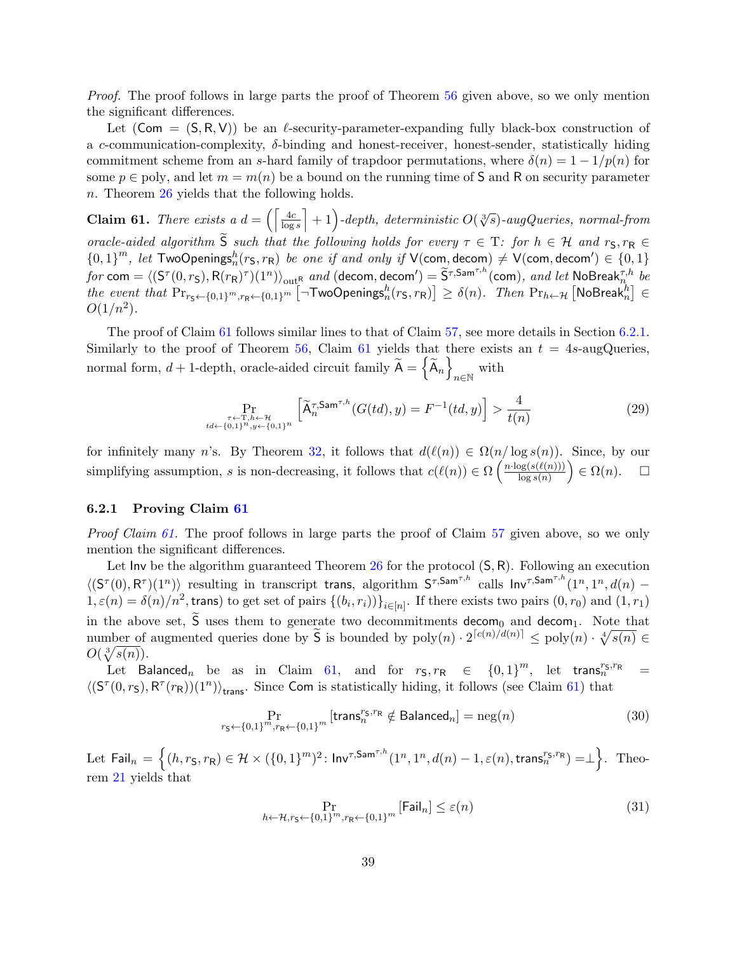Proof. The proof follows in large parts the proof of Theorem [56](#page-38-3) given above, so we only mention the significant differences.

Let  $(Com = (S, R, V))$  be an  $\ell$ -security-parameter-expanding fully black-box construction of a c-communication-complexity, δ-binding and honest-receiver, honest-sender, statistically hiding commitment scheme from an s-hard family of trapdoor permutations, where  $\delta(n) = 1 - 1/p(n)$  for some  $p \in \text{poly}$ , and let  $m = m(n)$  be a bound on the running time of S and R on security parameter n. Theorem [26](#page-24-1) yields that the following holds.

<span id="page-41-1"></span>**Claim 61.** There exists a  $d = \left( \left\lceil \frac{4c}{\log s} \right\rceil + 1 \right)$ -depth, deterministic  $O(\sqrt[3]{s})$ -augQueries, normal-from oracle-aided algorithm  $\widetilde{S}$  such that the following holds for every  $\tau \in T$ : for  $h \in \mathcal{H}$  and  $r_S, r_R \in$  $\{0,1\}^m$ , let TwoOpenings $_n^h(r_S, r_R)$  be one if and only if V(com, decom)  $\neq$  V(com, decom')  $\in \{0,1\}$  $for \text{ com} = \langle (\mathsf{S}^\tau(0,r_\mathsf{S}), \mathsf{R}(r_\mathsf{R})^\tau)(1^n) \rangle_{\text{out}_\mathsf{R}^\mathsf{R}} \text{ and } (\text{decom}, \text{decom}') = \widetilde{\mathsf{S}}^{\tau, \mathsf{Sam}^{\tau, h}}(\text{com}), \text{ and let } \mathsf{NoBreak}_{n,h}^{\tau, h} \text{ be}$ the event that  $Pr_{r_{\mathsf{S}} \leftarrow \{0,1\}^m, r_{\mathsf{R}} \leftarrow \{0,1\}^m}$   $\left[\neg \mathsf{TwoOpenings}_n^h(r_{\mathsf{S}}, r_{\mathsf{R}})\right] \ge \delta(n)$ . Then  $Pr_{h \leftarrow \mathcal{H}}\left[\mathsf{NoBreak}_n^h\right] \in$  $O(1/n^2)$ .

The proof of Claim [61](#page-41-1) follows similar lines to that of Claim [57,](#page-38-2) see more details in Section [6.2.1.](#page-41-0) Similarly to the proof of Theorem [56,](#page-38-3) Claim [61](#page-41-1) yields that there exists an  $t = 4s$ -augQueries, normal form,  $d + 1$ -depth, oracle-aided circuit family  $\widetilde{A} = \{ \widetilde{A}_n \}$  $n \in \mathbb{N}$  with

$$
\Pr_{\substack{\tau \leftarrow T, h \leftarrow \mathcal{H} \\ t d \leftarrow \{0,1\}^n, y \leftarrow \{0,1\}^n}} \left[ \widetilde{A}_n^{\tau, \mathsf{Sam}^{\tau, h}}(G(td), y) = F^{-1}(td, y) \right] > \frac{4}{t(n)} \tag{29}
$$

for infinitely many n's. By Theorem [32,](#page-26-1) it follows that  $d(\ell(n)) \in \Omega(n/\log s(n))$ . Since, by our simplifying assumption, s is non-decreasing, it follows that  $c(\ell(n)) \in \Omega\left(\frac{n \cdot \log(s(\ell(n)))}{\log s(n)}\right)$  $\frac{\log(s(\ell(n)))}{\log s(n)}$   $\in \Omega(n)$ .  $\square$ 

#### <span id="page-41-0"></span>6.2.1 Proving Claim [61](#page-41-1)

Proof Claim [61.](#page-41-1) The proof follows in large parts the proof of Claim [57](#page-38-2) given above, so we only mention the significant differences.

Let  $\text{Inv }$  be the algorithm guaranteed Theorem [26](#page-24-1) for the protocol  $(S, R)$ . Following an execution  $\langle (S^{\tau}(0), R^{\tau})(1^n) \rangle$  resulting in transcript trans, algorithm  $S^{\tau, \textsf{Sam}^{\tau, h}}$  calls  $\textsf{Inv}^{\tau, \textsf{Sam}^{\tau, h}}(1^n, 1^n, d(n)$  - $1, \varepsilon(n) = \delta(n)/n^2$ , trans) to get set of pairs  $\{(b_i, r_i)\}_{i \in [n]}$ . If there exists two pairs  $(0, r_0)$  and  $(1, r_1)$ in the above set,  $\tilde{S}$  uses them to generate two decommitments decom<sub>0</sub> and decom<sub>1</sub>. Note that number of augmented queries done by  $\widetilde{S}$  is bounded by  $poly(n) \cdot 2^{\lceil c(n)/d(n) \rceil} \leq poly(n) \cdot \sqrt[4]{s(n)} \in$  $O(\sqrt[3]{s(n)})$ .

Let Balanced<sub>n</sub> be as in Claim [61,](#page-41-1) and for  $r_S, r_R \in \{0,1\}^m$ , let trans $r_S^{r_S, r_R} =$  $\langle (S^{\tau}(0,r_{\mathsf{S}}),\mathsf{R}^{\tau}(r_{\mathsf{R}}))(1^n) \rangle_{\mathsf{trans}}$ . Since Com is statistically hiding, it follows (see Claim [61\)](#page-41-1) that

$$
\Pr_{r_{\mathsf{S}} \leftarrow \{0,1\}^m, r_{\mathsf{R}} \leftarrow \{0,1\}^m} \left[ \text{trans}_n^{r_{\mathsf{S}}, r_{\mathsf{R}}} \notin \text{Balanced}_n \right] = \text{neg}(n) \tag{30}
$$

 $\mathrm{Let}\ \ \mathsf{Fail}_n=\Big\{(h,r_\mathsf{S},r_\mathsf{R})\in\mathcal{H}\times(\{0,1\}^m)^2\colon \mathsf{Inv}^{\tau,\mathsf{Sam}^{\tau,h}}(1^n,1^n,d(n)-1,\varepsilon(n),\mathsf{trans}^{r_\mathsf{S},r_\mathsf{R}}_n)=\perp\Big\}. \ \ \ \text{Theorem~\textsc{Ineq},}\ \ \mathsf{Inv}^{\tau,\mathsf{Man}^{\tau,h}}(\cdot)\Big\}$ rem [21](#page-20-1) yields that

<span id="page-41-2"></span>
$$
\Pr_{h \leftarrow \mathcal{H}, r_{\mathsf{S}} \leftarrow \{0,1\}^m, r_{\mathsf{R}} \leftarrow \{0,1\}^m} \left[ \mathsf{Fall}_n \right] \le \varepsilon(n) \tag{31}
$$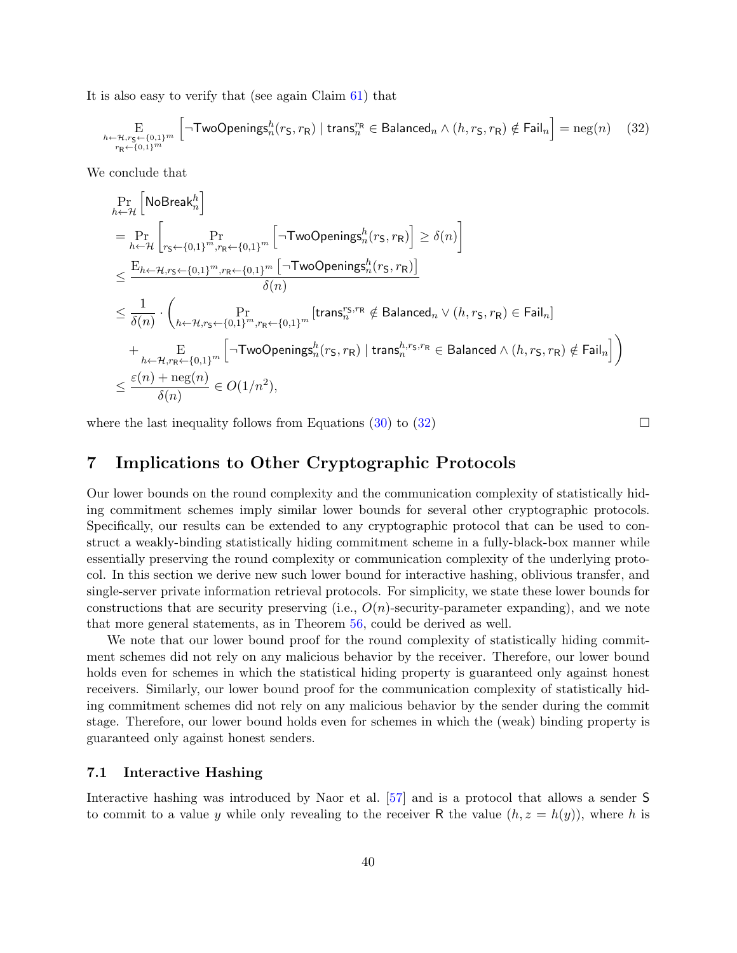It is also easy to verify that (see again Claim [61\)](#page-41-1) that

$$
\underset{\substack{h \leftarrow \mathcal{H}, r_{\mathsf{S}} \leftarrow \{0,1\}^m}{r_{\mathsf{R}} \leftarrow \{0,1\}^m} \left[ \neg \mathsf{TwoOpenings}_n^h(r_{\mathsf{S}}, r_{\mathsf{R}}) \mid \mathsf{trans}_n^{r_{\mathsf{R}}} \in \mathsf{Balanced}_n \land (h, r_{\mathsf{S}}, r_{\mathsf{R}}) \notin \mathsf{fail}_n \right] = \text{neg}(n) \tag{32}
$$

We conclude that

$$
\begin{aligned} &\Pr_{h \leftarrow \mathcal{H}}\left[\mathsf{NoBreak}_n^h\right] \\ &= \Pr_{h \leftarrow \mathcal{H}}\left[\Pr_{r_{\mathsf{S}} \leftarrow \{0,1\}^m, r_{\mathsf{R}} \leftarrow \{0,1\}^m}\left[\neg \mathsf{TwoOpenings}_n^h(r_{\mathsf{S}}, r_{\mathsf{R}})\right] \geq \delta(n)\right] \\ &\leq \frac{\mathsf{E}_{h \leftarrow \mathcal{H}, r_{\mathsf{S}} \leftarrow \{0,1\}^m, r_{\mathsf{R}} \leftarrow \{0,1\}^m}\left[\neg \mathsf{TwoOpenings}_n^h(r_{\mathsf{S}}, r_{\mathsf{R}})\right] }{\delta(n)} \\ &\leq \frac{1}{\delta(n)} \cdot \begin{pmatrix} \Pr_{h \leftarrow \mathcal{H}, r_{\mathsf{S}} \leftarrow \{0,1\}^m, r_{\mathsf{R}} \leftarrow \{0,1\}^m}\left[\operatorname{trans}_n^{r_{\mathsf{S}}, r_{\mathsf{R}}}\notin \operatorname{Balanced}_n \vee (h, r_{\mathsf{S}}, r_{\mathsf{R}}) \in \operatorname{Fall}_n\right] \\ + \sum_{h \leftarrow \mathcal{H}, r_{\mathsf{R}} \leftarrow \{0,1\}^m}\left[\neg \mathsf{TwoOpenings}_n^h(r_{\mathsf{S}}, r_{\mathsf{R}}) \mid \operatorname{trans}_n^{h, r_{\mathsf{S}}, r_{\mathsf{R}}} \in \operatorname{Balanced} \wedge (h, r_{\mathsf{S}}, r_{\mathsf{R}}) \notin \operatorname{Fall}_n\right] \right) \\ &\leq \frac{\varepsilon(n) + \operatorname{neg}(n)}{\delta(n)} \in O(1/n^2), \end{aligned}
$$

where the last inequality follows from Equations [\(30\)](#page-41-2) to [\(32\)](#page-42-2)  $\Box$ 

<span id="page-42-2"></span>

# <span id="page-42-0"></span>7 Implications to Other Cryptographic Protocols

Our lower bounds on the round complexity and the communication complexity of statistically hiding commitment schemes imply similar lower bounds for several other cryptographic protocols. Specifically, our results can be extended to any cryptographic protocol that can be used to construct a weakly-binding statistically hiding commitment scheme in a fully-black-box manner while essentially preserving the round complexity or communication complexity of the underlying protocol. In this section we derive new such lower bound for interactive hashing, oblivious transfer, and single-server private information retrieval protocols. For simplicity, we state these lower bounds for constructions that are security preserving (i.e.,  $O(n)$ -security-parameter expanding), and we note that more general statements, as in Theorem [56,](#page-38-3) could be derived as well.

We note that our lower bound proof for the round complexity of statistically hiding commitment schemes did not rely on any malicious behavior by the receiver. Therefore, our lower bound holds even for schemes in which the statistical hiding property is guaranteed only against honest receivers. Similarly, our lower bound proof for the communication complexity of statistically hiding commitment schemes did not rely on any malicious behavior by the sender during the commit stage. Therefore, our lower bound holds even for schemes in which the (weak) binding property is guaranteed only against honest senders.

#### <span id="page-42-1"></span>7.1 Interactive Hashing

Interactive hashing was introduced by Naor et al. [\[57\]](#page-48-3) and is a protocol that allows a sender S to commit to a value y while only revealing to the receiver R the value  $(h, z = h(y))$ , where h is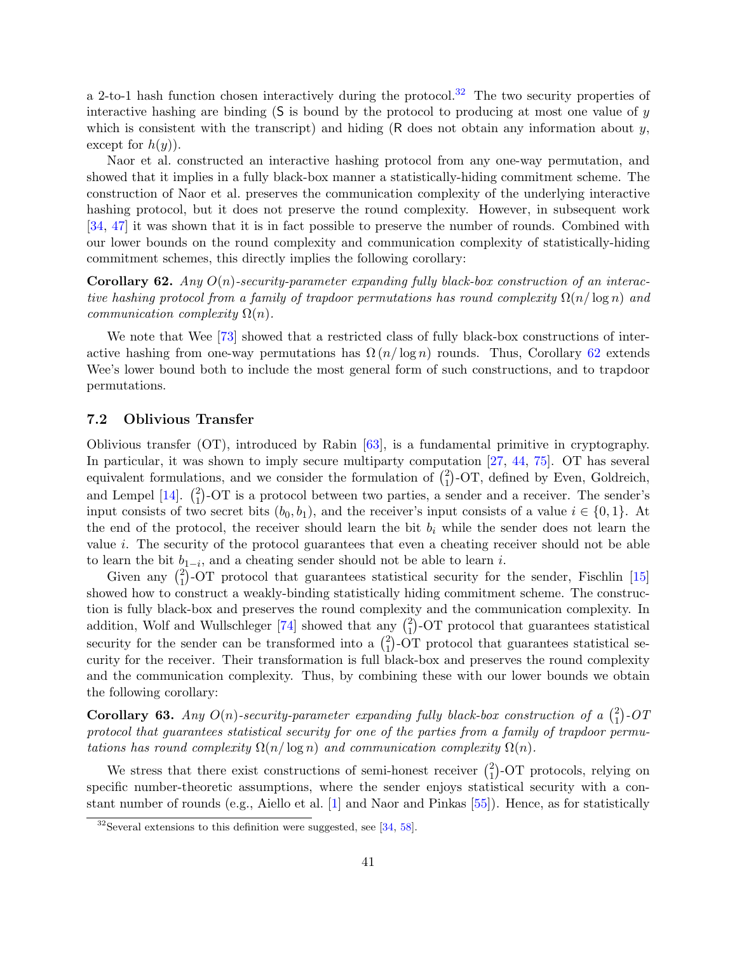a 2-to-1 hash function chosen interactively during the protocol.<sup>[32](#page-43-1)</sup> The two security properties of interactive hashing are binding  $(S$  is bound by the protocol to producing at most one value of y which is consistent with the transcript) and hiding  $(R \text{ does not obtain any information about } y$ , except for  $h(y)$ ).

Naor et al. constructed an interactive hashing protocol from any one-way permutation, and showed that it implies in a fully black-box manner a statistically-hiding commitment scheme. The construction of Naor et al. preserves the communication complexity of the underlying interactive hashing protocol, but it does not preserve the round complexity. However, in subsequent work [\[34,](#page-47-8) [47\]](#page-48-6) it was shown that it is in fact possible to preserve the number of rounds. Combined with our lower bounds on the round complexity and communication complexity of statistically-hiding commitment schemes, this directly implies the following corollary:

<span id="page-43-2"></span>**Corollary 62.** Any  $O(n)$ -security-parameter expanding fully black-box construction of an interactive hashing protocol from a family of trapdoor permutations has round complexity  $\Omega(n/\log n)$  and communication complexity  $\Omega(n)$ .

We note that Wee [\[73\]](#page-49-2) showed that a restricted class of fully black-box constructions of interactive hashing from one-way permutations has  $\Omega(n/\log n)$  rounds. Thus, Corollary [62](#page-43-2) extends Wee's lower bound both to include the most general form of such constructions, and to trapdoor permutations.

#### <span id="page-43-0"></span>7.2 Oblivious Transfer

Oblivious transfer (OT), introduced by Rabin [\[63\]](#page-49-11), is a fundamental primitive in cryptography. In particular, it was shown to imply secure multiparty computation [\[27,](#page-46-13) [44,](#page-47-13) [75\]](#page-49-12). OT has several equivalent formulations, and we consider the formulation of  $\binom{2}{1}$  $_{1}^{2}$ )-OT, defined by Even, Goldreich, and Lempel  $[14]$ .  $\binom{2}{1}$  $_{1}^{2}$ )-OT is a protocol between two parties, a sender and a receiver. The sender's input consists of two secret bits  $(b_0, b_1)$ , and the receiver's input consists of a value  $i \in \{0, 1\}$ . At the end of the protocol, the receiver should learn the bit  $b_i$  while the sender does not learn the value i. The security of the protocol guarantees that even a cheating receiver should not be able to learn the bit  $b_{1-i}$ , and a cheating sender should not be able to learn *i*.

Given any  $\binom{2}{1}$  $_{1}^{2}$ )-OT protocol that guarantees statistical security for the sender, Fischlin [\[15\]](#page-45-5) showed how to construct a weakly-binding statistically hiding commitment scheme. The construction is fully black-box and preserves the round complexity and the communication complexity. In addition, Wolf and Wullschleger [\[74\]](#page-49-13) showed that any  $\binom{2}{1}$ <sup>2</sup><sub>1</sub>)-OT protocol that guarantees statistical security for the sender can be transformed into a  $\binom{2}{1}$ 1 -OT protocol that guarantees statistical security for the receiver. Their transformation is full black-box and preserves the round complexity and the communication complexity. Thus, by combining these with our lower bounds we obtain the following corollary:

**Corollary 63.** Any  $O(n)$ -security-parameter expanding fully black-box construction of a  $\binom{2}{1}$  $\binom{2}{1}$ -OT protocol that guarantees statistical security for one of the parties from a family of trapdoor permutations has round complexity  $\Omega(n/\log n)$  and communication complexity  $\Omega(n)$ .

We stress that there exist constructions of semi-honest receiver  $\binom{2}{1}$  $_{1}^{2}$ )-OT protocols, relying on specific number-theoretic assumptions, where the sender enjoys statistical security with a constant number of rounds (e.g., Aiello et al. [\[1\]](#page-44-2) and Naor and Pinkas [\[55\]](#page-48-9)). Hence, as for statistically

<span id="page-43-1"></span> $32$ Several extensions to this definition were suggested, see [\[34,](#page-47-8) [58\]](#page-48-10).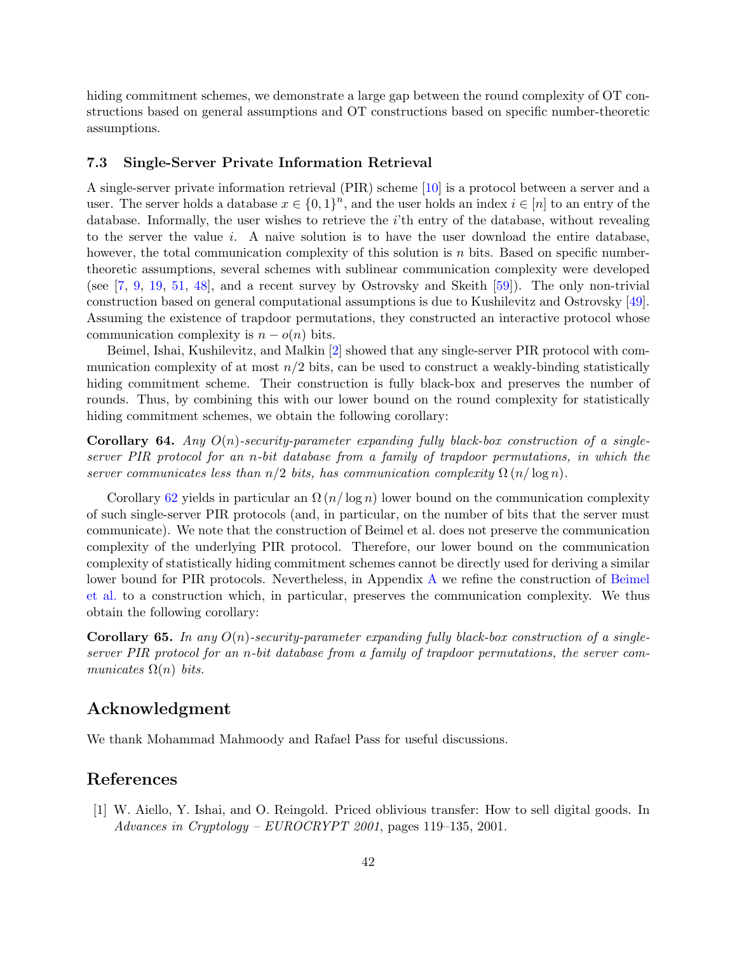hiding commitment schemes, we demonstrate a large gap between the round complexity of OT constructions based on general assumptions and OT constructions based on specific number-theoretic assumptions.

#### <span id="page-44-0"></span>7.3 Single-Server Private Information Retrieval

A single-server private information retrieval (PIR) scheme [\[10\]](#page-45-11) is a protocol between a server and a user. The server holds a database  $x \in \{0,1\}^n$ , and the user holds an index  $i \in [n]$  to an entry of the database. Informally, the user wishes to retrieve the  $i$ 'th entry of the database, without revealing to the server the value  $i$ . A naive solution is to have the user download the entire database, however, the total communication complexity of this solution is  $n$  bits. Based on specific numbertheoretic assumptions, several schemes with sublinear communication complexity were developed (see [\[7,](#page-45-12) [9,](#page-45-13) [19,](#page-46-14) [51,](#page-48-11) [48\]](#page-48-12), and a recent survey by Ostrovsky and Skeith [\[59\]](#page-48-13)). The only non-trivial construction based on general computational assumptions is due to Kushilevitz and Ostrovsky [\[49\]](#page-48-14). Assuming the existence of trapdoor permutations, they constructed an interactive protocol whose communication complexity is  $n - o(n)$  bits.

Beimel, Ishai, Kushilevitz, and Malkin [\[2\]](#page-45-4) showed that any single-server PIR protocol with communication complexity of at most  $n/2$  bits, can be used to construct a weakly-binding statistically hiding commitment scheme. Their construction is fully black-box and preserves the number of rounds. Thus, by combining this with our lower bound on the round complexity for statistically hiding commitment schemes, we obtain the following corollary:

**Corollary 64.** Any  $O(n)$ -security-parameter expanding fully black-box construction of a singleserver PIR protocol for an n-bit database from a family of trapdoor permutations, in which the server communicates less than  $n/2$  bits, has communication complexity  $\Omega(n/\log n)$ .

Corollary [62](#page-43-2) yields in particular an  $\Omega(n/\log n)$  lower bound on the communication complexity of such single-server PIR protocols (and, in particular, on the number of bits that the server must communicate). We note that the construction of Beimel et al. does not preserve the communication complexity of the underlying PIR protocol. Therefore, our lower bound on the communication complexity of statistically hiding commitment schemes cannot be directly used for deriving a similar lower bound for PIR protocols. Nevertheless, in Appendix [A](#page-50-0) we refine the construction of [Beimel](#page-45-4) [et al.](#page-45-4) to a construction which, in particular, preserves the communication complexity. We thus obtain the following corollary:

**Corollary 65.** In any  $O(n)$ -security-parameter expanding fully black-box construction of a singleserver PIR protocol for an n-bit database from a family of trapdoor permutations, the server communicates  $\Omega(n)$  bits.

# <span id="page-44-1"></span>Acknowledgment

We thank Mohammad Mahmoody and Rafael Pass for useful discussions.

# References

<span id="page-44-2"></span>[1] W. Aiello, Y. Ishai, and O. Reingold. Priced oblivious transfer: How to sell digital goods. In Advances in Cryptology – EUROCRYPT 2001, pages 119–135, 2001.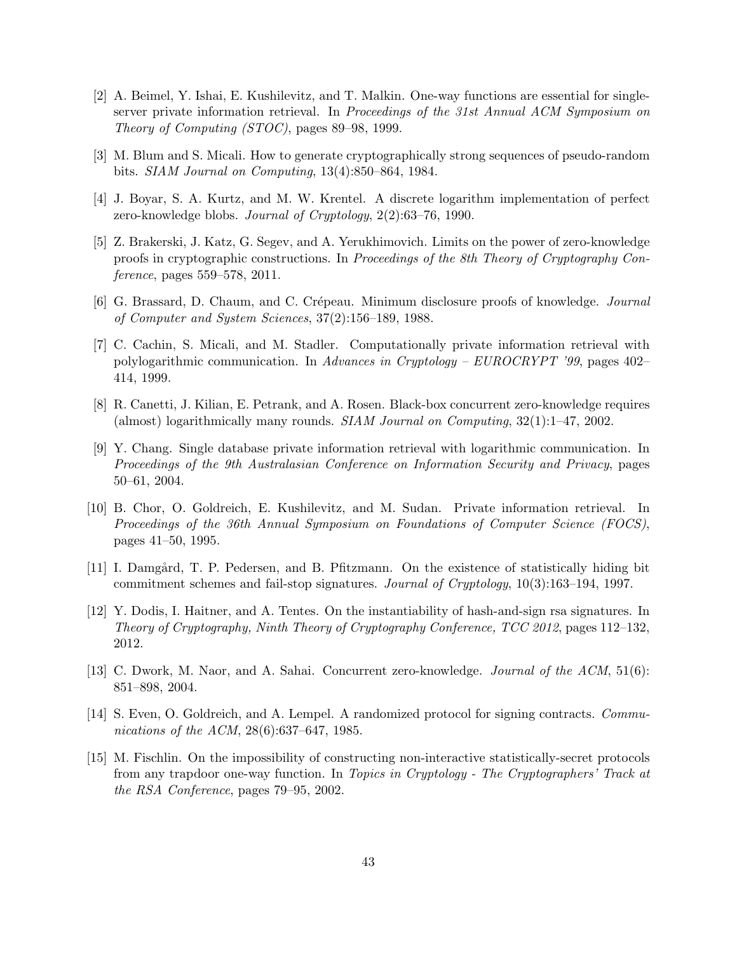- <span id="page-45-4"></span>[2] A. Beimel, Y. Ishai, E. Kushilevitz, and T. Malkin. One-way functions are essential for singleserver private information retrieval. In Proceedings of the 31st Annual ACM Symposium on Theory of Computing (STOC), pages 89–98, 1999.
- <span id="page-45-0"></span>[3] M. Blum and S. Micali. How to generate cryptographically strong sequences of pseudo-random bits. SIAM Journal on Computing, 13(4):850–864, 1984.
- <span id="page-45-2"></span>[4] J. Boyar, S. A. Kurtz, and M. W. Krentel. A discrete logarithm implementation of perfect zero-knowledge blobs. Journal of Cryptology, 2(2):63–76, 1990.
- <span id="page-45-9"></span>[5] Z. Brakerski, J. Katz, G. Segev, and A. Yerukhimovich. Limits on the power of zero-knowledge proofs in cryptographic constructions. In Proceedings of the 8th Theory of Cryptography Conference, pages 559–578, 2011.
- <span id="page-45-1"></span>[6] G. Brassard, D. Chaum, and C. Crépeau. Minimum disclosure proofs of knowledge. *Journal* of Computer and System Sciences, 37(2):156–189, 1988.
- <span id="page-45-12"></span>[7] C. Cachin, S. Micali, and M. Stadler. Computationally private information retrieval with polylogarithmic communication. In Advances in Cryptology –  $EUROCRYPT$  '99, pages 402– 414, 1999.
- <span id="page-45-6"></span>[8] R. Canetti, J. Kilian, E. Petrank, and A. Rosen. Black-box concurrent zero-knowledge requires (almost) logarithmically many rounds. SIAM Journal on Computing, 32(1):1–47, 2002.
- <span id="page-45-13"></span>[9] Y. Chang. Single database private information retrieval with logarithmic communication. In Proceedings of the 9th Australasian Conference on Information Security and Privacy, pages 50–61, 2004.
- <span id="page-45-11"></span>[10] B. Chor, O. Goldreich, E. Kushilevitz, and M. Sudan. Private information retrieval. In Proceedings of the 36th Annual Symposium on Foundations of Computer Science (FOCS), pages 41–50, 1995.
- <span id="page-45-3"></span>[11] I. Damgård, T. P. Pedersen, and B. Pfitzmann. On the existence of statistically hiding bit commitment schemes and fail-stop signatures. Journal of Cryptology, 10(3):163–194, 1997.
- <span id="page-45-8"></span>[12] Y. Dodis, I. Haitner, and A. Tentes. On the instantiability of hash-and-sign rsa signatures. In Theory of Cryptography, Ninth Theory of Cryptography Conference, TCC 2012, pages 112–132, 2012.
- <span id="page-45-7"></span>[13] C. Dwork, M. Naor, and A. Sahai. Concurrent zero-knowledge. *Journal of the ACM*, 51(6): 851–898, 2004.
- <span id="page-45-10"></span>[14] S. Even, O. Goldreich, and A. Lempel. A randomized protocol for signing contracts. Communications of the ACM, 28(6):637–647, 1985.
- <span id="page-45-5"></span>[15] M. Fischlin. On the impossibility of constructing non-interactive statistically-secret protocols from any trapdoor one-way function. In Topics in Cryptology - The Cryptographers' Track at the RSA Conference, pages 79–95, 2002.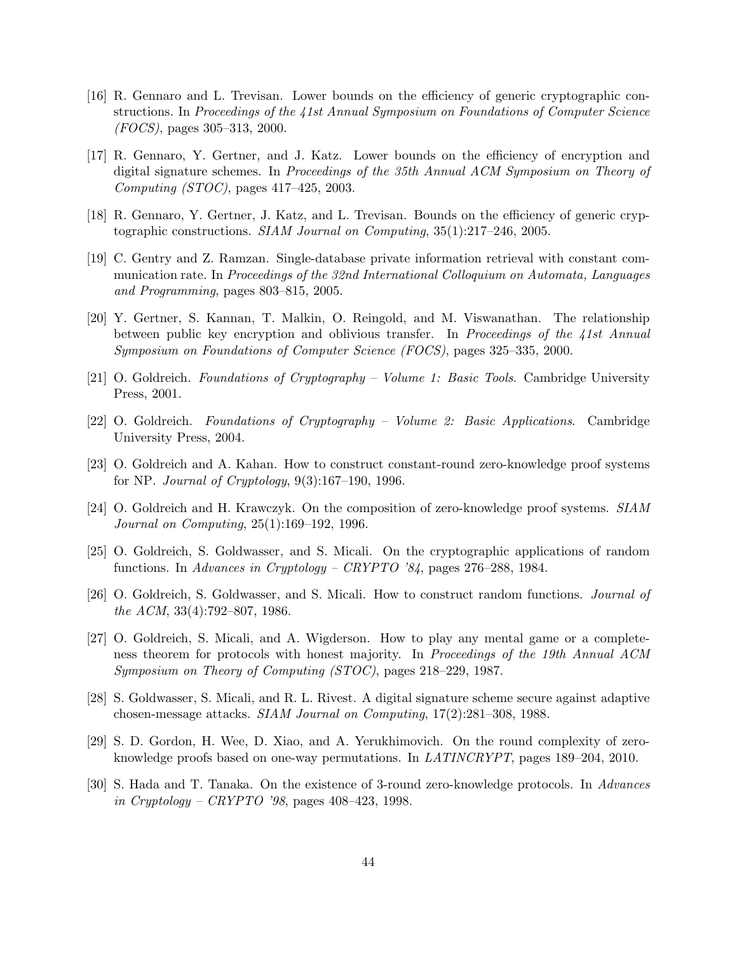- <span id="page-46-0"></span>[16] R. Gennaro and L. Trevisan. Lower bounds on the efficiency of generic cryptographic constructions. In Proceedings of the 41st Annual Symposium on Foundations of Computer Science (FOCS), pages 305–313, 2000.
- <span id="page-46-6"></span>[17] R. Gennaro, Y. Gertner, and J. Katz. Lower bounds on the efficiency of encryption and digital signature schemes. In Proceedings of the 35th Annual ACM Symposium on Theory of Computing (STOC), pages 417–425, 2003.
- <span id="page-46-7"></span>[18] R. Gennaro, Y. Gertner, J. Katz, and L. Trevisan. Bounds on the efficiency of generic cryptographic constructions. SIAM Journal on Computing, 35(1):217–246, 2005.
- <span id="page-46-14"></span>[19] C. Gentry and Z. Ramzan. Single-database private information retrieval with constant communication rate. In Proceedings of the 32nd International Colloquium on Automata, Languages and Programming, pages 803–815, 2005.
- <span id="page-46-5"></span>[20] Y. Gertner, S. Kannan, T. Malkin, O. Reingold, and M. Viswanathan. The relationship between public key encryption and oblivious transfer. In Proceedings of the 41st Annual Symposium on Foundations of Computer Science (FOCS), pages 325–335, 2000.
- <span id="page-46-11"></span>[21] O. Goldreich. Foundations of Cryptography – Volume 1: Basic Tools. Cambridge University Press, 2001.
- <span id="page-46-12"></span>[22] O. Goldreich. Foundations of Cryptography – Volume 2: Basic Applications. Cambridge University Press, 2004.
- <span id="page-46-4"></span>[23] O. Goldreich and A. Kahan. How to construct constant-round zero-knowledge proof systems for NP. *Journal of Cryptology*,  $9(3):167-190$ , 1996.
- <span id="page-46-8"></span>[24] O. Goldreich and H. Krawczyk. On the composition of zero-knowledge proof systems. SIAM Journal on Computing, 25(1):169–192, 1996.
- <span id="page-46-2"></span>[25] O. Goldreich, S. Goldwasser, and S. Micali. On the cryptographic applications of random functions. In Advances in Cryptology – CRYPTO '84, pages 276–288, 1984.
- <span id="page-46-1"></span>[26] O. Goldreich, S. Goldwasser, and S. Micali. How to construct random functions. Journal of the ACM, 33(4):792–807, 1986.
- <span id="page-46-13"></span>[27] O. Goldreich, S. Micali, and A. Wigderson. How to play any mental game or a completeness theorem for protocols with honest majority. In Proceedings of the 19th Annual ACM Symposium on Theory of Computing (STOC), pages 218–229, 1987.
- <span id="page-46-3"></span>[28] S. Goldwasser, S. Micali, and R. L. Rivest. A digital signature scheme secure against adaptive chosen-message attacks. SIAM Journal on Computing, 17(2):281–308, 1988.
- <span id="page-46-10"></span>[29] S. D. Gordon, H. Wee, D. Xiao, and A. Yerukhimovich. On the round complexity of zeroknowledge proofs based on one-way permutations. In LATINCRYPT, pages 189–204, 2010.
- <span id="page-46-9"></span>[30] S. Hada and T. Tanaka. On the existence of 3-round zero-knowledge protocols. In Advances in Cryptology – CRYPTO '98, pages  $408-423$ , 1998.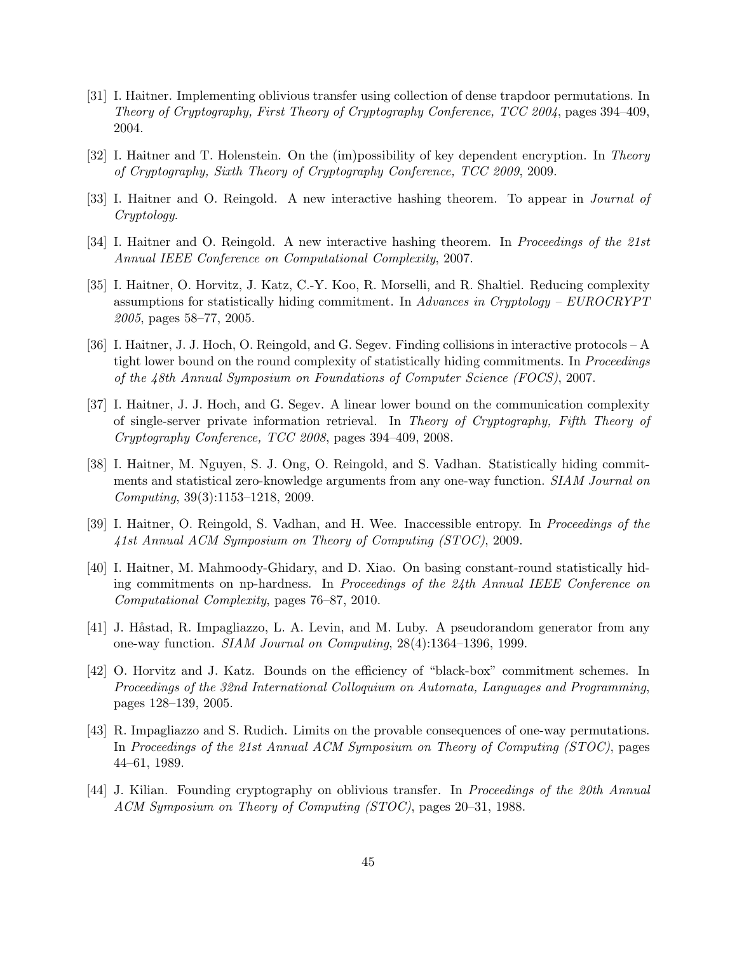- <span id="page-47-12"></span>[31] I. Haitner. Implementing oblivious transfer using collection of dense trapdoor permutations. In Theory of Cryptography, First Theory of Cryptography Conference, TCC 2004, pages 394–409, 2004.
- <span id="page-47-10"></span>[32] I. Haitner and T. Holenstein. On the (im)possibility of key dependent encryption. In Theory of Cryptography, Sixth Theory of Cryptography Conference, TCC 2009, 2009.
- <span id="page-47-7"></span>[33] I. Haitner and O. Reingold. A new interactive hashing theorem. To appear in Journal of Cryptology.
- <span id="page-47-8"></span>[34] I. Haitner and O. Reingold. A new interactive hashing theorem. In Proceedings of the 21st Annual IEEE Conference on Computational Complexity, 2007.
- <span id="page-47-5"></span>[35] I. Haitner, O. Horvitz, J. Katz, C.-Y. Koo, R. Morselli, and R. Shaltiel. Reducing complexity assumptions for statistically hiding commitment. In Advances in Cryptology – EUROCRYPT 2005, pages 58–77, 2005.
- <span id="page-47-0"></span>[36] I. Haitner, J. J. Hoch, O. Reingold, and G. Segev. Finding collisions in interactive protocols – A tight lower bound on the round complexity of statistically hiding commitments. In *Proceedings* of the 48th Annual Symposium on Foundations of Computer Science (FOCS), 2007.
- <span id="page-47-1"></span>[37] I. Haitner, J. J. Hoch, and G. Segev. A linear lower bound on the communication complexity of single-server private information retrieval. In Theory of Cryptography, Fifth Theory of Cryptography Conference, TCC 2008, pages 394–409, 2008.
- <span id="page-47-3"></span>[38] I. Haitner, M. Nguyen, S. J. Ong, O. Reingold, and S. Vadhan. Statistically hiding commitments and statistical zero-knowledge arguments from any one-way function. SIAM Journal on Computing, 39(3):1153–1218, 2009.
- <span id="page-47-4"></span>[39] I. Haitner, O. Reingold, S. Vadhan, and H. Wee. Inaccessible entropy. In Proceedings of the 41st Annual ACM Symposium on Theory of Computing (STOC), 2009.
- <span id="page-47-11"></span>[40] I. Haitner, M. Mahmoody-Ghidary, and D. Xiao. On basing constant-round statistically hiding commitments on np-hardness. In Proceedings of the 24th Annual IEEE Conference on Computational Complexity, pages 76–87, 2010.
- <span id="page-47-2"></span>[41] J. Håstad, R. Impagliazzo, L. A. Levin, and M. Luby. A pseudorandom generator from any one-way function. SIAM Journal on Computing, 28(4):1364–1396, 1999.
- <span id="page-47-9"></span>[42] O. Horvitz and J. Katz. Bounds on the efficiency of "black-box" commitment schemes. In Proceedings of the 32nd International Colloquium on Automata, Languages and Programming, pages 128–139, 2005.
- <span id="page-47-6"></span>[43] R. Impagliazzo and S. Rudich. Limits on the provable consequences of one-way permutations. In Proceedings of the 21st Annual ACM Symposium on Theory of Computing (STOC), pages 44–61, 1989.
- <span id="page-47-13"></span>[44] J. Kilian. Founding cryptography on oblivious transfer. In *Proceedings of the 20th Annual* ACM Symposium on Theory of Computing (STOC), pages 20–31, 1988.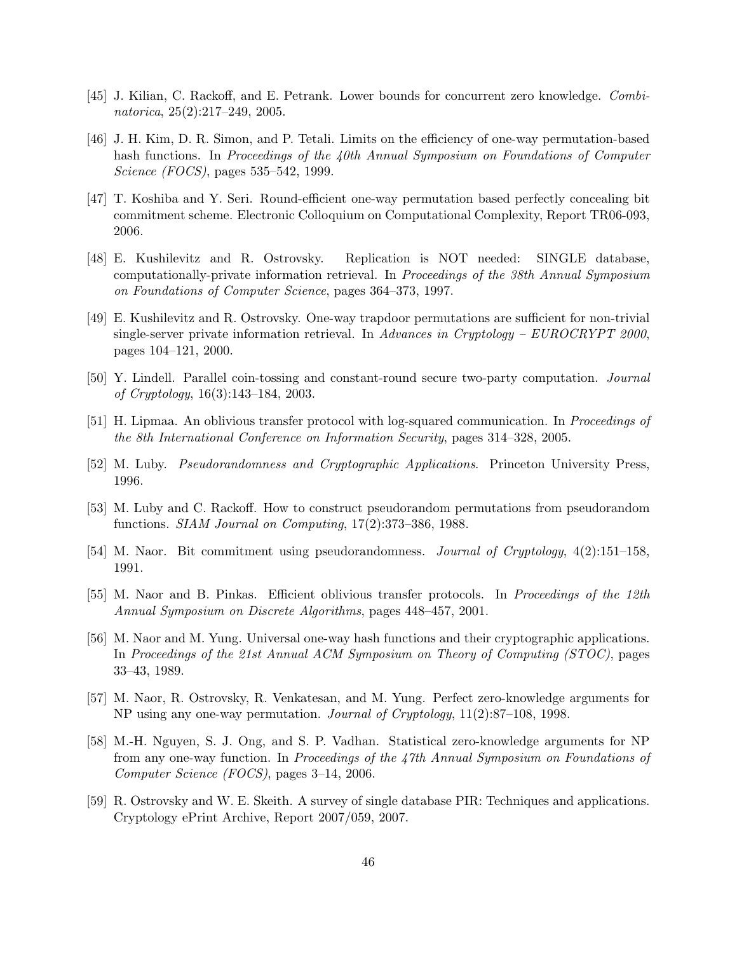- <span id="page-48-8"></span>[45] J. Kilian, C. Rackoff, and E. Petrank. Lower bounds for concurrent zero knowledge. Combinatorica, 25(2):217–249, 2005.
- <span id="page-48-5"></span>[46] J. H. Kim, D. R. Simon, and P. Tetali. Limits on the efficiency of one-way permutation-based hash functions. In Proceedings of the 40th Annual Symposium on Foundations of Computer Science (FOCS), pages 535–542, 1999.
- <span id="page-48-6"></span>[47] T. Koshiba and Y. Seri. Round-efficient one-way permutation based perfectly concealing bit commitment scheme. Electronic Colloquium on Computational Complexity, Report TR06-093, 2006.
- <span id="page-48-12"></span>[48] E. Kushilevitz and R. Ostrovsky. Replication is NOT needed: SINGLE database, computationally-private information retrieval. In Proceedings of the 38th Annual Symposium on Foundations of Computer Science, pages 364–373, 1997.
- <span id="page-48-14"></span>[49] E. Kushilevitz and R. Ostrovsky. One-way trapdoor permutations are sufficient for non-trivial single-server private information retrieval. In Advances in Cryptology –  $EUROCRYPT$  2000, pages 104–121, 2000.
- <span id="page-48-4"></span>[50] Y. Lindell. Parallel coin-tossing and constant-round secure two-party computation. Journal of Cryptology, 16(3):143–184, 2003.
- <span id="page-48-11"></span>[51] H. Lipmaa. An oblivious transfer protocol with log-squared communication. In Proceedings of the 8th International Conference on Information Security, pages 314–328, 2005.
- <span id="page-48-7"></span>[52] M. Luby. Pseudorandomness and Cryptographic Applications. Princeton University Press, 1996.
- <span id="page-48-0"></span>[53] M. Luby and C. Rackoff. How to construct pseudorandom permutations from pseudorandom functions. SIAM Journal on Computing, 17(2):373–386, 1988.
- <span id="page-48-2"></span>[54] M. Naor. Bit commitment using pseudorandomness. Journal of Cryptology, 4(2):151–158, 1991.
- <span id="page-48-9"></span>[55] M. Naor and B. Pinkas. Efficient oblivious transfer protocols. In Proceedings of the 12th Annual Symposium on Discrete Algorithms, pages 448–457, 2001.
- <span id="page-48-1"></span>[56] M. Naor and M. Yung. Universal one-way hash functions and their cryptographic applications. In Proceedings of the 21st Annual ACM Symposium on Theory of Computing (STOC), pages 33–43, 1989.
- <span id="page-48-3"></span>[57] M. Naor, R. Ostrovsky, R. Venkatesan, and M. Yung. Perfect zero-knowledge arguments for NP using any one-way permutation. Journal of Cryptology, 11(2):87–108, 1998.
- <span id="page-48-10"></span>[58] M.-H. Nguyen, S. J. Ong, and S. P. Vadhan. Statistical zero-knowledge arguments for NP from any one-way function. In Proceedings of the 47th Annual Symposium on Foundations of Computer Science (FOCS), pages 3–14, 2006.
- <span id="page-48-13"></span>[59] R. Ostrovsky and W. E. Skeith. A survey of single database PIR: Techniques and applications. Cryptology ePrint Archive, Report 2007/059, 2007.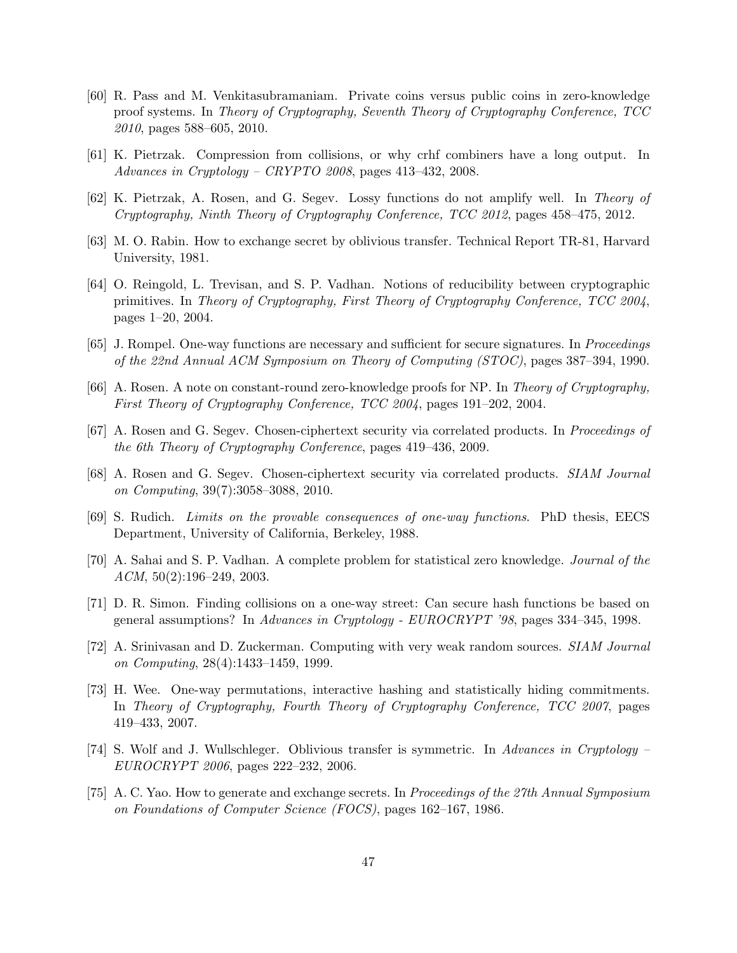- <span id="page-49-7"></span>[60] R. Pass and M. Venkitasubramaniam. Private coins versus public coins in zero-knowledge proof systems. In Theory of Cryptography, Seventh Theory of Cryptography Conference, TCC 2010, pages 588–605, 2010.
- <span id="page-49-5"></span>[61] K. Pietrzak. Compression from collisions, or why crhf combiners have a long output. In Advances in Cryptology – CRYPTO 2008, pages 413–432, 2008.
- <span id="page-49-6"></span>[62] K. Pietrzak, A. Rosen, and G. Segev. Lossy functions do not amplify well. In Theory of Cryptography, Ninth Theory of Cryptography Conference, TCC 2012, pages 458–475, 2012.
- <span id="page-49-11"></span>[63] M. O. Rabin. How to exchange secret by oblivious transfer. Technical Report TR-81, Harvard University, 1981.
- <span id="page-49-10"></span>[64] O. Reingold, L. Trevisan, and S. P. Vadhan. Notions of reducibility between cryptographic primitives. In Theory of Cryptography, First Theory of Cryptography Conference, TCC 2004, pages 1–20, 2004.
- <span id="page-49-1"></span>[65] J. Rompel. One-way functions are necessary and sufficient for secure signatures. In Proceedings of the 22nd Annual ACM Symposium on Theory of Computing (STOC), pages 387–394, 1990.
- <span id="page-49-4"></span>[66] A. Rosen. A note on constant-round zero-knowledge proofs for NP. In Theory of Cryptography, First Theory of Cryptography Conference, TCC 2004, pages 191–202, 2004.
- <span id="page-49-8"></span>[67] A. Rosen and G. Segev. Chosen-ciphertext security via correlated products. In Proceedings of the 6th Theory of Cryptography Conference, pages 419–436, 2009.
- <span id="page-49-9"></span>[68] A. Rosen and G. Segev. Chosen-ciphertext security via correlated products. SIAM Journal on Computing, 39(7):3058–3088, 2010.
- <span id="page-49-3"></span>[69] S. Rudich. Limits on the provable consequences of one-way functions. PhD thesis, EECS Department, University of California, Berkeley, 1988.
- <span id="page-49-14"></span>[70] A. Sahai and S. P. Vadhan. A complete problem for statistical zero knowledge. Journal of the  $ACM$ ,  $50(2):196-249$ ,  $2003$ .
- <span id="page-49-0"></span>[71] D. R. Simon. Finding collisions on a one-way street: Can secure hash functions be based on general assumptions? In Advances in Cryptology - EUROCRYPT '98, pages 334–345, 1998.
- <span id="page-49-15"></span>[72] A. Srinivasan and D. Zuckerman. Computing with very weak random sources. SIAM Journal on Computing, 28(4):1433–1459, 1999.
- <span id="page-49-2"></span>[73] H. Wee. One-way permutations, interactive hashing and statistically hiding commitments. In Theory of Cryptography, Fourth Theory of Cryptography Conference, TCC 2007, pages 419–433, 2007.
- <span id="page-49-13"></span>[74] S. Wolf and J. Wullschleger. Oblivious transfer is symmetric. In Advances in Cryptology – EUROCRYPT 2006, pages 222–232, 2006.
- <span id="page-49-12"></span>[75] A. C. Yao. How to generate and exchange secrets. In Proceedings of the 27th Annual Symposium on Foundations of Computer Science (FOCS), pages 162–167, 1986.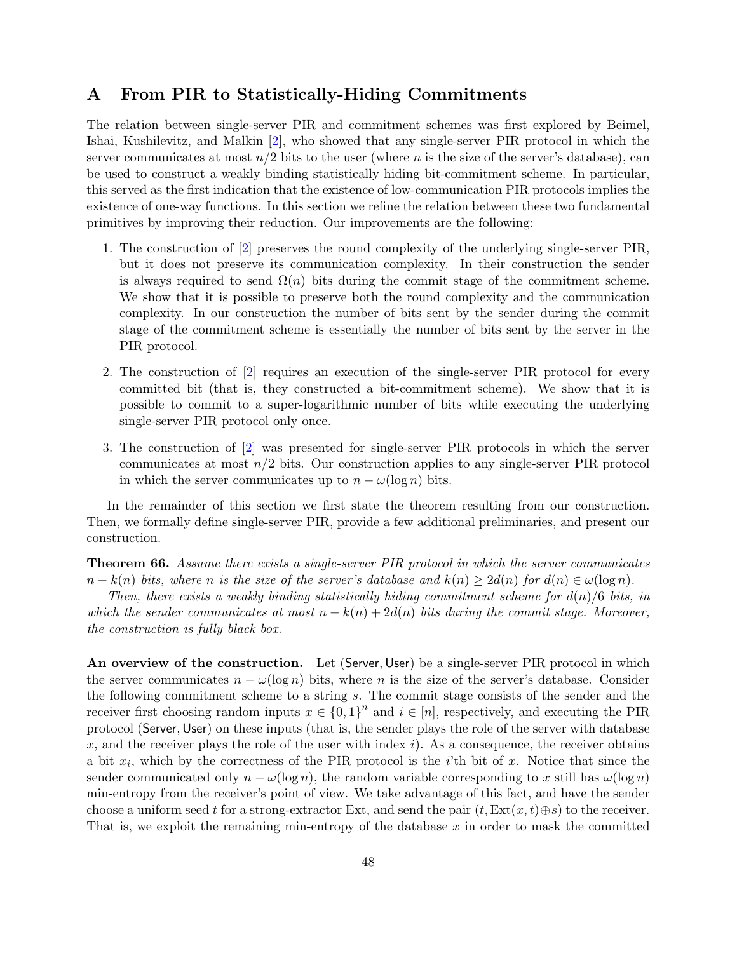# <span id="page-50-0"></span>A From PIR to Statistically-Hiding Commitments

The relation between single-server PIR and commitment schemes was first explored by Beimel, Ishai, Kushilevitz, and Malkin [\[2\]](#page-45-4), who showed that any single-server PIR protocol in which the server communicates at most  $n/2$  bits to the user (where n is the size of the server's database), can be used to construct a weakly binding statistically hiding bit-commitment scheme. In particular, this served as the first indication that the existence of low-communication PIR protocols implies the existence of one-way functions. In this section we refine the relation between these two fundamental primitives by improving their reduction. Our improvements are the following:

- 1. The construction of [\[2\]](#page-45-4) preserves the round complexity of the underlying single-server PIR, but it does not preserve its communication complexity. In their construction the sender is always required to send  $\Omega(n)$  bits during the commit stage of the commitment scheme. We show that it is possible to preserve both the round complexity and the communication complexity. In our construction the number of bits sent by the sender during the commit stage of the commitment scheme is essentially the number of bits sent by the server in the PIR protocol.
- 2. The construction of [\[2\]](#page-45-4) requires an execution of the single-server PIR protocol for every committed bit (that is, they constructed a bit-commitment scheme). We show that it is possible to commit to a super-logarithmic number of bits while executing the underlying single-server PIR protocol only once.
- 3. The construction of [\[2\]](#page-45-4) was presented for single-server PIR protocols in which the server communicates at most  $n/2$  bits. Our construction applies to any single-server PIR protocol in which the server communicates up to  $n - \omega(\log n)$  bits.

In the remainder of this section we first state the theorem resulting from our construction. Then, we formally define single-server PIR, provide a few additional preliminaries, and present our construction.

<span id="page-50-1"></span>Theorem 66. Assume there exists a single-server PIR protocol in which the server communicates  $n - k(n)$  bits, where n is the size of the server's database and  $k(n) \geq 2d(n)$  for  $d(n) \in \omega(\log n)$ .

Then, there exists a weakly binding statistically hiding commitment scheme for  $d(n)/6$  bits, in which the sender communicates at most  $n - k(n) + 2d(n)$  bits during the commit stage. Moreover, the construction is fully black box.

An overview of the construction. Let (Server, User) be a single-server PIR protocol in which the server communicates  $n - \omega(\log n)$  bits, where n is the size of the server's database. Consider the following commitment scheme to a string s. The commit stage consists of the sender and the receiver first choosing random inputs  $x \in \{0,1\}^n$  and  $i \in [n]$ , respectively, and executing the PIR protocol (Server, User) on these inputs (that is, the sender plays the role of the server with database x, and the receiver plays the role of the user with index i). As a consequence, the receiver obtains a bit  $x_i$ , which by the correctness of the PIR protocol is the *i*'th bit of x. Notice that since the sender communicated only  $n - \omega(\log n)$ , the random variable corresponding to x still has  $\omega(\log n)$ min-entropy from the receiver's point of view. We take advantage of this fact, and have the sender choose a uniform seed t for a strong-extractor Ext, and send the pair  $(t, \text{Ext}(x, t) \oplus s)$  to the receiver. That is, we exploit the remaining min-entropy of the database  $x$  in order to mask the committed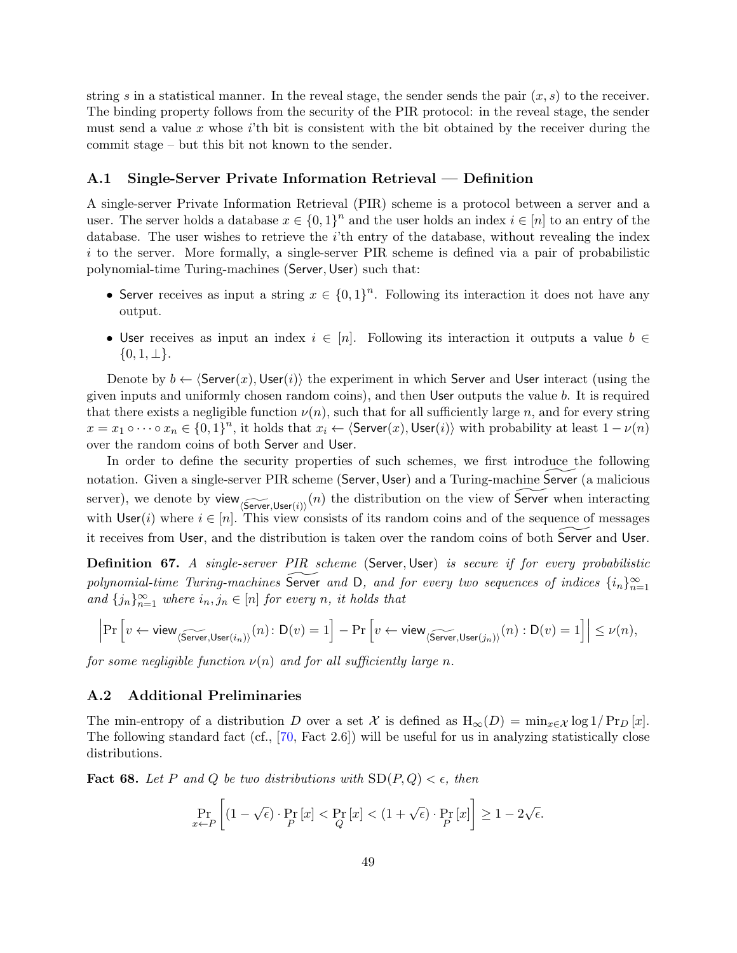string s in a statistical manner. In the reveal stage, the sender sends the pair  $(x, s)$  to the receiver. The binding property follows from the security of the PIR protocol: in the reveal stage, the sender must send a value x whose  $i$ 'th bit is consistent with the bit obtained by the receiver during the commit stage – but this bit not known to the sender.

#### <span id="page-51-0"></span>A.1 Single-Server Private Information Retrieval — Definition

A single-server Private Information Retrieval (PIR) scheme is a protocol between a server and a user. The server holds a database  $x \in \{0,1\}^n$  and the user holds an index  $i \in [n]$  to an entry of the database. The user wishes to retrieve the i'th entry of the database, without revealing the index  $i$  to the server. More formally, a single-server PIR scheme is defined via a pair of probabilistic polynomial-time Turing-machines (Server, User) such that:

- Server receives as input a string  $x \in \{0,1\}^n$ . Following its interaction it does not have any output.
- User receives as input an index  $i \in [n]$ . Following its interaction it outputs a value  $b \in$  $\{0, 1, \perp\}.$

Denote by  $b \leftarrow \langle \text{Server}(x),\text{User}(i) \rangle$  the experiment in which Server and User interact (using the given inputs and uniformly chosen random coins), and then User outputs the value b. It is required that there exists a negligible function  $\nu(n)$ , such that for all sufficiently large n, and for every string  $x = x_1 \circ \cdots \circ x_n \in \{0,1\}^n$ , it holds that  $x_i \leftarrow \langle \textsf{Server}(x),\textsf{User}(i) \rangle$  with probability at least  $1 - \nu(n)$ over the random coins of both Server and User.

In order to define the security properties of such schemes, we first introduce the following notation. Given a single-server PIR scheme (Server, User) and a Turing-machine Server (a malicious server), we denote by view  $\widetilde{\langle \text{Server}, \text{User}(i) \rangle}(n)$  the distribution on the view of  $\widetilde{\mathsf{Server}}$  when interacting with User(i) where  $i \in [n]$ . This view consists of its random coins and of the sequence of messages it receives from User, and the distribution is taken over the random coins of both Server and User.

<span id="page-51-2"></span>Definition 67. A single-server PIR scheme (Server, User) is secure if for every probabilistic polynomial-time Turing-machines  $\widetilde{\mathsf{Server}}$  and D, and for every two sequences of indices  $\{i_n\}_{n=1}^\infty$ and  $\{j_n\}_{n=1}^{\infty}$  where  $i_n, j_n \in [n]$  for every n, it holds that

$$
\left|\Pr\left[v \leftarrow \mathsf{view}_{\langle \widetilde{\mathsf{Server}}, \mathsf{User}(i_n)\rangle}(n) \colon \mathsf{D}(v) = 1\right] - \Pr\left[v \leftarrow \mathsf{view}_{\langle \widetilde{\mathsf{Server}}, \mathsf{User}(j_n)\rangle}(n) : \mathsf{D}(v) = 1\right]\right| \leq \nu(n),
$$

for some negligible function  $\nu(n)$  and for all sufficiently large n.

#### <span id="page-51-1"></span>A.2 Additional Preliminaries

The min-entropy of a distribution D over a set X is defined as  $H_{\infty}(D) = \min_{x \in \mathcal{X}} \log 1/ \Pr_D[x]$ . The following standard fact (cf., [\[70,](#page-49-14) Fact 2.6]) will be useful for us in analyzing statistically close distributions.

**Fact 68.** Let P and Q be two distributions with  $SD(P,Q) < \epsilon$ , then

$$
\Pr_{x \leftarrow P} \left[ (1 - \sqrt{\epsilon}) \cdot \Pr_{P} [x] < \Pr_{Q} [x] < (1 + \sqrt{\epsilon}) \cdot \Pr_{P} [x] \right] \ge 1 - 2\sqrt{\epsilon}.
$$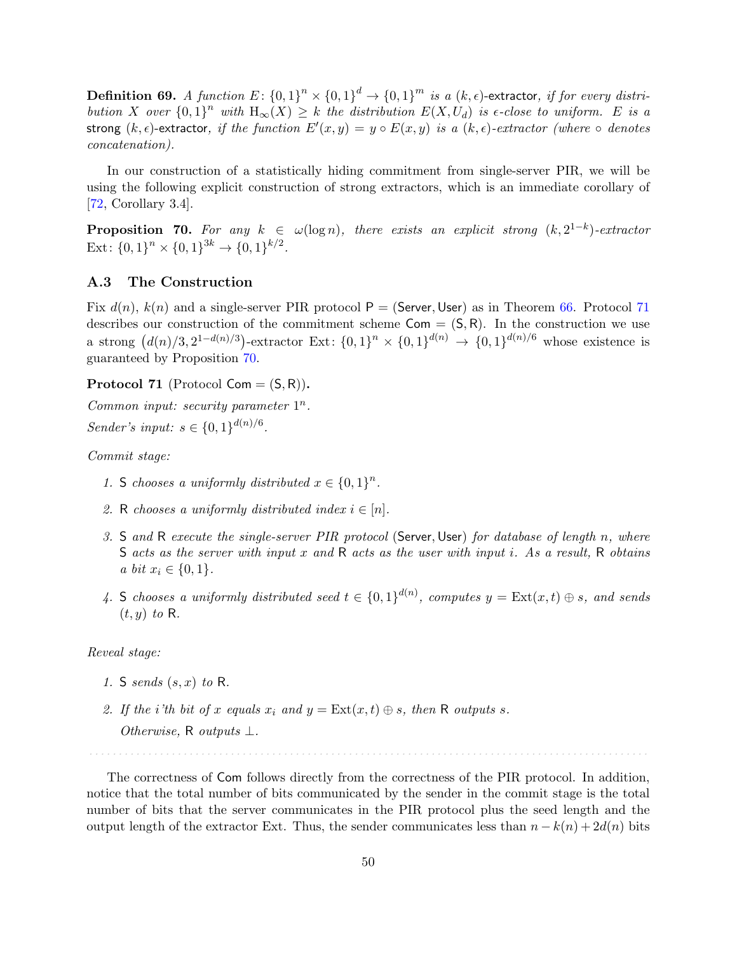**Definition 69.** A function  $E \colon \{0,1\}^n \times \{0,1\}^d \to \{0,1\}^m$  is a  $(k,\epsilon)$ -extractor, if for every distribution X over  ${0,1}^n$  with  $H_\infty(X) \geq k$  the distribution  $E(X, U_d)$  is  $\epsilon$ -close to uniform. E is a strong  $(k, \epsilon)$ -extractor, if the function  $E'(x, y) = y \circ E(x, y)$  is a  $(k, \epsilon)$ -extractor (where  $\circ$  denotes concatenation).

In our construction of a statistically hiding commitment from single-server PIR, we will be using the following explicit construction of strong extractors, which is an immediate corollary of [\[72,](#page-49-15) Corollary 3.4].

<span id="page-52-2"></span>**Proposition 70.** For any  $k \in \omega(\log n)$ , there exists an explicit strong  $(k, 2^{1-k})$ -extractor Ext:  $\{0,1\}^n \times \{0,1\}^{3k} \rightarrow \{0,1\}^{k/2}$ .

#### <span id="page-52-0"></span>A.3 The Construction

Fix  $d(n)$ ,  $k(n)$  and a single-server PIR protocol  $P =$  (Server, User) as in Theorem [66.](#page-50-1) Protocol [71](#page-52-1) describes our construction of the commitment scheme  $Com = (S, R)$ . In the construction we use a strong  $(d(n)/3, 2^{1-d(n)/3})$ -extractor Ext:  $\{0,1\}^n \times \{0,1\}^{d(n)} \to \{0,1\}^{d(n)/6}$  whose existence is guaranteed by Proposition [70.](#page-52-2)

<span id="page-52-1"></span>**Protocol 71** (Protocol  $Com = (S, R)$ ).

Common input: security parameter  $1^n$ . Sender's input:  $s \in \{0, 1\}^{d(n)/6}$ .

Commit stage:

- 1. S chooses a uniformly distributed  $x \in \{0,1\}^n$ .
- 2. R chooses a uniformly distributed index  $i \in [n]$ .
- 3. S and R execute the single-server PIR protocol (Server, User) for database of length n, where S acts as the server with input x and R acts as the user with input i. As a result, R obtains a bit  $x_i \in \{0, 1\}.$
- 4. S chooses a uniformly distributed seed  $t \in \{0,1\}^{d(n)}$ , computes  $y = \text{Ext}(x,t) \oplus s$ , and sends  $(t, y)$  to R.

#### Reveal stage:

- 1. S sends  $(s, x)$  to R.
- 2. If the i'th bit of x equals  $x_i$  and  $y = \text{Ext}(x, t) \oplus s$ , then R outputs s.
	- Otherwise, R outputs  $\perp$ .

The correctness of Com follows directly from the correctness of the PIR protocol. In addition, notice that the total number of bits communicated by the sender in the commit stage is the total number of bits that the server communicates in the PIR protocol plus the seed length and the output length of the extractor Ext. Thus, the sender communicates less than  $n - k(n) + 2d(n)$  bits

. . . . . . . . . . . . . . . . . . . . . . . . . . . . . . . . . . . . . . . . . . . . . . . . . . . . . . . . . . . . . . . . . . . . . . . . . . . . . . . . . . . . . . . . . . . . . . .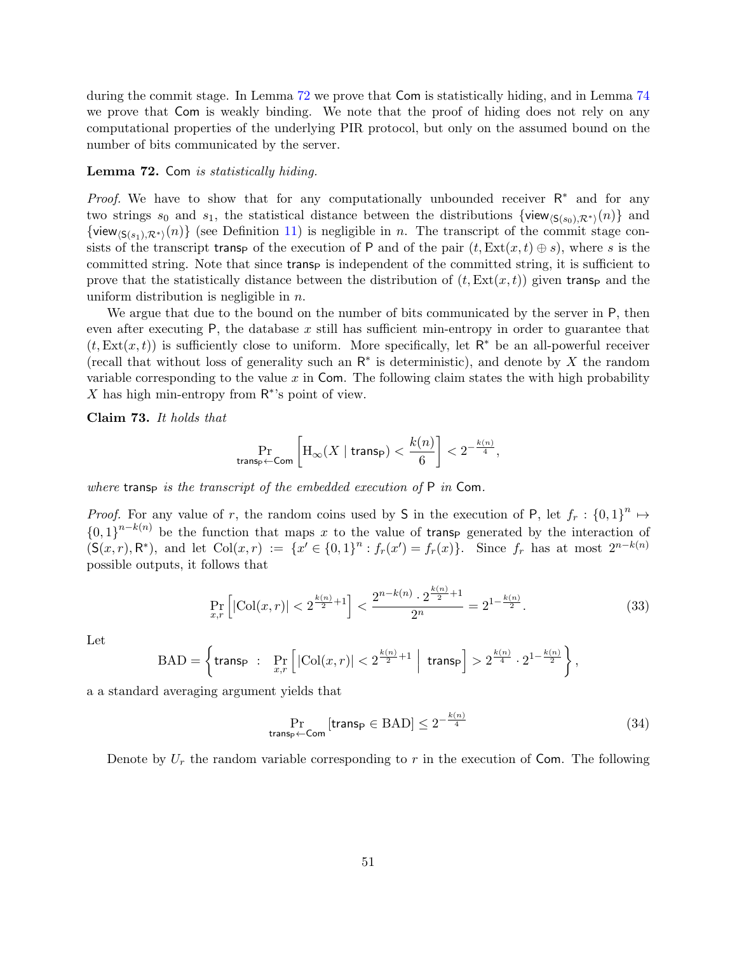during the commit stage. In Lemma [72](#page-53-0) we prove that Com is statistically hiding, and in Lemma [74](#page-55-0) we prove that Com is weakly binding. We note that the proof of hiding does not rely on any computational properties of the underlying PIR protocol, but only on the assumed bound on the number of bits communicated by the server.

#### <span id="page-53-0"></span>Lemma 72. Com is statistically hiding.

*Proof.* We have to show that for any computationally unbounded receiver  $R^*$  and for any two strings s<sub>0</sub> and s<sub>1</sub>, the statistical distance between the distributions  $\{view_{\langle \mathsf{S}(s_0),\mathcal{R}^*\rangle}(n)\}\$  and  $\{view_{\langle S(s_1),R^*\rangle}(n)\}\$  (see Definition [11\)](#page-15-4) is negligible in n. The transcript of the commit stage consists of the transcript transp of the execution of P and of the pair  $(t, \text{Ext}(x, t) \oplus s)$ , where s is the committed string. Note that since transp is independent of the committed string, it is sufficient to prove that the statistically distance between the distribution of  $(t, \text{Ext}(x, t))$  given transp and the uniform distribution is negligible in  $n$ .

We argue that due to the bound on the number of bits communicated by the server in P, then even after executing  $P$ , the database  $x$  still has sufficient min-entropy in order to guarantee that  $(t, \text{Ext}(x, t))$  is sufficiently close to uniform. More specifically, let  $\mathsf{R}^*$  be an all-powerful receiver (recall that without loss of generality such an  $\mathsf{R}^*$  is deterministic), and denote by X the random variable corresponding to the value  $x$  in Com. The following claim states the with high probability X has high min-entropy from  $\mathsf{R}^*$ 's point of view.

<span id="page-53-1"></span>Claim 73. It holds that

$$
\Pr_{\text{trans}_\mathsf{P} \leftarrow \textsf{Com}} \left[ \mathrm{H}_\infty(X \mid \textsf{trans}_\mathsf{P}) < \frac{k(n)}{6} \right] < 2^{-\frac{k(n)}{4}},
$$

where transp is the transcript of the embedded execution of  $P$  in Com.

*Proof.* For any value of r, the random coins used by S in the execution of P, let  $f_r : \{0,1\}^n \mapsto$  ${0,1}^{n-k(n)}$  be the function that maps x to the value of transp generated by the interaction of  $(S(x,r), R^*)$ , and let  $Col(x,r) := \{x' \in \{0,1\}^n : f_r(x') = f_r(x)\}.$  Since  $f_r$  has at most  $2^{n-k(n)}$ possible outputs, it follows that

$$
\Pr_{x,r} \left[ |\text{Col}(x,r)| < 2^{\frac{k(n)}{2}+1} \right] < \frac{2^{n-k(n)} \cdot 2^{\frac{k(n)}{2}+1}}{2^n} = 2^{1-\frac{k(n)}{2}}.\tag{33}
$$

Let

$$
\text{BAD} = \left\{\text{trans}_\mathsf{P} \ : \ \Pr_{x,r}\left[ \, |\text{Col}(x,r)| < 2^{\frac{k(n)}{2}+1} \,\,\Big|\, \text{ trans}_\mathsf{P} \right] > 2^{\frac{k(n)}{4}} \cdot 2^{1-\frac{k(n)}{2}} \right\},
$$

a a standard averaging argument yields that

$$
\Pr_{\text{transp}\leftarrow\text{Com}}\left[\text{transp}\in\text{BAD}\right]\leq 2^{-\frac{k(n)}{4}}\tag{34}
$$

Denote by  $U_r$  the random variable corresponding to r in the execution of Com. The following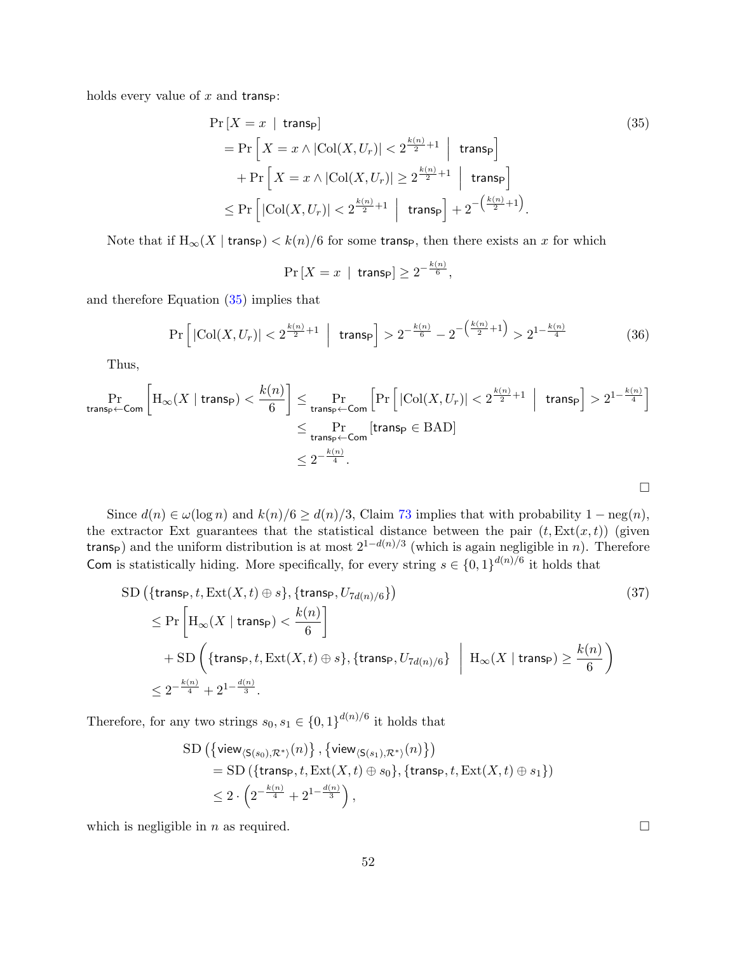holds every value of  $x$  and transp:

$$
\Pr\left[X = x \mid \text{transp}\right] \tag{35}
$$
\n
$$
= \Pr\left[X = x \land |\text{Col}(X, U_r)| < 2^{\frac{k(n)}{2} + 1} \mid \text{transp}\right] + \Pr\left[X = x \land |\text{Col}(X, U_r)| \ge 2^{\frac{k(n)}{2} + 1} \mid \text{transp}\right] \le \Pr\left[|\text{Col}(X, U_r)| < 2^{\frac{k(n)}{2} + 1} \mid \text{transp}\right] + 2^{-\left(\frac{k(n)}{2} + 1\right)}.
$$

Note that if  $H_{\infty}(X \mid \text{trans}_{\mathsf{P}}) < k(n)/6$  for some transp, then there exists an x for which

$$
\Pr\left[X = x \mid \mathsf{transp}\right] \ge 2^{-\frac{k(n)}{6}},
$$

and therefore Equation [\(35\)](#page-54-0) implies that

$$
\Pr\left[|\text{Col}(X, U_r)| < 2^{\frac{k(n)}{2} + 1} \mid \text{trans}_P\right] > 2^{-\frac{k(n)}{6}} - 2^{-\left(\frac{k(n)}{2} + 1\right)} > 2^{1 - \frac{k(n)}{4}} \tag{36}
$$

Thus,

$$
\Pr_{\text{trans}_\text{P} \leftarrow \text{Com}} \left[ H_\infty(X \mid \text{trans}_\text{P}) < \frac{k(n)}{6} \right] \leq \Pr_{\text{trans}_\text{P} \leftarrow \text{Com}} \left[ \Pr \left[ |\text{Col}(X, U_r)| < 2^{\frac{k(n)}{2} + 1} \mid \text{ trans}_\text{P} \right] > 2^{1 - \frac{k(n)}{4}} \right] \leq \Pr_{\text{trans}_\text{P} \leftarrow \text{Com}} \left[ \text{trans}_\text{P} \in \text{BAD} \right] \leq 2^{-\frac{k(n)}{4}}.
$$

Since  $d(n) \in \omega(\log n)$  and  $k(n)/6 \geq d(n)/3$ , Claim [73](#page-53-1) implies that with probability  $1 - \text{neg}(n)$ , the extractor Ext guarantees that the statistical distance between the pair  $(t, \text{Ext}(x, t))$  (given trans<sub>P</sub>) and the uniform distribution is at most  $2^{1-d(n)/3}$  (which is again negligible in n). Therefore Com is statistically hiding. More specifically, for every string  $s \in \{0,1\}^{d(n)/6}$  it holds that

$$
\text{SD}\left(\{\text{trans}_{\mathsf{P}}, t, \text{Ext}(X, t) \oplus s\}, \{\text{trans}_{\mathsf{P}}, U_{7d(n)/6}\}\right) \qquad (37)
$$
\n
$$
\leq \Pr\left[\mathcal{H}_{\infty}(X \mid \text{trans}_{\mathsf{P}}) < \frac{k(n)}{6}\right]
$$
\n
$$
+ \text{SD}\left(\{\text{trans}_{\mathsf{P}}, t, \text{Ext}(X, t) \oplus s\}, \{\text{trans}_{\mathsf{P}}, U_{7d(n)/6}\} \mid \mathcal{H}_{\infty}(X \mid \text{trans}_{\mathsf{P}}) \geq \frac{k(n)}{6}\right)
$$
\n
$$
\leq 2^{-\frac{k(n)}{4}} + 2^{1 - \frac{d(n)}{3}}.
$$
\n(37)

Therefore, for any two strings  $s_0, s_1 \in \{0, 1\}^{d(n)/6}$  it holds that

$$
\begin{aligned} \mathrm{SD}\left( \left\{ \mathsf{view}_{\langle \mathsf{S}(s_0), \mathcal{R}^* \rangle}(n) \right\}, \left\{ \mathsf{view}_{\langle \mathsf{S}(s_1), \mathcal{R}^* \rangle}(n) \right\} \right) \\ & = \mathrm{SD}\left( \left\{ \mathsf{trans}_{\mathsf{P}}, t, \mathrm{Ext}(X, t) \oplus s_0 \right\}, \left\{ \mathsf{trans}_{\mathsf{P}}, t, \mathrm{Ext}(X, t) \oplus s_1 \right\} \right) \\ & \leq 2 \cdot \left( 2^{-\frac{k(n)}{4}} + 2^{1 - \frac{d(n)}{3}} \right), \end{aligned}
$$

which is negligible in n as required.  $\square$ 

<span id="page-54-0"></span> $\Box$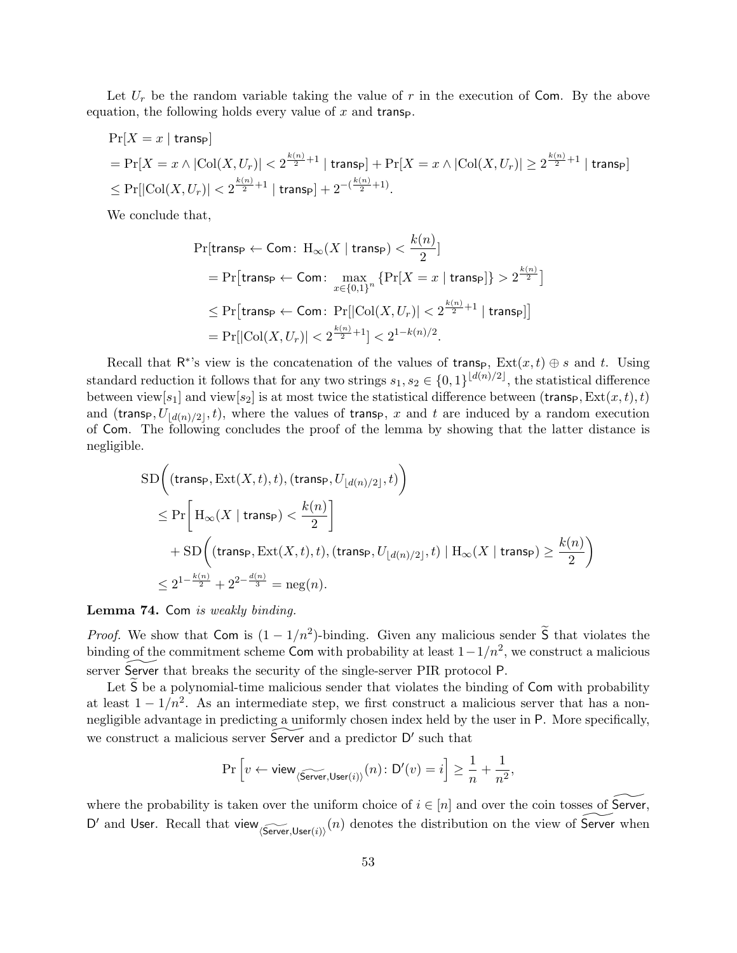Let  $U_r$  be the random variable taking the value of r in the execution of Com. By the above equation, the following holds every value of  $x$  and transp.

$$
\begin{aligned} & \Pr[X = x \mid \text{trans}_{\mathsf{P}}] \\ & = \Pr[X = x \land |\text{Col}(X, U_r)| < 2^{\frac{k(n)}{2}+1} \mid \text{trans}_{\mathsf{P}}] + \Pr[X = x \land |\text{Col}(X, U_r)| \ge 2^{\frac{k(n)}{2}+1} \mid \text{trans}_{\mathsf{P}}] \\ & \le \Pr[|\text{Col}(X, U_r)| < 2^{\frac{k(n)}{2}+1} \mid \text{trans}_{\mathsf{P}}] + 2^{-(\frac{k(n)}{2}+1)}. \end{aligned}
$$

We conclude that,

$$
\begin{aligned} &\Pr[\text{trans}_\text{P} \leftarrow \text{Com}\colon \operatorname{H}_{\infty}(X \mid \text{trans}_\text{P}) < \frac{k(n)}{2}] \\ &= \Pr[\text{trans}_\text{P} \leftarrow \text{Com}\colon \max_{x \in \{0,1\}^n} \left\{ \Pr[X = x \mid \text{trans}_\text{P}] \right\} > 2^{\frac{k(n)}{2}}] \\ &\leq \Pr[\text{trans}_\text{P} \leftarrow \text{Com}\colon \Pr[|\text{Col}(X, U_r)| < 2^{\frac{k(n)}{2}+1} \mid \text{trans}_\text{P}] \end{aligned} \big] \\ &= \Pr[|\text{Col}(X, U_r)| < 2^{\frac{k(n)}{2}+1}] < 2^{1-k(n)/2}. \end{aligned}
$$

Recall that  $\mathsf{R}^*$ 's view is the concatenation of the values of transp,  $\text{Ext}(x,t) \oplus s$  and t. Using standard reduction it follows that for any two strings  $s_1, s_2 \in \{0, 1\}^{\lfloor d(n)/2 \rfloor}$ , the statistical difference between view[ $s_1$ ] and view[ $s_2$ ] is at most twice the statistical difference between (transp,  $Ext(x, t), t$ ) and (transp,  $U_{d(n)/2}$ , t), where the values of transp, x and t are induced by a random execution of Com. The following concludes the proof of the lemma by showing that the latter distance is negligible.

$$
\begin{aligned} & \text{SD}\bigg( (\text{trans}_\textsf{P}, \text{Ext}(X,t),t), (\text{trans}_\textsf{P}, U_{\lfloor d(n)/2 \rfloor},t) \bigg) \\ & \leq \Pr\bigg[\, \text{H}_\infty(X \mid \text{trans}_\textsf{P}) < \frac{k(n)}{2} \bigg] \\ & + \text{SD}\bigg( (\text{trans}_\textsf{P}, \text{Ext}(X,t),t), (\text{trans}_\textsf{P}, U_{\lfloor d(n)/2 \rfloor},t) \mid \text{H}_\infty(X \mid \text{trans}_\textsf{P}) \geq \frac{k(n)}{2} \bigg) \\ & \leq 2^{1-\frac{k(n)}{2}} + 2^{2-\frac{d(n)}{3}} = \text{neg}(n). \end{aligned}
$$

#### <span id="page-55-0"></span>Lemma 74. Com is weakly binding.

*Proof.* We show that Com is  $(1 - 1/n^2)$ -binding. Given any malicious sender  $\tilde{S}$  that violates the binding of the commitment scheme Com with probability at least  $1-1/n^2$ , we construct a malicious server Server that breaks the security of the single-server PIR protocol P.

Let  $\overline{S}$  be a polynomial-time malicious sender that violates the binding of  $\overline{Com}$  with probability at least  $1 - 1/n^2$ . As an intermediate step, we first construct a malicious server that has a nonnegligible advantage in predicting a uniformly chosen index held by the user in P. More specifically, we construct a malicious server  $\widetilde{\mathsf{Server}}$  and a predictor  $\mathsf{D}'$  such that

$$
\Pr\Big[v \leftarrow \mathsf{view}_{\langle \widetilde{\mathsf{Server}}, \mathsf{User}(i) \rangle}(n) \colon \mathsf{D}'(v) = i\Big] \geq \frac{1}{n} + \frac{1}{n^2},
$$

where the probability is taken over the uniform choice of  $i \in [n]$  and over the coin tosses of Server, D' and User. Recall that view  $\widetilde{\text{Server}},\text{User}(i)$  (n) denotes the distribution on the view of Server when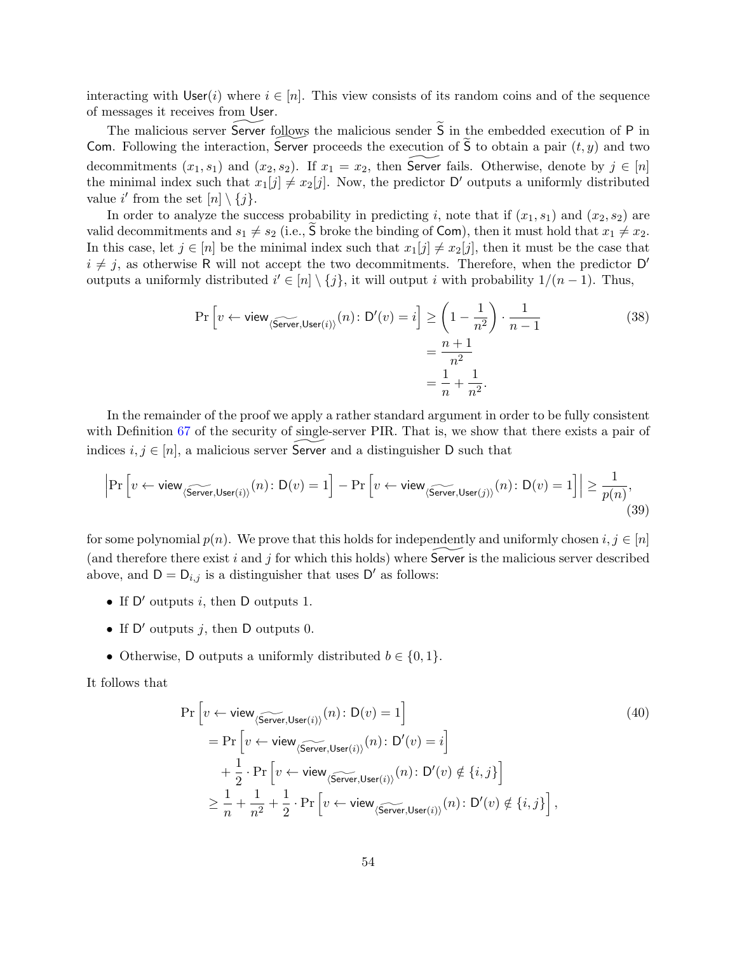interacting with  $\textsf{User}(i)$  where  $i \in [n]$ . This view consists of its random coins and of the sequence of messages it receives from User.

The malicious server Server follows the malicious sender  $\widetilde{S}$  in the embedded execution of P in Com. Following the interaction, Server proceeds the execution of  $\tilde{S}$  to obtain a pair  $(t, y)$  and two decommitments  $(x_1, s_1)$  and  $(x_2, s_2)$ . If  $x_1 = x_2$ , then Server fails. Otherwise, denote by  $j \in [n]$ the minimal index such that  $x_1[j] \neq x_2[j]$ . Now, the predictor D' outputs a uniformly distributed value i' from the set  $[n] \setminus \{j\}.$ 

In order to analyze the success probability in predicting i, note that if  $(x_1, s_1)$  and  $(x_2, s_2)$  are valid decommitments and  $s_1 \neq s_2$  (i.e.,  $\overline{S}$  broke the binding of Com), then it must hold that  $x_1 \neq x_2$ . In this case, let  $j \in [n]$  be the minimal index such that  $x_1[j] \neq x_2[j]$ , then it must be the case that  $i \neq j$ , as otherwise R will not accept the two decommitments. Therefore, when the predictor D' outputs a uniformly distributed  $i' \in [n] \setminus \{j\}$ , it will output i with probability  $1/(n-1)$ . Thus,

$$
\Pr\left[v \leftarrow \text{view}_{\langle \text{Server}, \text{User}(i) \rangle}(n) : \mathsf{D}'(v) = i\right] \ge \left(1 - \frac{1}{n^2}\right) \cdot \frac{1}{n - 1}
$$
\n
$$
= \frac{n + 1}{n^2}
$$
\n
$$
= \frac{1}{n} + \frac{1}{n^2}.
$$
\n(38)

In the remainder of the proof we apply a rather standard argument in order to be fully consistent with Definition [67](#page-51-2) of the security of single-server PIR. That is, we show that there exists a pair of indices  $i, j \in [n]$ , a malicious server Server and a distinguisher D such that

$$
\left|\Pr\left[v \leftarrow \mathsf{view}_{\langle \widetilde{\mathsf{Server}}, \mathsf{User}(i) \rangle}(n) \colon \mathsf{D}(v) = 1\right] - \Pr\left[v \leftarrow \mathsf{view}_{\langle \widetilde{\mathsf{Server}}, \mathsf{User}(j) \rangle}(n) \colon \mathsf{D}(v) = 1\right]\right| \ge \frac{1}{p(n)},\tag{39}
$$

for some polynomial  $p(n)$ . We prove that this holds for independently and uniformly chosen  $i, j \in [n]$ (and therefore there exist i and j for which this holds) where Server is the malicious server described above, and  $D = D_{i,j}$  is a distinguisher that uses  $D'$  as follows:

- If  $D'$  outputs i, then D outputs 1.
- If  $D'$  outputs j, then D outputs 0.
- Otherwise, D outputs a uniformly distributed  $b \in \{0, 1\}.$

It follows that

$$
\Pr\left[v \leftarrow \text{view}_{\langle \widehat{\text{Server}}, \text{User}(i) \rangle}(n) : D(v) = 1\right]
$$
\n
$$
= \Pr\left[v \leftarrow \text{view}_{\langle \widehat{\text{Server}}, \text{User}(i) \rangle}(n) : D'(v) = i\right]
$$
\n
$$
+ \frac{1}{2} \cdot \Pr\left[v \leftarrow \text{view}_{\langle \widehat{\text{Server}}, \text{User}(i) \rangle}(n) : D'(v) \notin \{i, j\}\right]
$$
\n
$$
\geq \frac{1}{n} + \frac{1}{n^2} + \frac{1}{2} \cdot \Pr\left[v \leftarrow \text{view}_{\langle \widehat{\text{Server}}, \text{User}(i) \rangle}(n) : D'(v) \notin \{i, j\}\right],
$$
\n(40)